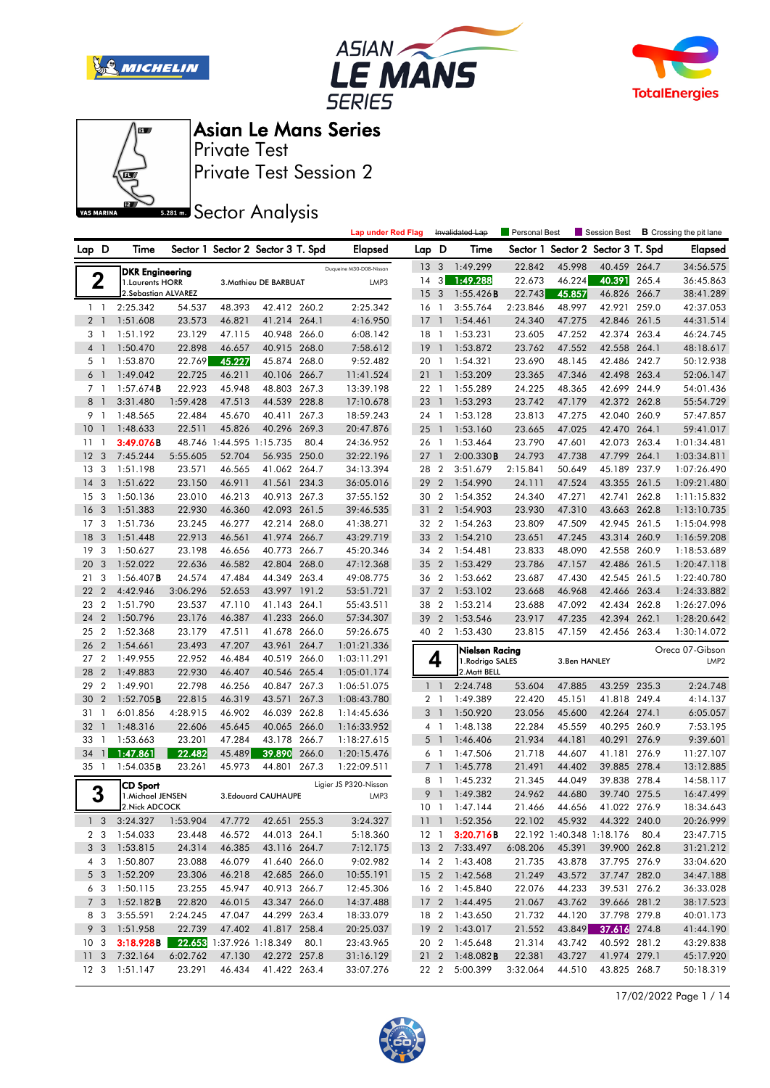







Private Test Session 2 Private Test

**SREAD** Sector Analysis

|                      |                |                                            |                  |                          |                                   |       | <b>Lap under Red Flag</b> |                |                          | Invalidated Lap                | <b>Personal Best</b> |                  | Session Best                 |       | <b>B</b> Crossing the pit lane |
|----------------------|----------------|--------------------------------------------|------------------|--------------------------|-----------------------------------|-------|---------------------------|----------------|--------------------------|--------------------------------|----------------------|------------------|------------------------------|-------|--------------------------------|
| Lap D                |                | Time                                       |                  |                          | Sector 1 Sector 2 Sector 3 T. Spd |       | Elapsed                   | Lap D          |                          | Time                           | Sector 1             |                  | Sector 2 Sector 3 T. Spd     |       | <b>Elapsed</b>                 |
|                      |                |                                            |                  |                          |                                   |       | Duqueine M30-D08-Nissan   | 13             | 3                        | 1:49.299                       | 22.842               | 45.998           | 40.459 264.7                 |       | 34:56.575                      |
|                      | 2              | <b>DKR Engineering</b><br>1. Laurents HORR |                  |                          | 3. Mathieu DE BARBUAT             |       | LMP3                      | 14             | 3 <sup>1</sup>           | 1:49.288                       | 22.673               | 46.224           | 40.391                       | 265.4 | 36:45.863                      |
|                      |                | 2. Sebastian ALVAREZ                       |                  |                          |                                   |       |                           | 15             | 3                        | 1:55.426B                      | 22.743               | 45.857           | 46.826 266.7                 |       | 38:41.289                      |
| $1\quad$             |                | 2:25.342                                   | 54.537           | 48.393                   | 42.412 260.2                      |       | 2:25.342                  | 16             | $\overline{1}$           | 3:55.764                       | 2:23.846             | 48.997           | 42.921 259.0                 |       | 42:37.053                      |
| 2 <sub>1</sub>       |                | 1:51.608                                   | 23.573           | 46.821                   | 41.214 264.1                      |       | 4:16.950                  | 17             | $\overline{1}$           | 1:54.461                       | 24.340               | 47.275           | 42.846 261.5                 |       | 44:31.514                      |
| 3 1                  |                | 1:51.192                                   | 23.129           | 47.115                   | 40.948 266.0                      |       | 6:08.142                  | 18             | -1                       | 1:53.231                       | 23.605               | 47.252           | 42.374 263.4                 |       | 46:24.745                      |
| 4 1                  |                | 1:50.470                                   | 22.898           | 46.657                   | 40.915 268.0                      |       | 7:58.612                  | 19             | $\overline{1}$           | 1:53.872                       | 23.762               | 47.552           | 42.558 264.1                 |       | 48:18.617                      |
| 5 <sub>1</sub>       |                | 1:53.870                                   | 22.769           | 45.227                   | 45.874 268.0                      |       | 9:52.482                  | 20 1           |                          | 1:54.321                       | 23.690               | 48.145           | 42.486 242.7                 |       | 50:12.938                      |
| 6                    | $\overline{1}$ | 1:49.042                                   | 22.725           | 46.211                   | 40.106                            | 266.7 | 11:41.524                 | 211            |                          | 1:53.209                       | 23.365               | 47.346           | 42.498 263.4                 |       | 52:06.147                      |
| 7 <sub>1</sub>       |                | $1:57.674$ <b>B</b>                        | 22.923           | 45.948                   | 48.803                            | 267.3 | 13:39.198                 | 22             | $\overline{1}$           | 1:55.289                       | 24.225               | 48.365           | 42.699 244.9                 |       | 54:01.436                      |
| 8                    | $\overline{1}$ | 3:31.480                                   | 1:59.428         | 47.513                   | 44.539                            | 228.8 | 17:10.678                 | 23             | $\mathbf{1}$             | 1:53.293                       | 23.742               | 47.179           | 42.372 262.8                 |       | 55:54.729                      |
| 9 1                  |                | 1:48.565                                   | 22.484           | 45.670                   | 40.411 267.3                      |       | 18:59.243                 | 24 1           |                          | 1:53.128                       | 23.813               | 47.275           | 42.040 260.9                 |       | 57:47.857                      |
| 10                   | $\overline{1}$ | 1:48.633                                   | 22.511           | 45.826                   | 40.296                            | 269.3 | 20:47.876                 | 25             | $\overline{1}$           | 1:53.160                       | 23.665               | 47.025           | 42.470                       | 264.1 | 59:41.017                      |
| 11                   | -1             | 3:49.076B                                  |                  | 48.746 1:44.595 1:15.735 |                                   | 80.4  | 24:36.952                 | 26             | $\overline{1}$           | 1:53.464                       | 23.790               | 47.601           | 42.073 263.4                 |       | 1:01:34.481                    |
| 12                   | 3              | 7:45.244                                   | 5:55.605         | 52.704                   | 56.935 250.0                      |       | 32:22.196                 | 27             | $\overline{1}$           | 2:00.330B                      | 24.793               | 47.738           | 47.799                       | 264.1 | 1:03:34.811                    |
| 13                   | 3              | 1:51.198                                   | 23.571           | 46.565                   | 41.062 264.7                      |       | 34:13.394                 | 28 2           |                          | 3:51.679                       | 2:15.841             | 50.649           | 45.189                       | 237.9 | 1:07:26.490                    |
| 14                   | 3              | 1:51.622                                   | 23.150           | 46.911                   | 41.561                            | 234.3 | 36:05.016                 | 29             | $\overline{2}$           | 1:54.990                       | 24.111               | 47.524           | 43.355                       | 261.5 | 1:09:21.480                    |
| 15                   | 3              | 1:50.136                                   | 23.010           | 46.213                   | 40.913 267.3                      |       | 37:55.152                 | 30             | $\overline{2}$           | 1:54.352                       | 24.340               | 47.271           | 42.741                       | 262.8 | 1:11:15.832                    |
| 16                   | 3              | 1:51.383                                   | 22.930           | 46.360                   | 42.093 261.5                      |       | 39:46.535                 | 31             | $\overline{2}$           | 1:54.903                       | 23.930               | 47.310           | 43.663                       | 262.8 | 1:13:10.735                    |
| 17                   | 3              | 1:51.736                                   | 23.245           | 46.277                   | 42.214 268.0                      |       | 41:38.271                 | 32 2           |                          | 1:54.263                       | 23.809               | 47.509           | 42.945 261.5                 |       | 1:15:04.998                    |
| 18                   | 3              | 1:51.448                                   | 22.913           | 46.561                   | 41.974 266.7                      |       | 43:29.719                 | 33             | $\overline{2}$           | 1:54.210                       | 23.651               | 47.245           | 43.314 260.9                 |       | 1:16:59.208                    |
| 19                   | 3              | 1:50.627                                   | 23.198           | 46.656                   | 40.773 266.7                      |       | 45:20.346                 | 34 2           |                          | 1:54.481                       | 23.833               | 48.090           | 42.558 260.9                 |       | 1:18:53.689                    |
| 20                   | 3              | 1:52.022                                   | 22.636           | 46.582                   | 42.804 268.0                      |       | 47:12.368                 | 35 2           |                          | 1:53.429                       | 23.786               | 47.157           | 42.486 261.5                 |       | 1:20:47.118                    |
| 21                   | 3              | $1:56.407$ <b>B</b>                        | 24.574           | 47.484                   | 44.349 263.4                      |       | 49:08.775                 | 36 2           |                          | 1:53.662                       | 23.687               | 47.430           | 42.545 261.5                 |       | 1:22:40.780                    |
| 22                   | $\overline{2}$ | 4:42.946                                   | 3:06.296         | 52.653                   | 43.997 191.2                      |       | 53:51.721                 | 37             | $\overline{2}$           | 1:53.102                       | 23.668               | 46.968           | 42.466 263.4                 |       | 1:24:33.882                    |
| 23                   | $\overline{2}$ | 1:51.790                                   | 23.537           | 47.110                   | 41.143 264.1                      |       | 55:43.511                 | 38             | $\overline{2}$           | 1:53.214                       | 23.688               | 47.092           | 42.434 262.8                 |       | 1:26:27.096                    |
| 24                   | $\overline{2}$ | 1:50.796                                   | 23.176           | 46.387                   | 41.233 266.0                      |       | 57:34.307                 | 39             | $\overline{2}$           | 1:53.546                       | 23.917               | 47.235           | 42.394                       | 262.1 | 1:28:20.642                    |
| 25                   | $\overline{2}$ | 1:52.368                                   | 23.179           | 47.511                   | 41.678                            | 266.0 | 59:26.675                 | 40 2           |                          | 1:53.430                       | 23.815               | 47.159           | 42.456 263.4                 |       | 1:30:14.072                    |
| 26                   | $\overline{2}$ | 1:54.661                                   | 23.493           | 47.207                   | 43.961                            | 264.7 | 1:01:21.336               |                |                          | Nielsen Racing                 |                      |                  |                              |       | Oreca 07-Gibson                |
| 27                   | $\overline{2}$ | 1:49.955                                   | 22.952           | 46.484                   | 40.519 266.0                      |       | 1:03:11.291               |                | 4                        | 1.Rodrigo SALES                |                      | 3.Ben HANLEY     |                              |       | LMP <sub>2</sub>               |
| 28                   | $\overline{2}$ | 1:49.883                                   | 22.930           | 46.407                   | 40.546 265.4                      |       | 1:05:01.174               |                |                          | 2. Matt BELL                   |                      |                  |                              |       |                                |
| 29                   | $\overline{2}$ | 1:49.901                                   | 22.798           | 46.256                   | 40.847 267.3                      |       | 1:06:51.075               | $1\quad$       |                          | 2:24.748                       | 53.604               | 47.885           | 43.259 235.3                 |       | 2:24.748                       |
| 30                   | $\overline{2}$ | 1:52.705B                                  | 22.815           | 46.319                   | 43.571                            | 267.3 | 1:08:43.780               | $2-1$          |                          | 1:49.389                       | 22.420               | 45.151           | 41.818                       | 249.4 | 4:14.137                       |
| 31                   | -1             | 6:01.856                                   | 4:28.915         | 46.902                   | 46.039 262.8                      |       | 1:14:45.636               | 3              | $\overline{\phantom{a}}$ | 1:50.920                       | 23.056               | 45.600           | 42.264 274.1                 |       | 6:05.057                       |
| 32                   | $\mathbf{1}$   | 1:48.316                                   | 22.606           | 45.645                   | 40.065 266.0                      |       | 1:16:33.952               |                | $4-1$                    | 1:48.138                       | 22.284               | 45.559           | 40.295 260.9                 |       | 7:53.195                       |
| 33                   | $\mathbf{1}$   | 1:53.663                                   | 23.201           | 47.284                   | 43.178                            | 266.7 | 1:18:27.615               | 5              | $\overline{\phantom{a}}$ | 1:46.406                       | 21.934               | 44.181           | 40.291                       | 276.9 | 9:39.601                       |
| 34                   | $\mathbf{1}$   | 1:47.861                                   | 22.482           | 45.489                   | 39.890                            | 266.0 | 1:20:15.476               | 6              | $\overline{1}$           | 1:47.506                       | 21.718               | 44.607           | 41.181 276.9                 |       | 11:27.107                      |
| $35-1$               |                | $1:54.035$ <b>B</b>                        | 23.261           | 45.973                   | 44.801 267.3                      |       | 1:22:09.511               | 7 <sup>1</sup> |                          | 1:45.778                       | 21.491               | 44.402           | 39.885 278.4                 |       | 13:12.885                      |
|                      |                | CD Sport                                   |                  |                          |                                   |       | Ligier JS P320-Nissan     |                | 8 1                      | 1:45.232                       | 21.345               | 44.049           | 39.838 278.4                 |       | 14:58.117                      |
| 3                    |                | 1.Michael JENSEN                           |                  |                          | 3.Edouard CAUHAUPE                |       | LMP3                      |                | 9 1                      | 1:49.382                       | 24.962               | 44.680           | 39.740 275.5                 |       | 16:47.499                      |
|                      |                | 2. Nick ADCOCK                             |                  |                          |                                   |       |                           |                |                          | 10 1 1:47.144                  | 21.466               | 44.656           | 41.022 276.9                 |       | 18:34.643                      |
|                      |                | 1 3 3:24.327                               | 1:53.904         | 47.772                   | 42.651 255.3                      |       | 3:24.327                  |                |                          | 11 1 1:52.356                  | 22.102               | 45.932           | 44.322 240.0                 |       | 20:26.999                      |
|                      | 2 3            | 1:54.033                                   | 23.448           | 46.572                   | 44.013 264.1                      |       | 5:18.360                  |                | 12 1                     | 3:20.716B                      |                      |                  | 22.192 1:40.348 1:18.176     | 80.4  | 23:47.715                      |
|                      | 3 <sub>3</sub> | 1:53.815                                   | 24.314           | 46.385                   | 43.116 264.7                      |       | 7:12.175                  |                |                          | 13 2 7:33.497                  | 6:08.206             | 45.391           | 39.900 262.8                 |       | 31:21.212                      |
|                      | 4 3            | 1:50.807                                   | 23.088           | 46.079                   | 41.640 266.0                      |       | 9:02.982                  |                |                          | 14 2 1:43.408                  | 21.735               | 43.878           | 37.795 276.9                 |       | 33:04.620                      |
| 5 <sup>3</sup>       |                | 1:52.209                                   | 23.306           | 46.218                   | 42.685 266.0                      |       | 10:55.191                 |                |                          | 15 2 1:42.568                  | 21.249               | 43.572           | 37.747 282.0                 |       | 34:47.188                      |
|                      | 6 3            | 1:50.115                                   | 23.255<br>22.820 | 45.947                   | 40.913 266.7<br>43.347 266.0      |       | 12:45.306                 |                |                          | 16 2 1:45.840<br>17 2 1:44.495 | 22.076<br>21.067     | 44.233           | 39.531 276.2                 |       | 36:33.028                      |
| 7 <sub>3</sub><br>83 |                | 1:52.182B<br>3:55.591                      | 2:24.245         | 46.015<br>47.047         | 44.299 263.4                      |       | 14:37.488<br>18:33.079    |                |                          | 18 2 1:43.650                  | 21.732               | 43.762<br>44.120 | 39.666 281.2                 |       | 38:17.523                      |
| 9 3                  |                | 1:51.958                                   | 22.739           | 47.402                   | 41.817 258.4                      |       | 20:25.037                 |                |                          | 19 2 1:43.017                  | 21.552               | 43.849           | 37.798 279.8<br>37.616 274.8 |       | 40:01.173<br>41:44.190         |
| 10 <sub>3</sub>      |                | 3:18.928B                                  |                  |                          | 22.653 1:37.926 1:18.349 80.1     |       | 23:43.965                 |                |                          | 20 2 1:45.648                  | 21.314               | 43.742           | 40.592 281.2                 |       | 43:29.838                      |
| 11 <sub>3</sub>      |                | 7:32.164                                   | 6:02.762         | 47.130                   | 42.272 257.8                      |       | 31:16.129                 |                |                          | 21 2 1:48.082 <b>B</b>         | 22.381               | 43.727           | 41.974 279.1                 |       | 45:17.920                      |
| 12 <sup>3</sup>      |                | 1:51.147                                   | 23.291           | 46.434                   | 41.422 263.4                      |       | 33:07.276                 |                | 22 2                     | 5:00.399                       | 3:32.064             | 44.510           | 43.825 268.7                 |       | 50:18.319                      |
|                      |                |                                            |                  |                          |                                   |       |                           |                |                          |                                |                      |                  |                              |       |                                |

17/02/2022 Page 1 / 14

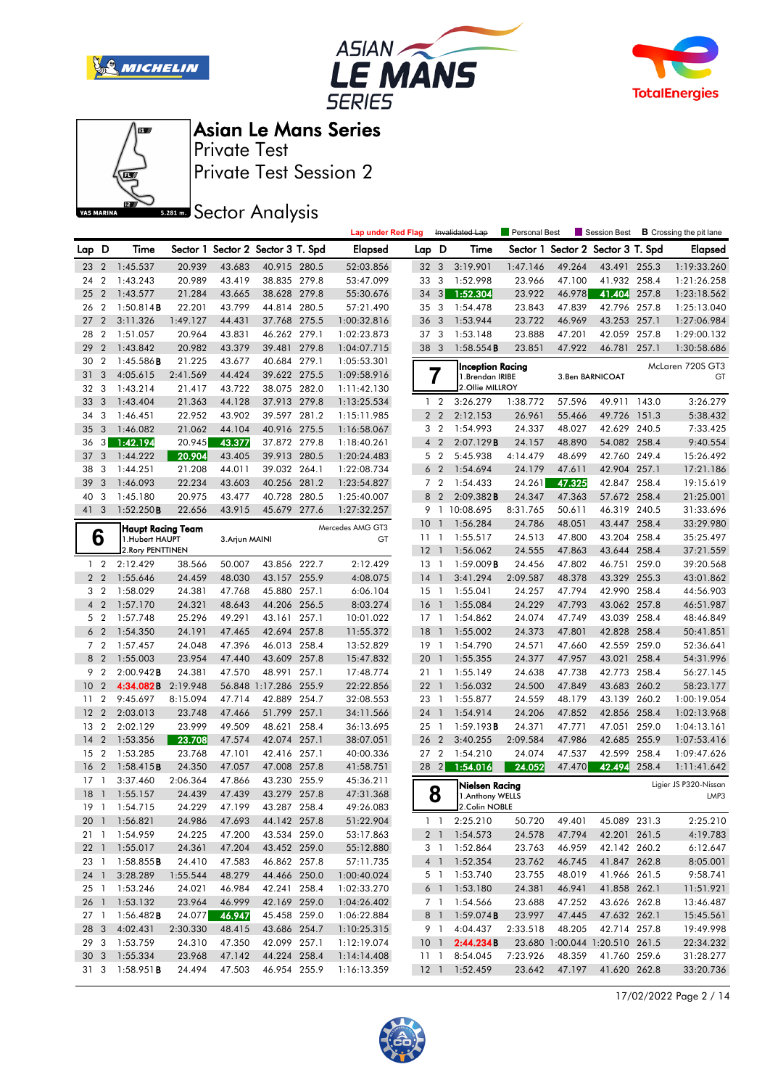







Private Test Session 2 Private Test

**SREAD** Sector Analysis

|                 |                  |                        |          |                |                                   |       | <b>Lap under Red Flag</b> |                 |                | Invalidated Lap            | <b>Personal Best</b> |        | Session Best                   |       | <b>B</b> Crossing the pit lane |
|-----------------|------------------|------------------------|----------|----------------|-----------------------------------|-------|---------------------------|-----------------|----------------|----------------------------|----------------------|--------|--------------------------------|-------|--------------------------------|
| Lap D           |                  | Time                   |          |                | Sector 1 Sector 2 Sector 3 T. Spd |       | <b>Elapsed</b>            | Lap D           |                | Time                       | Sector 1             |        | Sector 2 Sector 3 T. Spd       |       | <b>Elapsed</b>                 |
| 23              | $\overline{2}$   | 1:45.537               | 20.939   | 43.683         | 40.915 280.5                      |       | 52:03.856                 | 32 <sub>3</sub> |                | 3:19.901                   | 1:47.146             | 49.264 | 43.491                         | 255.3 | 1:19:33.260                    |
| 24              | $\overline{2}$   | 1:43.243               | 20.989   | 43.419         | 38.835 279.8                      |       | 53:47.099                 | 33              | 3              | 1:52.998                   | 23.966               | 47.100 | 41.932                         | 258.4 | 1:21:26.258                    |
| 25              | $\overline{2}$   | 1:43.577               | 21.284   | 43.665         | 38.628 279.8                      |       | 55:30.676                 | $34 \quad 3$    |                | 1:52.304                   | 23.922               | 46.978 | 41.404                         | 257.8 | 1:23:18.562                    |
| 26              | $\overline{2}$   | 1:50.814B              | 22.201   | 43.799         | 44.814 280.5                      |       | 57:21.490                 | 35              | 3              | 1:54.478                   | 23.843               | 47.839 | 42.796 257.8                   |       | 1:25:13.040                    |
| 27              | $\overline{2}$   | 3:11.326               | 1:49.127 | 44.431         | 37.768 275.5                      |       | 1:00:32.816               | 36              | $\mathbf{3}$   | 1:53.944                   | 23.722               | 46.969 | 43.253 257.1                   |       | 1:27:06.984                    |
| 28              | $\overline{2}$   | 1:51.057               | 20.964   | 43.831         | 46.262 279.1                      |       | 1:02:23.873               |                 | 37 3           | 1:53.148                   | 23.888               | 47.201 | 42.059                         | 257.8 | 1:29:00.132                    |
| 29              | $\overline{2}$   | 1:43.842               | 20.982   | 43.379         | 39.481 279.8                      |       | 1:04:07.715               | 38 3            |                | 1:58.554B                  | 23.851               | 47.922 | 46.781 257.1                   |       | 1:30:58.686                    |
| 30              | $\overline{2}$   | 1:45.586B              | 21.225   | 43.677         | 40.684 279.1                      |       | 1:05:53.301               |                 |                | Inception Racing           |                      |        |                                |       | McLaren 720S GT3               |
| 31              | 3                | 4:05.615               | 2:41.569 | 44.424         | 39.622 275.5                      |       | 1:09:58.916               |                 | 7              | 1.Brendan IRIBE            |                      |        | 3. Ben BARNICOAT               |       | GT                             |
| 32              | 3                | 1:43.214               | 21.417   | 43.722         | 38.075 282.0                      |       | 1:11:42.130               |                 |                | 2.Ollie MILLROY            |                      |        |                                |       |                                |
| 33              | 3                | 1:43.404               | 21.363   | 44.128         | 37.913 279.8                      |       | 1:13:25.534               |                 | 1 <sub>2</sub> | 3:26.279                   | 1:38.772             | 57.596 | 49.911 143.0                   |       | 3:26.279                       |
| 34              | 3                | 1:46.451               | 22.952   | 43.902         | 39.597 281.2                      |       | 1:15:11.985               |                 | 2 <sub>2</sub> | 2:12.153                   | 26.961               | 55.466 | 49.726 151.3                   |       | 5:38.432                       |
| 35              | 3                | 1:46.082               | 21.062   | 44.104         | 40.916 275.5                      |       | 1:16:58.067               | 3               | $\overline{2}$ | 1:54.993                   | 24.337               | 48.027 | 42.629                         | 240.5 | 7:33.425                       |
| 36              | 3 <sup>1</sup>   | 1:42.194               | 20.945   | 43.377         | 37.872 279.8                      |       | 1:18:40.261               |                 | 4 <sup>2</sup> | 2:07.129B                  | 24.157               | 48.890 | 54.082 258.4                   |       | 9:40.554                       |
| 37              | 3                | 1:44.222               | 20.904   | 43.405         | 39.913 280.5                      |       | 1:20:24.483               |                 | 5 2            | 5:45.938                   | 4:14.479             | 48.699 | 42.760 249.4                   |       | 15:26.492                      |
| 38              | 3                | 1:44.251               | 21.208   | 44.011         | 39.032 264.1                      |       | 1:22:08.734               |                 | 6 <sub>2</sub> | 1:54.694                   | 24.179               | 47.611 | 42.904 257.1                   |       | 17:21.186                      |
| 39              | 3                | 1:46.093               | 22.234   | 43.603         | 40.256 281.2                      |       | 1:23:54.827               |                 | 7 <sub>2</sub> | 1:54.433                   | 24.261               | 47.325 | 42.847                         | 258.4 | 19:15.619                      |
| 40              | 3                | 1:45.180               | 20.975   | 43.477         | 40.728                            | 280.5 | 1:25:40.007               | 8               | $\overline{2}$ | 2:09.382B                  | 24.347               | 47.363 | 57.672 258.4                   |       | 21:25.001                      |
| 41 3            |                  | 1:52.250B              | 22.656   | 43.915         | 45.679 277.6                      |       | 1:27:32.257               |                 |                | 9 1 10:08.695              | 8:31.765             | 50.611 | 46.319 240.5                   |       | 31:33.696                      |
|                 |                  | Haupt Racing Team      |          |                |                                   |       | Mercedes AMG GT3          | 10              | $\mathbf{1}$   | 1:56.284                   | 24.786               | 48.051 | 43.447 258.4                   |       | 33:29.980                      |
|                 | 6                | 1.Hubert HAUPT         |          | 3. Arjun MAINI |                                   |       | GT                        | 11              | $\overline{1}$ | 1:55.517                   | 24.513               | 47.800 | 43.204                         | 258.4 | 35:25.497                      |
|                 |                  | 2. Rory PENTTINEN      |          |                |                                   |       |                           | 12              |                | 1:56.062                   | 24.555               | 47.863 | 43.644 258.4                   |       | 37:21.559                      |
|                 | 1 <sub>2</sub>   | 2:12.429               | 38.566   | 50.007         | 43.856 222.7                      |       | 2:12.429                  | $13-1$          |                | $1:59.009$ <b>B</b>        | 24.456               | 47.802 | 46.751 259.0                   |       | 39:20.568                      |
|                 | 2 <sub>2</sub>   | 1:55.646               | 24.459   | 48.030         | 43.157 255.9                      |       | 4:08.075                  | 14              |                | 3:41.294                   | 2:09.587             | 48.378 | 43.329 255.3                   |       | 43:01.862                      |
|                 | 3 <sub>2</sub>   | 1:58.029               | 24.381   | 47.768         | 45.880                            | 257.1 | 6:06.104                  | 15              | $\overline{1}$ | 1:55.041                   | 24.257               | 47.794 | 42.990                         | 258.4 | 44:56.903                      |
| $\overline{4}$  | $\overline{2}$   | 1:57.170               | 24.321   | 48.643         | 44.206 256.5                      |       | 8:03.274                  | <b>16</b>       |                | 1:55.084                   | 24.229               | 47.793 | 43.062 257.8                   |       | 46:51.987                      |
| 5               | $\overline{2}$   | 1:57.748               | 25.296   | 49.291         | 43.161 257.1                      |       | 10:01.022                 | $17-1$          |                | 1:54.862                   | 24.074               | 47.749 | 43.039 258.4                   |       | 48:46.849                      |
| 6               | $\overline{2}$   | 1:54.350               | 24.191   | 47.465         | 42.694 257.8                      |       | 11:55.372                 | 18              | $\overline{1}$ | 1:55.002                   | 24.373               | 47.801 | 42.828 258.4                   |       | 50:41.851                      |
|                 | 7 <sup>2</sup>   | 1:57.457               | 24.048   | 47.396         | 46.013                            | 258.4 | 13:52.829                 | 19              | $\mathbf{1}$   | 1:54.790                   | 24.571               | 47.660 | 42.559 259.0                   |       | 52:36.641                      |
|                 | 8 2              | 1:55.003               | 23.954   | 47.440         | 43.609 257.8                      |       | 15:47.832                 | 20              |                | 1:55.355                   | 24.377               | 47.957 | 43.021 258.4                   |       | 54:31.996                      |
| 9               | $\overline{2}$   | 2:00.942B              | 24.381   | 47.570         | 48.991 257.1                      |       | 17:48.774                 | 21 1            |                | 1:55.149                   | 24.638               | 47.738 | 42.773 258.4                   |       | 56:27.145                      |
| 10              | $\overline{2}$   | 4:34.082B              | 2:19.948 |                | 56.848 1:17.286                   | 255.9 | 22:22.856                 | 22              | $\overline{1}$ | 1:56.032                   | 24.500               | 47.849 | 43.683 260.2                   |       | 58:23.177                      |
| 11              | $\boldsymbol{2}$ | 9:45.697               | 8:15.094 | 47.714         | 42.889                            | 254.7 | 32:08.553                 | 23              | $\overline{1}$ | 1:55.877                   | 24.559               | 48.179 | 43.139                         | 260.2 | 1:00:19.054                    |
| 12              | $\overline{2}$   | 2:03.013               | 23.748   | 47.466         | 51.799                            | 257.1 | 34:11.566                 | 24              | $\mathbf{1}$   | 1:54.914                   | 24.206               | 47.852 | 42.856 258.4                   |       | 1:02:13.968                    |
| 13              | $\overline{2}$   | 2:02.129               | 23.999   | 49.509         | 48.621 258.4                      |       | 36:13.695                 | 25              | $\overline{1}$ | 1:59.193B                  | 24.371               | 47.771 | 47.051                         | 259.0 | 1:04:13.161                    |
| 14              | $\overline{2}$   | 1:53.356               | 23.708   | 47.574         | 42.074 257.1                      |       | 38:07.051                 | 26              | $\overline{2}$ | 3:40.255                   | 2:09.584             | 47.986 | 42.685 255.9                   |       | 1:07:53.416                    |
| 15              | $\overline{2}$   | 1:53.285               | 23.768   | 47.101         | 42.416 257.1                      |       | 40:00.336                 | 27              | $\overline{2}$ | 1:54.210                   | 24.074               | 47.537 | 42.599                         | 258.4 | 1:09:47.626                    |
| 16              | $\overline{2}$   | 1:58.415B              | 24.350   | 47.057         | 47.008 257.8                      |       | 41:58.751                 |                 | $28 \quad 2$   | 1:54.016                   | 24.052               | 47.470 | 42.494                         | 258.4 | 1:11:41.642                    |
| 17              | $\mathbf{1}$     | 3:37.460               | 2:06.364 | 47.866         | 43.230 255.9                      |       | 45:36.211                 |                 |                | Nielsen Racing             |                      |        |                                |       | Ligier JS P320-Nissan          |
| 18              |                  | $1 \quad 1:55.157$     | 24.439   | 47.439         | 43.279 257.8                      |       | 47:31.368                 |                 | 8              | 1. Anthony WELLS           |                      |        |                                |       | LMP3                           |
|                 |                  | 19 1 1:54.715          | 24.229   | 47.199         | 43.287 258.4                      |       | 49:26.083                 |                 |                | 2.Colin NOBLE              |                      |        |                                |       |                                |
|                 |                  | 20 1 1:56.821          | 24.986   | 47.693         | 44.142 257.8                      |       | 51:22.904                 |                 |                | $1 \quad 1 \quad 2:25.210$ | 50.720               | 49.401 | 45.089 231.3                   |       | 2:25.210                       |
|                 |                  | 21 1 1:54.959          | 24.225   | 47.200         | 43.534 259.0                      |       | 53:17.863                 |                 |                | 2 1 1:54.573               | 24.578               | 47.794 | 42.201 261.5                   |       | 4:19.783                       |
|                 |                  | 22 1 1:55.017          | 24.361   | 47.204         | 43.452 259.0                      |       | 55:12.880                 |                 |                | 3 1 1:52.864               | 23.763               | 46.959 | 42.142 260.2                   |       | 6:12.647                       |
| 23 1            |                  | 1:58.855B              | 24.410   | 47.583         | 46.862 257.8                      |       | 57:11.735                 |                 |                | 4 1 1:52.354               | 23.762               | 46.745 | 41.847 262.8                   |       | 8:05.001                       |
|                 | 24 1             | 3:28.289               | 1:55.544 | 48.279         | 44.466 250.0                      |       | 1:00:40.024               |                 |                | 5 1 1:53.740               | 23.755               | 48.019 | 41.966 261.5                   |       | 9:58.741                       |
| 25 1            |                  | 1:53.246               | 24.021   | 46.984         | 42.241 258.4                      |       | 1:02:33.270               |                 |                | 6 1 1:53.180               | 24.381               | 46.941 | 41.858 262.1                   |       | 11:51.921                      |
| 26 1            |                  | 1:53.132               | 23.964   | 46.999         | 42.169 259.0                      |       | 1:04:26.402               |                 | 7 1            | 1:54.566                   | 23.688               | 47.252 | 43.626 262.8                   |       | 13:46.487                      |
| 27 <sub>1</sub> |                  | $1:56.482$ <b>B</b>    | 24.077   | 46.947         | 45.458 259.0                      |       | 1:06:22.884               |                 |                | 8 1 1:59.074B              | 23.997               | 47.445 | 47.632 262.1                   |       | 15:45.561                      |
|                 | 28 3             | 4:02.431               | 2:30.330 | 48.415         | 43.686 254.7                      |       | 1:10:25.315               |                 |                | 9 1 4:04.437               | 2:33.518             | 48.205 | 42.714 257.8                   |       | 19:49.998                      |
|                 |                  | 29 3 1:53.759          | 24.310   | 47.350         | 42.099 257.1                      |       | 1:12:19.074               |                 |                | 10 1 2:44.234B             |                      |        | 23.680 1:00.044 1:20.510 261.5 |       | 22:34.232                      |
|                 |                  | 30 3 1:55.334          | 23.968   | 47.142         | 44.224 258.4                      |       | 1:14:14.408               |                 |                | 11 1 8:54.045              | 7:23.926             | 48.359 | 41.760 259.6                   |       | 31:28.277                      |
|                 |                  | 31 3 1:58.951 <b>B</b> | 24.494   | 47.503         | 46.954 255.9                      |       | 1:16:13.359               |                 |                | 12 1 1:52.459              | 23.642               | 47.197 | 41.620 262.8                   |       | 33:20.736                      |
|                 |                  |                        |          |                |                                   |       |                           |                 |                |                            |                      |        |                                |       |                                |

17/02/2022 Page 2 / 14

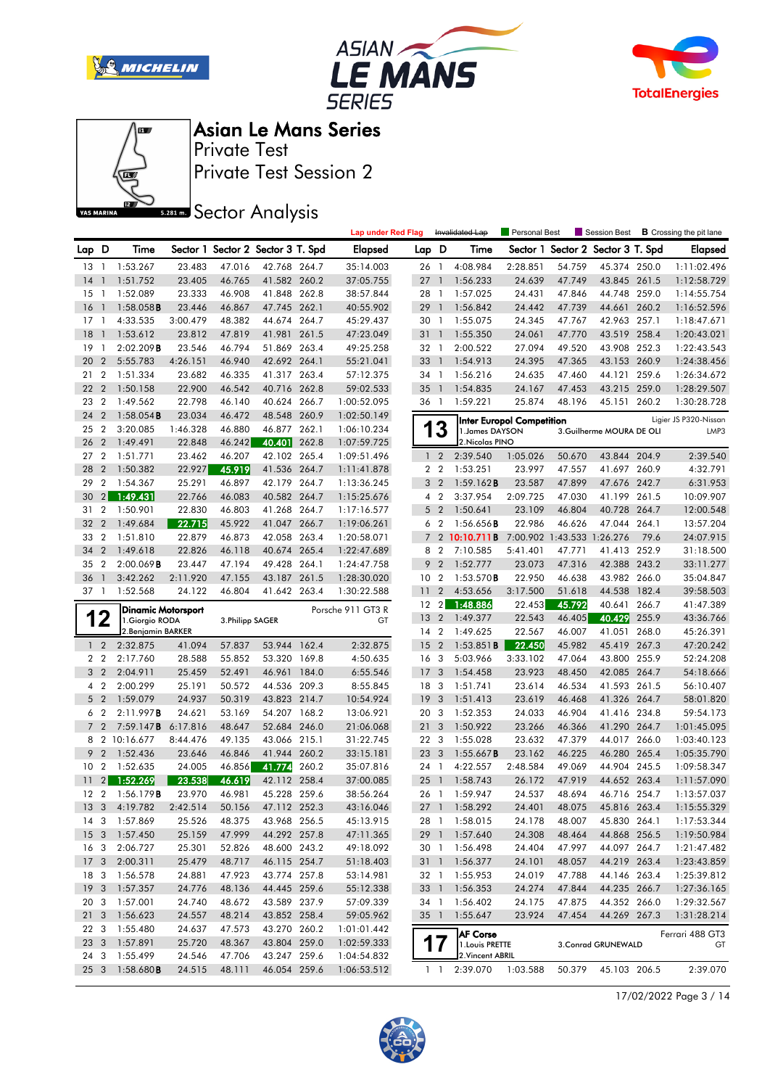







Private Test Session 2 Private Test

**SREAD** Sector Analysis

|                 |                          |                                       |                  |                  |                                   |       | <b>Lap under Red Flag</b>  |                 |                         | Invalidated Lap              | Personal Best                    |                  | Session Best                 |              | <b>B</b> Crossing the pit lane |
|-----------------|--------------------------|---------------------------------------|------------------|------------------|-----------------------------------|-------|----------------------------|-----------------|-------------------------|------------------------------|----------------------------------|------------------|------------------------------|--------------|--------------------------------|
| Lap D           |                          | Time                                  |                  |                  | Sector 1 Sector 2 Sector 3 T. Spd |       | <b>Elapsed</b>             | Lap D           |                         | Time                         | Sector 1                         |                  | Sector 2 Sector 3 T. Spd     |              | <b>Elapsed</b>                 |
| 13              | $\overline{1}$           | 1:53.267                              | 23.483           | 47.016           | 42.768 264.7                      |       | 35:14.003                  | 26 1            |                         | 4:08.984                     | 2:28.851                         | 54.759           | 45.374 250.0                 |              | 1:11:02.496                    |
| 14              | $\overline{\phantom{a}}$ | 1:51.752                              | 23.405           | 46.765           | 41.582 260.2                      |       | 37:05.755                  | 27              | $\overline{1}$          | 1:56.233                     | 24.639                           | 47.749           | 43.845 261.5                 |              | 1:12:58.729                    |
| 15              | $\overline{1}$           | 1:52.089                              | 23.333           | 46.908           | 41.848 262.8                      |       | 38:57.844                  | 28 1            |                         | 1:57.025                     | 24.431                           | 47.846           | 44.748 259.0                 |              | 1:14:55.754                    |
| 16              | $\overline{1}$           | $1:58.058$ B                          | 23.446           | 46.867           | 47.745 262.1                      |       | 40:55.902                  | 29              | $\overline{1}$          | 1:56.842                     | 24.442                           | 47.739           | 44.661                       | 260.2        | 1:16:52.596                    |
| 17              | $\overline{1}$           | 4:33.535                              | 3:00.479         | 48.382           | 44.674 264.7                      |       | 45:29.437                  | 30 1            |                         | 1:55.075                     | 24.345                           | 47.767           | 42.963 257.1                 |              | 1:18:47.671                    |
| 18              | $\mathbf{1}$             | 1:53.612                              | 23.812           | 47.819           | 41.981                            | 261.5 | 47:23.049                  | 31              | $\mathbf{1}$            | 1:55.350                     | 24.061                           | 47.770           | 43.519 258.4                 |              | 1:20:43.021                    |
| 19              | $\overline{1}$           | 2:02.209B                             | 23.546           | 46.794           | 51.869 263.4                      |       | 49:25.258                  | 32 1            |                         | 2:00.522                     | 27.094                           | 49.520           | 43.908 252.3                 |              | 1:22:43.543                    |
| 20              | $\overline{2}$           | 5:55.783                              | 4:26.151         | 46.940           | 42.692 264.1                      |       | 55:21.041                  | 33 1            |                         | 1:54.913                     | 24.395                           | 47.365           | 43.153 260.9                 |              | 1:24:38.456                    |
| 21              | $\overline{2}$           | 1:51.334                              | 23.682           | 46.335           | 41.317 263.4                      |       | 57:12.375                  | 34 1            |                         | 1:56.216                     | 24.635                           | 47.460           | 44.121                       | 259.6        | 1:26:34.672                    |
| 22              | $\overline{2}$           | 1:50.158                              | 22.900           | 46.542           | 40.716 262.8                      |       | 59:02.533                  | 35              | $\overline{1}$          | 1:54.835                     | 24.167                           | 47.453           | 43.215 259.0                 |              | 1:28:29.507                    |
| 23              | $\overline{2}$           | 1:49.562                              | 22.798           | 46.140           | 40.624 266.7                      |       | 1:00:52.095                | 36 1            |                         | 1:59.221                     | 25.874                           | 48.196           | 45.151 260.2                 |              | 1:30:28.728                    |
| 24              | $\overline{2}$           | $1:58.054$ <b>B</b>                   | 23.034           | 46.472           | 48.548 260.9                      |       | 1:02:50.149                |                 |                         |                              | <b>Inter Europol Competition</b> |                  |                              |              | Ligier JS P320-Nissan          |
| 25              | $\overline{2}$           | 3:20.085                              | 1:46.328         | 46.880           | 46.877 262.1                      |       | 1:06:10.234                |                 | 13                      | 1. James DAYSON              |                                  |                  | 3.Guilherme MOURA DE OLI     |              | LMP3                           |
| 26              | $\overline{2}$           | 1:49.491                              | 22.848           | 46.242           | 40.401                            | 262.8 | 1:07:59.725                |                 |                         | 2. Nicolas PINO              |                                  |                  |                              |              |                                |
| 27              | $\overline{2}$           | 1:51.771                              | 23.462           | 46.207           | 42.102 265.4                      |       | 1:09:51.496                |                 | 1 <sub>2</sub>          | 2:39.540                     | 1:05.026                         | 50.670           | 43.844 204.9                 |              | 2:39.540                       |
| 28              | $\overline{2}$           | 1:50.382                              | 22.927           | 45.919           | 41.536 264.7                      |       | 1:11:41.878                |                 | 2 <sub>2</sub>          | 1:53.251                     | 23.997                           | 47.557           | 41.697 260.9                 |              | 4:32.791                       |
| 29              | $\overline{2}$           | 1:54.367                              | 25.291           | 46.897           | 42.179                            | 264.7 | 1:13:36.245                | 3               | $\overline{2}$          | $1:59.162$ <b>B</b>          | 23.587                           | 47.899           | 47.676 242.7                 |              | 6:31.953                       |
| 30              |                          | 2 1:49.431                            | 22.766           | 46.083           | 40.582 264.7                      |       | 1:15:25.676                |                 | 4 <sup>2</sup>          | 3:37.954                     | 2:09.725                         | 47.030           | 41.199 261.5                 |              | 10:09.907                      |
| 31              | $\overline{2}$           | 1:50.901                              | 22.830           | 46.803           | 41.268 264.7                      |       | 1:17:16.577                |                 | 5 <sub>2</sub>          | 1:50.641                     | 23.109                           | 46.804           | 40.728 264.7                 |              | 12:00.548                      |
| 32              | $\overline{2}$           | 1:49.684                              | 22.715           | 45.922           | 41.047                            | 266.7 | 1:19:06.261                |                 | 6 <sub>2</sub>          | 1:56.656B                    | 22.986                           | 46.626           | 47.044 264.1                 |              | 13:57.204                      |
| 33              | $\overline{2}$           | 1:51.810                              | 22.879           | 46.873           | 42.058 263.4                      |       | 1:20:58.071                | $\overline{7}$  | $\overline{2}$          | 10:10.711B                   | 7:00.902 1:43.533 1:26.276       |                  |                              | 79.6         | 24:07.915                      |
| 34              | $\overline{2}$           | 1:49.618                              | 22.826           | 46.118           | 40.674 265.4                      |       | 1:22:47.689                |                 | 8 2                     | 7:10.585                     | 5:41.401                         | 47.771           | 41.413 252.9                 |              | 31:18.500                      |
| 35              | $\overline{2}$           | $2:00.069$ <b>B</b>                   | 23.447           | 47.194           | 49.428 264.1                      |       | 1:24:47.758                |                 | 9 <sub>2</sub>          | 1:52.777                     | 23.073                           | 47.316           | 42.388 243.2                 |              | 33:11.277                      |
| 36              | $\overline{1}$           | 3:42.262                              | 2:11.920         | 47.155           | 43.187                            | 261.5 | 1:28:30.020                | 10 <sub>2</sub> |                         | $1:53.570$ B                 | 22.950                           | 46.638           | 43.982 266.0                 |              | 35:04.847                      |
| 37 1            |                          | 1:52.568                              | 24.122           | 46.804           | 41.642 263.4                      |       | 1:30:22.588                | 11              | $\overline{2}$          | 4:53.656                     | 3:17.500                         | 51.618           | 44.538 182.4                 |              | 39:58.503                      |
|                 |                          | <b>Dinamic Motorsport</b>             |                  |                  |                                   |       | Porsche 911 GT3 R          | 12 2<br>13      | $\overline{2}$          | 1:48.886<br>1:49.377         | 22.453<br>22.543                 | 45.792<br>46.405 | 40.641 266.7<br>40.429       | 255.9        | 41:47.389<br>43:36.766         |
| 1               | $\mathbf 2$              | 1. Giorgio RODA<br>2. Benjamin BARKER |                  | 3. Philipp SAGER |                                   |       | GT                         | 14 2            |                         | 1:49.625                     | 22.567                           | 46.007           | 41.051                       | 268.0        | 45:26.391                      |
|                 | $1\quad 2$               | 2:32.875                              | 41.094           | 57.837           | 53.944 162.4                      |       | 2:32.875                   | 15              | $\overline{2}$          | 1:53.851B                    | 22.450                           | 45.982           | 45.419 267.3                 |              | 47:20.242                      |
| 2 <sub>2</sub>  |                          | 2:17.760                              |                  | 55.852           | 53.320 169.8                      |       |                            |                 |                         | 5:03.966                     | 3:33.102                         | 47.064           |                              | 43.800 255.9 | 52:24.208                      |
|                 | 3 <sub>2</sub>           |                                       |                  |                  |                                   |       |                            |                 |                         |                              |                                  |                  |                              |              |                                |
|                 |                          |                                       | 28.588           |                  |                                   |       | 4:50.635                   | 16 <sub>3</sub> |                         |                              |                                  |                  |                              |              |                                |
|                 |                          | 2:04.911                              | 25.459           | 52.491           | 46.961 184.0                      |       | 6:55.546                   | 17 <sub>3</sub> |                         | 1:54.458                     | 23.923                           | 48.450           | 42.085 264.7                 |              | 54:18.666                      |
|                 | 4 <sup>2</sup>           | 2:00.299                              | 25.191           | 50.572           | 44.536 209.3                      |       | 8:55.845                   | 18 3            |                         | 1:51.741                     | 23.614                           | 46.534           | 41.593 261.5                 |              | 56:10.407                      |
| 6 <sub>2</sub>  | 5 <sub>2</sub>           | 1:59.079<br>2:11.997B                 | 24.937<br>24.621 | 50.319<br>53.169 | 43.823 214.7<br>54.207 168.2      |       | 10:54.924<br>13:06.921     | 19<br>20 3      | $\overline{\mathbf{3}}$ | 1:51.413<br>1:52.353         | 23.619<br>24.033                 | 46.468<br>46.904 | 41.326 264.7<br>41.416 234.8 |              | 58:01.820                      |
| $7^{\circ}$     | $\overline{2}$           | 7:59.147B                             | 6:17.816         | 48.647           | 52.684 246.0                      |       | 21:06.068                  | 21 <sub>3</sub> |                         | 1:50.922                     | 23.266                           | 46.366           | 41.290 264.7                 |              | 59:54.173<br>1:01:45.095       |
| 8               |                          | 2 10:16.677                           | 8:44.476         | 49.135           | 43.066 215.1                      |       | 31:22.745                  | 22 3            |                         | 1:55.028                     | 23.632                           | 47.379           | 44.017                       | 266.0        | 1:03:40.123                    |
| 9               | $\overline{2}$           | 1:52.436                              | 23.646           | 46.846           | 41.944 260.2                      |       | 33:15.181                  | 23 3            |                         | $1:55.667$ <b>B</b>          | 23.162                           | 46.225           | 46.280 265.4                 |              | 1:05:35.790                    |
| 10              | $\overline{2}$           | 1:52.635                              | 24.005           | 46.856           | 41.774 260.2                      |       | 35:07.816                  | 24 1            |                         | 4:22.557                     | 2:48.584                         | 49.069           | 44.904 245.5                 |              | 1:09:58.347                    |
| 11              | 2                        | 1:52.269                              | 23.538           | 46.619           | 42.112 258.4                      |       | 37:00.085                  | 25              | $\overline{1}$          | 1:58.743                     | 26.172                           | 47.919           | 44.652 263.4                 |              | 1:11:57.090                    |
| 12              | $\overline{2}$           | 1:56.179B                             | 23.970           | 46.981           | 45.228 259.6                      |       | 38:56.264                  | 26 1            |                         | 1:59.947                     | 24.537                           | 48.694           | 46.716 254.7                 |              | 1:13:57.037                    |
|                 |                          | 13 3 4:19.782                         | 2:42.514         | 50.156           | 47.112 252.3                      |       | 43:16.046                  |                 |                         | 27 1 1:58.292                | 24.401                           | 48.075           | 45.816 263.4                 |              | 1:15:55.329                    |
|                 |                          | 14 3 1:57.869                         | 25.526           | 48.375           | 43.968 256.5                      |       | 45:13.915                  |                 |                         | 28 1 1:58.015                | 24.178                           | 48.007           | 45.830 264.1                 |              | 1:17:53.344                    |
|                 |                          | 15 3 1:57.450                         | 25.159           | 47.999           | 44.292 257.8                      |       | 47:11.365                  |                 |                         | 29 1 1:57.640                | 24.308                           | 48.464           | 44.868 256.5                 |              | 1:19:50.984                    |
| 16 <sub>3</sub> |                          | 2:06.727                              | 25.301           | 52.826           | 48.600 243.2                      |       | 49:18.092                  |                 |                         | 30 1 1:56.498                | 24.404                           | 47.997           | 44.097 264.7                 |              | 1:21:47.482                    |
| 17 <sub>3</sub> |                          | 2:00.311                              | 25.479           | 48.717           | 46.115 254.7                      |       | 51:18.403                  |                 |                         | 31 1 1:56.377                | 24.101                           | 48.057           | 44.219 263.4                 |              | 1:23:43.859                    |
| 18 3            |                          | 1:56.578                              | 24.881           | 47.923           | 43.774 257.8                      |       | 53:14.981                  |                 |                         | 32 1 1:55.953                | 24.019                           | 47.788           | 44.146 263.4                 |              | 1:25:39.812                    |
| 19 3            |                          | 1:57.357                              | 24.776           | 48.136           | 44.445 259.6                      |       | 55:12.338                  |                 |                         | 33 1 1:56.353                | 24.274                           | 47.844           | 44.235 266.7                 |              | 1:27:36.165                    |
| 20 3            |                          | 1:57.001                              | 24.740           | 48.672           | 43.589 237.9                      |       | 57:09.339                  |                 |                         | 34 1 1:56.402                | 24.175                           | 47.875           | 44.352 266.0                 |              | 1:29:32.567                    |
| 21 3            |                          | 1:56.623                              | 24.557           | 48.214           | 43.852 258.4                      |       | 59:05.962                  |                 |                         | 35 1 1:55.647                | 23.924                           | 47.454           | 44.269 267.3                 |              | 1:31:28.214                    |
| 22 3            |                          | 1:55.480                              | 24.637           | 47.573           | 43.270 260.2                      |       | 1:01:01.442                |                 |                         | <b>AF Corse</b>              |                                  |                  |                              |              | Ferrari 488 GT3                |
| 23 3            |                          | 1:57.891                              | 25.720           | 48.367           | 43.804 259.0                      |       | 1:02:59.333                |                 | 17                      | 1. Louis PRETTE              |                                  |                  | 3. Conrad GRUNEWALD          |              | GT                             |
| 24 3            | 25 <sub>3</sub>          | 1:55.499<br>1:58.680B                 | 24.546<br>24.515 | 47.706<br>48.111 | 43.247 259.6<br>46.054 259.6      |       | 1:04:54.832<br>1:06:53.512 |                 | $1\quad1$               | 2. Vincent ABRIL<br>2:39.070 | 1:03.588                         | 50.379           | 45.103 206.5                 |              | 2:39.070                       |

17/02/2022 Page 3 / 14

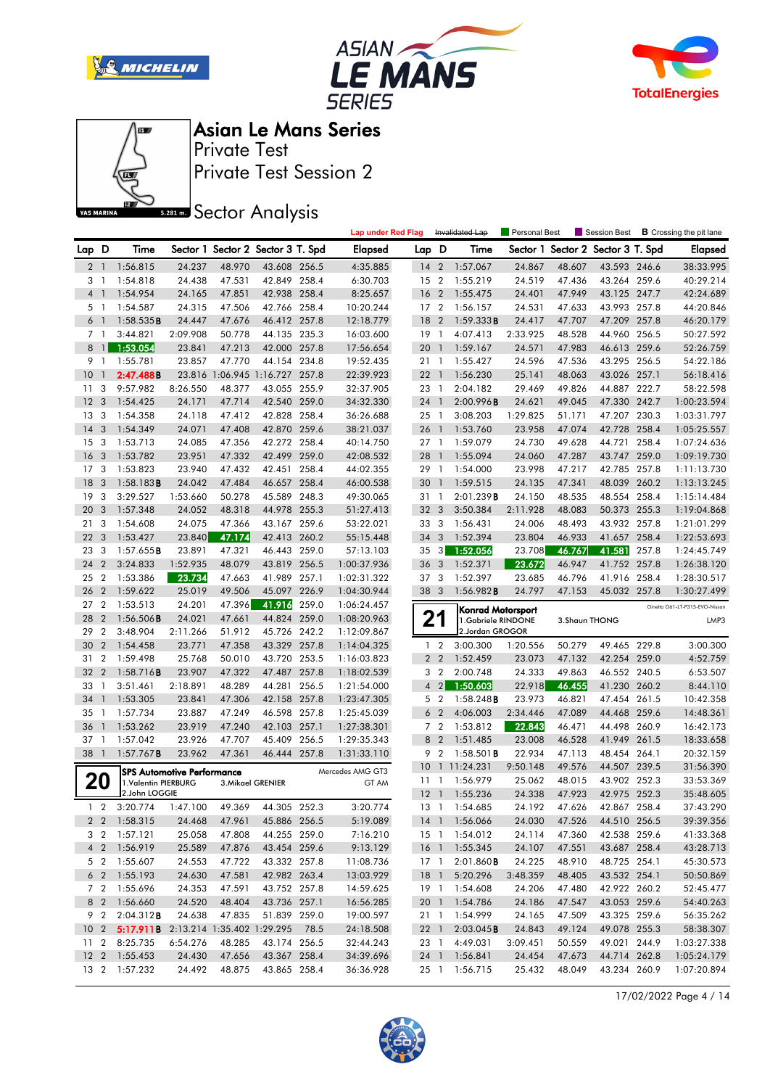







Private Test Session 2 Private Test

**SREAD** Sector Analysis

|                |                |                                           |                                   |                  |                                   |       | <b>Lap under Red Flag</b> |                 |                              | Invalidated Lap                | Personal Best    |                  | Session Best                      |              | <b>B</b> Crossing the pit lane |
|----------------|----------------|-------------------------------------------|-----------------------------------|------------------|-----------------------------------|-------|---------------------------|-----------------|------------------------------|--------------------------------|------------------|------------------|-----------------------------------|--------------|--------------------------------|
| Lap D          |                | Time                                      |                                   |                  | Sector 1 Sector 2 Sector 3 T. Spd |       | <b>Elapsed</b>            | Lap D           |                              | Time                           |                  |                  | Sector 1 Sector 2 Sector 3 T. Spd |              | <b>Elapsed</b>                 |
| $\overline{2}$ | $\overline{1}$ | 1:56.815                                  | 24.237                            | 48.970           | 43.608 256.5                      |       | 4:35.885                  | 14 <sub>2</sub> |                              | 1:57.067                       | 24.867           | 48.607           | 43.593 246.6                      |              | 38:33.995                      |
| 3              | - 1            | 1:54.818                                  | 24.438                            | 47.531           | 42.849 258.4                      |       | 6:30.703                  | 15              | $\overline{2}$               | 1:55.219                       | 24.519           | 47.436           | 43.264 259.6                      |              | 40:29.214                      |
| 4              | $\overline{1}$ | 1:54.954                                  | 24.165                            | 47.851           | 42.938 258.4                      |       | 8:25.657                  | 16 <sub>2</sub> |                              | 1:55.475                       | 24.401           | 47.949           | 43.125 247.7                      |              | 42:24.689                      |
| 5 1            |                | 1:54.587                                  | 24.315                            | 47.506           | 42.766 258.4                      |       | 10:20.244                 | 17 <sub>2</sub> |                              | 1:56.157                       | 24.531           | 47.633           | 43.993 257.8                      |              | 44:20.846                      |
| 6              | $\overline{1}$ | 1:58.535B                                 | 24.447                            | 47.676           | 46.412 257.8                      |       | 12:18.779                 | 18              | $\overline{2}$               | 1:59.333B                      | 24.417           | 47.707           | 47.209 257.8                      |              | 46:20.179                      |
| 7 <sub>1</sub> |                | 3:44.821                                  | 2:09.908                          | 50.778           | 44.135 235.3                      |       | 16:03.600                 | 19              | $\overline{1}$               | 4:07.413                       | 2:33.925         | 48.528           | 44.960 256.5                      |              | 50:27.592                      |
| 8              | $\mathbf{1}$   | 1:53.054                                  | 23.841                            | 47.213           | 42.000 257.8                      |       | 17:56.654                 | 20              | $\overline{1}$               | 1:59.167                       | 24.571           | 47.983           | 46.613 259.6                      |              | 52:26.759                      |
| 9 1            |                | 1:55.781                                  | 23.857                            | 47.770           | 44.154 234.8                      |       | 19:52.435                 | 21              | $\overline{1}$               | 1:55.427                       | 24.596           | 47.536           | 43.295 256.5                      |              | 54:22.186                      |
| 10             | $\mathbf{1}$   | 2:47.488B                                 |                                   |                  | 23.816 1:06.945 1:16.727 257.8    |       | 22:39.923                 | 221             |                              | 1:56.230                       | 25.141           | 48.063           | 43.026 257.1                      |              | 56:18.416                      |
| 11             | 3              | 9:57.982                                  | 8:26.550                          | 48.377           | 43.055 255.9                      |       | 32:37.905                 | 23              | $\overline{1}$               | 2:04.182                       | 29.469           | 49.826           | 44.887 222.7                      |              | 58:22.598                      |
| 12             | 3              | 1:54.425                                  | 24.171                            | 47.714           | 42.540 259.0                      |       | 34:32.330                 | 24              | $\overline{1}$               | 2:00.996B                      | 24.621           | 49.045           | 47.330 242.7                      |              | 1:00:23.594                    |
| 13             | 3              | 1:54.358                                  | 24.118                            | 47.412           | 42.828 258.4                      |       | 36:26.688                 | 25              | $\overline{1}$               | 3:08.203                       | 1:29.825         | 51.171           | 47.207 230.3                      |              | 1:03:31.797                    |
| 14             | 3              | 1:54.349                                  | 24.071                            | 47.408           | 42.870                            | 259.6 | 38:21.037                 | 26 1            |                              | 1:53.760                       | 23.958           | 47.074           | 42.728 258.4                      |              | 1:05:25.557                    |
| 15             | 3              | 1:53.713                                  | 24.085                            | 47.356           | 42.272 258.4                      |       | 40:14.750                 | 27 1            |                              | 1:59.079                       | 24.730           | 49.628           | 44.721                            | 258.4        | 1:07:24.636                    |
| 16             | 3              | 1:53.782                                  | 23.951                            | 47.332           | 42.499 259.0                      |       | 42:08.532                 | 28              | $\overline{1}$               | 1:55.094                       | 24.060           | 47.287           | 43.747 259.0                      |              | 1:09:19.730                    |
| 17             | 3              | 1:53.823                                  | 23.940                            | 47.432           | 42.451 258.4                      |       | 44:02.355                 | 29 1            |                              | 1:54.000                       | 23.998           | 47.217           | 42.785 257.8                      |              | 1:11:13.730                    |
| 18             | 3              | 1:58.183B                                 | 24.042                            | 47.484           | 46.657 258.4                      |       | 46:00.538                 | 30              | $\overline{1}$               | 1:59.515                       | 24.135           | 47.341           | 48.039                            | 260.2        | 1:13:13.245                    |
| 19             | 3              | 3:29.527                                  | 1:53.660                          | 50.278           | 45.589 248.3                      |       | 49:30.065                 | 31              | -1                           | 2:01.239B                      | 24.150           | 48.535           | 48.554 258.4                      |              | 1:15:14.484                    |
| 20             | 3              | 1:57.348                                  | 24.052                            | 48.318           | 44.978                            | 255.3 | 51:27.413                 | 32 <sub>3</sub> |                              | 3:50.384                       | 2:11.928         | 48.083           | 50.373 255.3                      |              | 1:19:04.868                    |
| 21             | 3              | 1:54.608                                  | 24.075                            | 47.366           | 43.167 259.6                      |       | 53:22.021                 | 33              | $\overline{\mathbf{3}}$      | 1:56.431                       | 24.006           | 48.493           | 43.932 257.8                      |              | 1:21:01.299                    |
| 22             | 3              | 1:53.427                                  | 23.840                            | 47.174           | 42.413 260.2                      |       | 55:15.448                 | 34 3            |                              | 1:52.394                       | 23.804           | 46.933           | 41.657 258.4                      |              | 1:22:53.693                    |
| 23             | 3              | 1:57.655B                                 | 23.891                            | 47.321           | 46.443 259.0                      |       | 57:13.103                 | $35\quad3$      |                              | 1:52.056                       | 23.708           | 46.767           | 41.581                            | 257.8        | 1:24:45.749                    |
| 24             | $\overline{2}$ | 3:24.833                                  | 1:52.935                          | 48.079           | 43.819 256.5                      |       | 1:00:37.936               | 36 <sub>3</sub> |                              | 1:52.371                       | 23.672           | 46.947           | 41.752 257.8                      |              | 1:26:38.120                    |
| 25             | $\overline{2}$ | 1:53.386                                  | 23.734                            | 47.663           | 41.989 257.1                      |       | 1:02:31.322               | 373             |                              | 1:52.397                       | 23.685           | 46.796           | 41.916 258.4                      |              | 1:28:30.517                    |
| 26             | $\overline{2}$ | 1:59.622                                  | 25.019                            | 49.506           | 45.097 226.9                      |       | 1:04:30.944               | 38 3            |                              | 1:56.982B                      | 24.797           | 47.153           | 45.032 257.8                      |              | 1:30:27.499                    |
| 27             | $\overline{2}$ | 1:53.513                                  | 24.201                            | 47.396           | 41.916                            | 259.0 | 1:06:24.457               |                 |                              | <b>Konrad Motorsport</b>       |                  |                  |                                   |              | Ginetta G61-LT-P315-EVO-Nissan |
| 28             | $\overline{2}$ | 1:56.506B                                 | 24.021                            | 47.661           | 44.824                            | 259.0 | 1:08:20.963               | 21              |                              | 1.Gabriele RINDONE             |                  |                  | 3. Shaun THONG                    |              | LMP3                           |
| 29             | $\overline{2}$ | 3:48.904                                  | 2:11.266                          | 51.912           | 45.726 242.2                      |       | 1:12:09.867               |                 |                              | 2.Jordan GROGOR                |                  |                  |                                   |              |                                |
|                |                |                                           |                                   |                  |                                   |       |                           |                 |                              | 3:00.300                       |                  |                  |                                   |              |                                |
| 30             | $\overline{2}$ | 1:54.458                                  | 23.771                            | 47.358           | 43.329 257.8                      |       | 1:14:04.325               | $\mathbf{1}$    | $\overline{2}$               |                                | 1:20.556         | 50.279           |                                   | 49.465 229.8 | 3:00.300                       |
| 31             | $\overline{2}$ | 1:59.498                                  | 25.768                            | 50.010           | 43.720 253.5                      |       | 1:16:03.823               | 2 <sub>2</sub>  |                              | 1:52.459                       | 23.073           | 47.132           | 42.254 259.0                      |              | 4:52.759                       |
| 32             | $\overline{2}$ | 1:58.716B                                 | 23.907                            | 47.322           | 47.487 257.8                      |       | 1:18:02.539               | 3               | $\overline{2}$               | 2:00.748                       | 24.333           | 49.863           | 46.552 240.5                      |              | 6:53.507                       |
| 33             | $\mathbf{1}$   | 3:51.461                                  | 2:18.891                          | 48.289           | 44.281 256.5                      |       | 1:21:54.000               | $\overline{4}$  | $\left  \frac{2}{2} \right $ | 1:50.603                       | 22.918           | 46.455           | 41.230 260.2                      |              | 8:44.110                       |
| 34             | 1              | 1:53.305                                  | 23.841                            | 47.306           | 42.158 257.8                      |       | 1:23:47.305               | 5 <sub>2</sub>  |                              | $1:58.248$ <b>B</b>            | 23.973           | 46.821           | 47.454                            | 261.5        | 10:42.358                      |
| 35             | -1             | 1:57.734                                  | 23.887                            | 47.249           | 46.598 257.8                      |       | 1:25:45.039               | 6               | $\overline{2}$               | 4:06.003                       | 2:34.446         | 47.089           | 44.468 259.6                      |              | 14:48.361                      |
| 36             | $\mathbf{1}$   | 1:53.262                                  | 23.919                            | 47.240           | 42.103 257.1                      |       | 1:27:38.301               |                 | 7 <sub>2</sub>               | 1:53.812                       | 22.843           | 46.471           | 44.498 260.9                      |              | 16:42.173                      |
| 37             | $\overline{1}$ | 1:57.042                                  | 23.926                            | 47.707           | 45.409                            | 256.5 | 1:29:35.343               | 8               | $\overline{2}$               | 1:51.485                       | 23.008           | 46.528           | 41.949                            | 261.5        | 18:33.658                      |
| 38             | $\overline{1}$ | 1:57.767B                                 | 23.962                            | 47.361           | 46.444 257.8                      |       | 1:31:33.110               | 9               | $\overline{2}$               | $1:58.501$ <b>B</b>            | 22.934           | 47.113           | 48.454 264.1                      |              | 20:32.159                      |
|                |                |                                           |                                   |                  |                                   |       | Mercedes AMG GT3          | 10              |                              | 1 11:24.231                    | 9:50.148         | 49.576           | 44.507 239.5                      |              | 31:56.390                      |
|                |                | 1.Valentin PIERBURG                       | <b>SPS Automotive Performance</b> |                  | 3. Mikael GRENIER                 |       | GT AM                     | 11              | -1                           | 1:56.979                       | 25.062           | 48.015           | 43.902 252.3                      |              | 33:53.369                      |
| 20             |                | 2.John LOGGIE                             |                                   |                  |                                   |       |                           | $12-1$          |                              | 1:55.236                       | 24.338           | 47.923           | 42.975 252.3                      |              | 35:48.605                      |
| $\mathbf{1}$   | $\overline{2}$ | 3:20.774 1:47.100                         |                                   | 49.369           | 44.305 252.3                      |       | 3:20.774                  |                 |                              | 13 1 1:54.685                  | 24.192           | 47.626           | 42.867 258.4                      |              | 37:43.290                      |
|                |                | 2 2 1:58.315                              | 24.468                            | 47.961           | 45.886 256.5                      |       | 5:19.089                  |                 |                              | 14 1 1:56.066                  | 24.030           | 47.526           | 44.510 256.5                      |              | 39:39.356                      |
|                |                | 3 2 1:57.121                              | 25.058                            | 47.808           | 44.255 259.0                      |       | 7:16.210                  |                 |                              | 15 1 1:54.012                  | 24.114           | 47.360           | 42.538 259.6                      |              | 41:33.368                      |
|                |                | 4 2 1:56.919                              | 25.589                            | 47.876           | 43.454 259.6                      |       | 9:13.129                  |                 |                              | 16 1 1:55.345                  | 24.107           | 47.551           | 43.687 258.4                      |              | 43:28.713                      |
|                | 5 2            | 1:55.607                                  | 24.553                            | 47.722           | 43.332 257.8                      |       | 11:08.736                 | 17 1            |                              | 2:01.860B                      | 24.225           | 48.910           | 48.725 254.1                      |              | 45:30.573                      |
|                |                | 6 2 1:55.193                              | 24.630                            | 47.581           | 42.982 263.4                      |       | 13:03.929                 | 18 1            |                              | 5:20.296                       | 3:48.359         | 48.405           | 43.532 254.1                      |              | 50:50.869                      |
|                |                | 7 2 1:55.696                              | 24.353                            | 47.591           | 43.752 257.8                      |       | 14:59.625                 | 19 1            |                              | 1:54.608                       | 24.206           | 47.480           | 42.922 260.2                      |              | 52:45.477                      |
|                | 8 2            | 1:56.660                                  | 24.520                            | 48.404           | 43.736 257.1                      |       | 16:56.285                 |                 |                              | 20 1 1:54.786                  | 24.186           | 47.547           | 43.053 259.6                      |              | 54:40.263                      |
|                | 9 2            | 2:04.312B                                 | 24.638                            | 47.835           | 51.839 259.0                      |       | 19:00.597                 | 21 1            |                              | 1:54.999                       | 24.165           | 47.509           | 43.325 259.6                      |              | 56:35.262                      |
|                |                | 10 2 5:17.911B 2:13.214 1:35.402 1:29.295 |                                   |                  |                                   | 78.5  | 24:18.508                 | 22 1            |                              | 2:03.045B                      | 24.843           | 49.124           | 49.078 255.3                      |              | 58:38.307                      |
|                |                | 11 2 8:25.735                             | 6:54.276                          | 48.285           | 43.174 256.5                      |       | 32:44.243                 | 23 1            |                              | 4:49.031                       | 3:09.451         | 50.559           | 49.021 244.9                      |              | 1:03:27.338                    |
|                |                | 12 2 1:55.453<br>13 2 1:57.232            | 24.430<br>24.492                  | 47.656<br>48.875 | 43.367 258.4<br>43.865 258.4      |       | 34:39.696<br>36:36.928    |                 |                              | 24 1 1:56.841<br>25 1 1:56.715 | 24.454<br>25.432 | 47.673<br>48.049 | 44.714 262.8<br>43.234 260.9      |              | 1:05:24.179<br>1:07:20.894     |

17/02/2022 Page 4 / 14

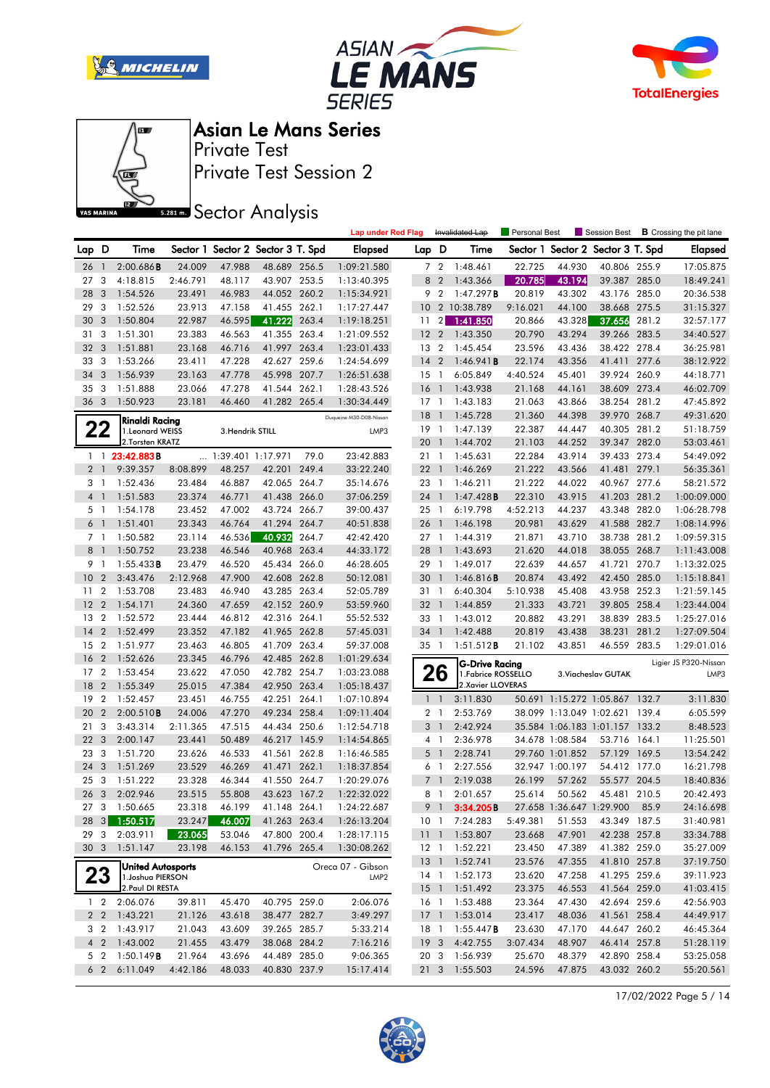







Private Test Asian Le Mans Series

Private Test Session 2

**S281ms** Sector Analysis

|                |                         |                                   |          |                   |                                   |       | <b>Lap under Red Flag</b> |                 |                          | Invalidated Lap       | Personal Best |                 | Session Best                      |       | <b>B</b> Crossing the pit lane |
|----------------|-------------------------|-----------------------------------|----------|-------------------|-----------------------------------|-------|---------------------------|-----------------|--------------------------|-----------------------|---------------|-----------------|-----------------------------------|-------|--------------------------------|
| Lap D          |                         | Time                              |          |                   | Sector 1 Sector 2 Sector 3 T. Spd |       | <b>Elapsed</b>            | Lap D           |                          | Time                  |               |                 | Sector 1 Sector 2 Sector 3 T. Spd |       | Elapsed                        |
| 26             | $\overline{1}$          | 2:00.686B                         | 24.009   | 47.988            | 48.689 256.5                      |       | 1:09:21.580               |                 | 7 <sub>2</sub>           | 1:48.461              | 22.725        | 44.930          | 40.806 255.9                      |       | 17:05.875                      |
| 27             | 3                       | 4:18.815                          | 2:46.791 | 48.117            | 43.907 253.5                      |       | 1:13:40.395               | 8               | $\overline{2}$           | 1:43.366              | 20.785        | 43.194          | 39.387 285.0                      |       | 18:49.241                      |
| 28             | 3                       | 1:54.526                          | 23.491   | 46.983            | 44.052 260.2                      |       | 1:15:34.921               |                 | 9 2                      | 1:47.297B             | 20.819        | 43.302          | 43.176 285.0                      |       | 20:36.538                      |
| 29             | 3                       | 1:52.526                          | 23.913   | 47.158            | 41.455 262.1                      |       | 1:17:27.447               | 10 <sup>°</sup> |                          | 2 10:38.789           | 9:16.021      | 44.100          | 38.668 275.5                      |       | 31:15.327                      |
| 30             | 3                       | 1:50.804                          | 22.987   | 46.595            | 41.222                            | 263.4 | 1:19:18.251               | 11              | $\overline{2}$           | 1:41.850              | 20.866        | 43.328          | 37.656                            | 281.2 | 32:57.177                      |
| 31             | 3                       | 1:51.301                          | 23.383   | 46.563            | 41.355 263.4                      |       | 1:21:09.552               | 12 <sub>2</sub> |                          | 1:43.350              | 20.790        | 43.294          | 39.266 283.5                      |       | 34:40.527                      |
| 32             | 3                       | 1:51.881                          | 23.168   | 46.716            | 41.997 263.4                      |       | 1:23:01.433               | 13 2            |                          | 1:45.454              | 23.596        | 43.436          | 38.422 278.4                      |       | 36:25.981                      |
| 33             | 3                       | 1:53.266                          | 23.411   | 47.228            | 42.627 259.6                      |       | 1:24:54.699               | $14 \quad 2$    |                          | 1:46.941B             | 22.174        | 43.356          | 41.411 277.6                      |       | 38:12.922                      |
| 34             | 3                       | 1:56.939                          | 23.163   | 47.778            | 45.998                            | 207.7 | 1:26:51.638               | $15-1$          |                          | 6:05.849              | 4:40.524      | 45.401          | 39.924 260.9                      |       | 44:18.771                      |
| 35             | 3                       | 1:51.888                          | 23.066   | 47.278            | 41.544 262.1                      |       | 1:28:43.526               | 16              | $\overline{1}$           | 1:43.938              | 21.168        | 44.161          | 38.609 273.4                      |       | 46:02.709                      |
| 36 3           |                         | 1:50.923                          | 23.181   | 46.460            | 41.282 265.4                      |       | 1:30:34.449               | $17-1$          |                          | 1:43.183              | 21.063        | 43.866          | 38.254 281.2                      |       | 47:45.892                      |
|                |                         |                                   |          |                   |                                   |       | Duqueine M30-D08-Nissan   | 18              | $\overline{\phantom{a}}$ | 1:45.728              | 21.360        | 44.398          | 39.970 268.7                      |       | 49:31.620                      |
|                | 22                      | Rinaldi Racing<br>1.Leonard WEISS |          | 3. Hendrik STILL  |                                   |       | LMP3                      | 19 1            |                          | 1:47.139              | 22.387        | 44.447          | 40.305 281.2                      |       | 51:18.759                      |
|                |                         | 2. Torsten KRATZ                  |          |                   |                                   |       |                           | 20              | 1                        | 1:44.702              | 21.103        | 44.252          | 39.347 282.0                      |       | 53:03.461                      |
|                |                         | $1 \quad 1 \quad 23:42.883B$      |          | 1:39.401 1:17.971 |                                   | 79.0  | 23:42.883                 | 21 1            |                          | 1:45.631              | 22.284        | 43.914          | 39.433 273.4                      |       | 54:49.092                      |
| 2 <sub>1</sub> |                         | 9:39.357                          | 8:08.899 | 48.257            | 42.201                            | 249.4 | 33:22.240                 | 221             |                          | 1:46.269              | 21.222        | 43.566          | 41.481 279.1                      |       | 56:35.361                      |
| 3 <sub>1</sub> |                         | 1:52.436                          | 23.484   | 46.887            | 42.065 264.7                      |       | 35:14.676                 | 23 1            |                          | 1:46.211              | 21.222        | 44.022          | 40.967 277.6                      |       | 58:21.572                      |
| 4 <sub>1</sub> |                         | 1:51.583                          | 23.374   | 46.771            | 41.438 266.0                      |       | 37:06.259                 | 24              | $\mathbf{1}$             | 1:47.428B             | 22.310        | 43.915          | 41.203 281.2                      |       | 1:00:09.000                    |
| 5 <sub>1</sub> |                         | 1:54.178                          | 23.452   | 47.002            | 43.724 266.7                      |       | 39:00.437                 | 25 1            |                          | 6:19.798              | 4:52.213      | 44.237          | 43.348 282.0                      |       | 1:06:28.798                    |
| 6 <sup>1</sup> |                         | 1:51.401                          | 23.343   | 46.764            | 41.294 264.7                      |       | 40:51.838                 | 26 1            |                          | 1:46.198              | 20.981        | 43.629          | 41.588 282.7                      |       | 1:08:14.996                    |
| 7 <sub>1</sub> |                         | 1:50.582                          | 23.114   | 46.536            | 40.932                            | 264.7 | 42:42.420                 | 27 1            |                          | 1:44.319              | 21.871        | 43.710          | 38.738 281.2                      |       | 1:09:59.315                    |
| 8              | $\overline{1}$          | 1:50.752                          | 23.238   | 46.546            | 40.968 263.4                      |       | 44:33.172                 | 28              | 1                        | 1:43.693              | 21.620        | 44.018          | 38.055 268.7                      |       | 1:11:43.008                    |
| 9 1            |                         | 1:55.433B                         | 23.479   | 46.520            | 45.434 266.0                      |       | 46:28.605                 | 29 1            |                          | 1:49.017              | 22.639        | 44.657          | 41.721 270.7                      |       | 1:13:32.025                    |
| 10             | $\overline{2}$          | 3:43.476                          | 2:12.968 | 47.900            | 42.608 262.8                      |       | 50:12.081                 | 30              | $\overline{1}$           | 1:46.816B             | 20.874        | 43.492          | 42.450 285.0                      |       | 1:15:18.841                    |
| 11             | $\overline{2}$          | 1:53.708                          | 23.483   | 46.940            | 43.285 263.4                      |       | 52:05.789                 | 31 1            |                          | 6:40.304              | 5:10.938      | 45.408          | 43.958 252.3                      |       | 1:21:59.145                    |
| 12             | $\overline{2}$          | 1:54.171                          | 24.360   | 47.659            | 42.152 260.9                      |       | 53:59.960                 | 32              | $\mathbf{1}$             | 1:44.859              | 21.333        | 43.721          | 39.805 258.4                      |       | 1:23:44.004                    |
| 13             | $\overline{2}$          | 1:52.572                          | 23.444   | 46.812            | 42.316 264.1                      |       | 55:52.532                 | 33 1            |                          | 1:43.012              | 20.882        | 43.291          | 38.839 283.5                      |       | 1:25:27.016                    |
| 14             | $\overline{2}$          | 1:52.499                          | 23.352   | 47.182            | 41.965 262.8                      |       | 57:45.031                 | 34 1            |                          | 1:42.488              | 20.819        | 43.438          | 38.231                            | 281.2 | 1:27:09.504                    |
| 15             | $\overline{2}$          | 1:51.977                          | 23.463   | 46.805            | 41.709 263.4                      |       | 59:37.008                 | 35 1            |                          | 1:51.512B             | 21.102        | 43.851          | 46.559 283.5                      |       | 1:29:01.016                    |
| 16             | $\overline{2}$          | 1:52.626                          | 23.345   | 46.796            | 42.485 262.8                      |       | 1:01:29.634               |                 |                          | <b>G-Drive Racing</b> |               |                 |                                   |       | Ligier JS P320-Nissan          |
| 17             | 2                       | 1:53.454                          | 23.622   | 47.050            | 42.782 254.7                      |       | 1:03:23.088               |                 | 26                       | 1. Fabrice ROSSELLO   |               |                 | 3. Viacheslav GUTAK               |       | LMP3                           |
| 18             | $\overline{2}$          | 1:55.349                          | 25.015   | 47.384            | 42.950 263.4                      |       | 1:05:18.437               |                 |                          | 2.Xavier LLOVERAS     |               |                 |                                   |       |                                |
| 19             | $\overline{2}$          | 1:52.457                          | 23.451   | 46.755            | 42.251                            | 264.1 | 1:07:10.894               |                 | $1\quad$                 | 3:11.830              |               |                 | 50.691 1:15.272 1:05.867 132.7    |       | 3:11.830                       |
| 20             | $\overline{2}$          | 2:00.510B                         | 24.006   | 47.270            | 49.234 258.4                      |       | 1:09:11.404               |                 | 2 <sub>1</sub>           | 2:53.769              |               |                 | 38.099 1:13.049 1:02.621 139.4    |       | 6:05.599                       |
| 21             | 3                       | 3:43.314                          | 2:11.365 | 47.515            | 44.434 250.6                      |       | 1:12:54.718               | 3               | $\overline{1}$           | 2:42.924              |               |                 | 35.584 1:06.183 1:01.157 133.2    |       | 8:48.523                       |
| 22             | 3                       | 2:00.147                          | 23.441   | 50.489            | 46.217 145.9                      |       | 1:14:54.865               |                 | $4-1$                    | 2:36.978              |               | 34.678 1:08.584 | 53.716 164.1                      |       | 11:25.501                      |
| 23             | 3                       | 1:51.720                          | 23.626   | 46.533            | 41.561                            | 262.8 | 1:16:46.585               | 5               | $\overline{1}$           | 2:28.741              |               | 29.760 1:01.852 | 57.129 169.5                      |       | 13:54.242                      |
| 24             | $\overline{3}$          | 1:51.269                          | 23.529   | 46.269            | 41.471 262.1                      |       | 1:18:37.854               |                 | 6 1                      | 2:27.556              |               | 32.947 1:00.197 | 54.412 177.0                      |       | 16:21.798                      |
| 25             | 3                       | 1:51.222                          | 23.328   | 46.344            | 41.550 264.7                      |       | 1:20:29.076               |                 | 7 <sub>1</sub>           | 2:19.038              | 26.199        | 57.262          | 55.577 204.5                      |       | 18:40.836                      |
| 26             | $\overline{\mathbf{3}}$ | 2:02.946                          | 23.515   | 55.808            | 43.623 167.2                      |       | 1:22:32.022               |                 | $8-1$                    | 2:01.657              | 25.614        | 50.562          | 45.481 210.5                      |       | 20:42.493                      |
|                |                         | 27 3 1:50.665                     | 23.318   | 46.199            | 41.148 264.1                      |       | 1:24:22.687               |                 | 9 <sub>1</sub>           | 3:34.205B             |               |                 | 27.658 1:36.647 1:29.900 85.9     |       | 24:16.698                      |
|                |                         | 28 3 1:50.517                     | 23.247   | 46.007            | 41.263 263.4                      |       | 1:26:13.204               |                 |                          | 10 1 7:24.283         | 5:49.381      | 51.553          | 43.349 187.5                      |       | 31:40.981                      |
| 29 3           |                         | 2:03.911                          | 23.065   | 53.046            | 47.800 200.4                      |       | 1:28:17.115               |                 |                          | 11 1 1:53.807         | 23.668        | 47.901          | 42.238 257.8                      |       | 33:34.788                      |
| 30 3           |                         | 1:51.147                          | 23.198   | 46.153            | 41.796 265.4                      |       | 1:30:08.262               | 12 1            |                          | 1:52.221              | 23.450        | 47.389          | 41.382 259.0                      |       | 35:27.009                      |
|                |                         | <b>United Autosports</b>          |          |                   |                                   |       | Oreca 07 - Gibson         |                 |                          | 13 1 1:52.741         | 23.576        | 47.355          | 41.810 257.8                      |       | 37:19.750                      |
|                | 23                      | 1. Joshua PIERSON                 |          |                   |                                   |       | LMP <sub>2</sub>          |                 |                          | 14 1 1:52.173         | 23.620        | 47.258          | 41.295 259.6                      |       | 39:11.923                      |
|                |                         | 2. Paul DI RESTA                  |          |                   |                                   |       |                           |                 |                          | 15 1 1:51.492         | 23.375        | 46.553          | 41.564 259.0                      |       | 41:03.415                      |
|                | $1\quad 2$              | 2:06.076                          | 39.811   | 45.470            | 40.795 259.0                      |       | 2:06.076                  | 16 1            |                          | 1:53.488              | 23.364        | 47.430          | 42.694 259.6                      |       | 42:56.903                      |
|                | 2 <sub>2</sub>          | 1:43.221                          | 21.126   | 43.618            | 38.477 282.7                      |       | 3:49.297                  | 17 <sup>1</sup> |                          | 1:53.014              | 23.417        | 48.036          | 41.561 258.4                      |       | 44:49.917                      |
|                | 3 2                     | 1:43.917                          | 21.043   | 43.609            | 39.265 285.7                      |       | 5:33.214                  | 18 1            |                          | 1:55.447 <b>B</b>     | 23.630        | 47.170          | 44.647 260.2                      |       | 46:45.364                      |
|                | 4 <sub>2</sub>          | 1:43.002                          | 21.455   | 43.479            | 38.068 284.2                      |       | 7:16.216                  | 19 <sup>3</sup> |                          | 4:42.755              | 3:07.434      | 48.907          | 46.414 257.8                      |       | 51:28.119                      |
|                | 5 <sub>2</sub>          | 1:50.149B                         | 21.964   | 43.696            | 44.489 285.0                      |       | 9:06.365                  | 20 3            |                          | 1:56.939              | 25.670        | 48.379          | 42.890 258.4                      |       | 53:25.058                      |
|                | 6 <sub>2</sub>          | 6:11.049                          | 4:42.186 | 48.033            | 40.830 237.9                      |       | 15:17.414                 |                 |                          | 21 3 1:55.503         | 24.596        | 47.875          | 43.032 260.2                      |       | 55:20.561                      |

17/02/2022 Page 5 / 14

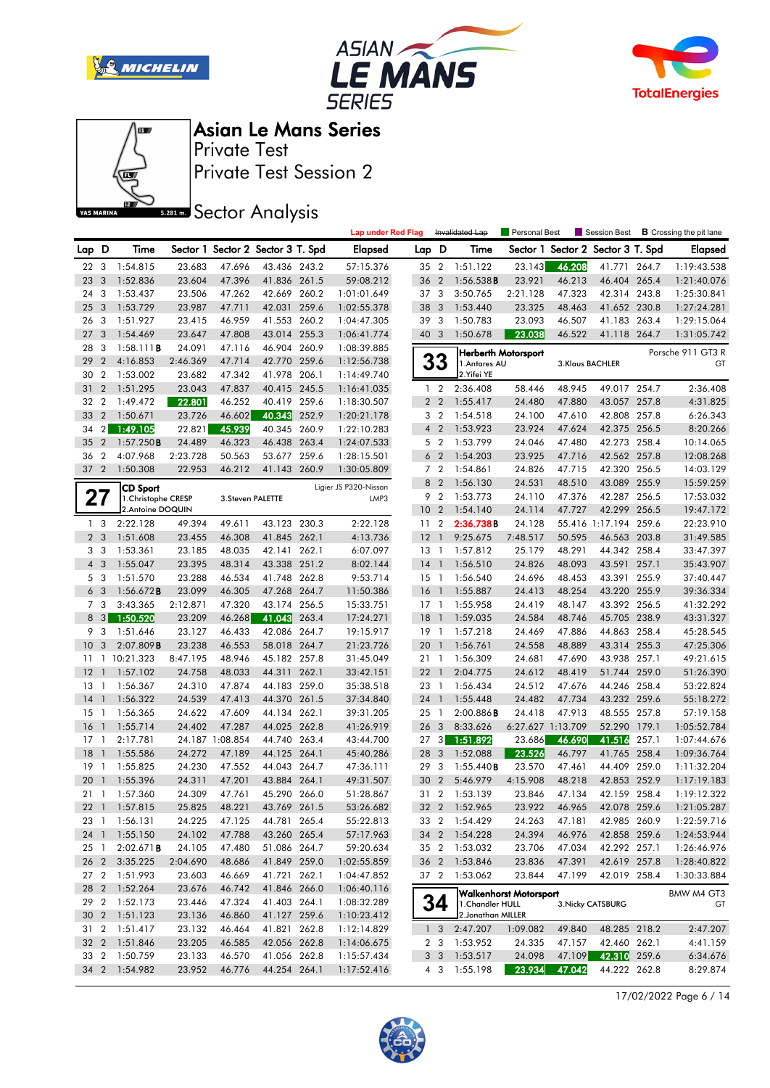







Private Test Session 2 Private Test

**SREAD** Sector Analysis

|                |                         |                     |          |                   |                                   |       | <b>Lap under Red Flag</b> |                 |                | Invalidated Lap    | <b>Personal Best</b>          |        | Session Best                      |       | <b>B</b> Crossing the pit lane |
|----------------|-------------------------|---------------------|----------|-------------------|-----------------------------------|-------|---------------------------|-----------------|----------------|--------------------|-------------------------------|--------|-----------------------------------|-------|--------------------------------|
| Lap D          |                         | Time                |          |                   | Sector 1 Sector 2 Sector 3 T. Spd |       | <b>Elapsed</b>            | Lap D           |                | Time               |                               |        | Sector 1 Sector 2 Sector 3 T. Spd |       | Elapsed                        |
| 22 3           |                         | 1:54.815            | 23.683   | 47.696            | 43.436 243.2                      |       | 57:15.376                 | 35 2            |                | 1:51.122           | 23.143                        | 46.208 | 41.771 264.7                      |       | 1:19:43.538                    |
| 23             | 3                       | 1:52.836            | 23.604   | 47.396            | 41.836 261.5                      |       | 59:08.212                 | 36 2            |                | 1:56.538B          | 23.921                        | 46.213 | 46.404 265.4                      |       | 1:21:40.076                    |
| 24             | 3                       | 1:53.437            | 23.506   | 47.262            | 42.669                            | 260.2 | 1:01:01.649               | 37 3            |                | 3:50.765           | 2:21.128                      | 47.323 | 42.314                            | 243.8 | 1:25:30.841                    |
| 25             | $\overline{\mathbf{3}}$ | 1:53.729            | 23.987   | 47.711            | 42.031 259.6                      |       | 1:02:55.378               | 38 3            |                | 1:53.440           | 23.325                        | 48.463 | 41.652 230.8                      |       | 1:27:24.281                    |
| 26             | 3                       | 1:51.927            | 23.415   | 46.959            | 41.553 260.2                      |       | 1:04:47.305               | 39 3            |                | 1:50.783           | 23.093                        | 46.507 | 41.183                            | 263.4 | 1:29:15.064                    |
| 27             | 3                       | 1:54.469            | 23.647   | 47.808            | 43.014 255.3                      |       | 1:06:41.774               | 40 3            |                | 1:50.678           | 23.038                        | 46.522 | 41.118 264.7                      |       | 1:31:05.742                    |
| 28             | 3                       | 1:58.111B           | 24.091   | 47.116            | 46.904 260.9                      |       | 1:08:39.885               |                 |                |                    | Herberth Motorsport           |        |                                   |       | Porsche 911 GT3 R              |
| 29             | $\overline{2}$          | 4:16.853            | 2:46.369 | 47.714            | 42.770 259.6                      |       | 1:12:56.738               |                 | 33             | 1. Antares AU      |                               |        | 3.Klaus BACHLER                   |       | GT                             |
| 30             | $\overline{2}$          | 1:53.002            | 23.682   | 47.342            | 41.978 206.1                      |       | 1:14:49.740               |                 |                | 2. Yifei YE        |                               |        |                                   |       |                                |
| 31             | $\overline{2}$          | 1:51.295            | 23.043   | 47.837            | 40.415 245.5                      |       | 1:16:41.035               |                 | $1\quad 2$     | 2:36.408           | 58.446                        | 48.945 | 49.017 254.7                      |       | 2:36.408                       |
| 32             | $\overline{2}$          | 1:49.472            | 22.801   | 46.252            | 40.419 259.6                      |       | 1:18:30.507               |                 | 2 <sub>2</sub> | 1:55.417           | 24.480                        | 47.880 | 43.057 257.8                      |       | 4:31.825                       |
| 33             | $\overline{2}$          | 1:50.671            | 23.726   | 46.602            | 40.343                            | 252.9 | 1:20:21.178               |                 | 3 <sub>2</sub> | 1:54.518           | 24.100                        | 47.610 | 42.808 257.8                      |       | 6:26.343                       |
| 34             | 2 <sub>l</sub>          | 1:49.105            | 22.821   | 45.939            | 40.345 260.9                      |       | 1:22:10.283               |                 | 4 <sup>2</sup> | 1:53.923           | 23.924                        | 47.624 | 42.375 256.5                      |       | 8:20.266                       |
| 35             | $\overline{2}$          | 1:57.250B           | 24.489   | 46.323            | 46.438 263.4                      |       | 1:24:07.533               |                 | 5 <sub>2</sub> | 1:53.799           | 24.046                        | 47.480 | 42.273 258.4                      |       | 10:14.065                      |
| 36             | $\overline{2}$          | 4:07.968            | 2:23.728 | 50.563            | 53.677 259.6                      |       | 1:28:15.501               |                 | 6 <sub>2</sub> | 1:54.203           | 23.925                        | 47.716 | 42.562 257.8                      |       | 12:08.268                      |
| 37 2           |                         | 1:50.308            | 22.953   | 46.212            | 41.143 260.9                      |       | 1:30:05.809               |                 | 7 <sub>2</sub> | 1:54.861           | 24.826                        | 47.715 | 42.320 256.5                      |       | 14:03.129                      |
|                |                         | CD Sport            |          |                   |                                   |       | Ligier JS P320-Nissan     | 8               | $\overline{2}$ | 1:56.130           | 24.531                        | 48.510 | 43.089 255.9                      |       | 15:59.259                      |
| 21             |                         | 1. Christophe CRESP |          | 3. Steven PALETTE |                                   |       | LMP3                      | 9               | $\overline{2}$ | 1:53.773           | 24.110                        | 47.376 | 42.287 256.5                      |       | 17:53.032                      |
|                |                         | 2.Antoine DOQUIN    |          |                   |                                   |       |                           | 10 <sub>2</sub> |                | 1:54.140           | 24.114                        | 47.727 | 42.299 256.5                      |       | 19:47.172                      |
|                | 1 <sub>3</sub>          | 2:22.128            | 49.394   | 49.611            | 43.123 230.3                      |       | 2:22.128                  | 11 <sub>2</sub> |                | 2:36.738B          | 24.128                        |        | 55.416 1:17.194 259.6             |       | 22:23.910                      |
|                | 2 <sub>3</sub>          | 1:51.608            | 23.455   | 46.308            | 41.845 262.1                      |       | 4:13.736                  | 12              | $\overline{1}$ | 9:25.675           | 7:48.517                      | 50.595 | 46.563 203.8                      |       | 31:49.585                      |
| 3              | 3                       | 1:53.361            | 23.185   | 48.035            | 42.141 262.1                      |       | 6:07.097                  | 13              | $\overline{1}$ | 1:57.812           | 25.179                        | 48.291 | 44.342 258.4                      |       | 33:47.397                      |
| $4 \quad 3$    |                         | 1:55.047            | 23.395   | 48.314            | 43.338 251.2                      |       | 8:02.144                  | 14              | $\overline{1}$ | 1:56.510           | 24.826                        | 48.093 | 43.591                            | 257.1 | 35:43.907                      |
|                | 5 <sub>3</sub>          | 1:51.570            | 23.288   | 46.534            | 41.748 262.8                      |       | 9:53.714                  | $15-1$          |                | 1:56.540           | 24.696                        | 48.453 | 43.391 255.9                      |       | 37:40.447                      |
|                | 6 <sub>3</sub>          | 1:56.672B           | 23.099   | 46.305            | 47.268 264.7                      |       | 11:50.386                 | <b>16</b>       | $\overline{1}$ | 1:55.887           | 24.413                        | 48.254 | 43.220 255.9                      |       | 39:36.334                      |
| $\overline{7}$ | 3                       | 3:43.365            | 2:12.871 | 47.320            | 43.174                            | 256.5 | 15:33.751                 | $17-1$          |                | 1:55.958           | 24.419                        | 48.147 | 43.392 256.5                      |       | 41:32.292                      |
| 8              | 3                       | 1:50.520            | 23.209   | 46.268            | 41.043                            | 263.4 | 17:24.271                 | 18              | $\overline{1}$ | 1:59.035           | 24.584                        | 48.746 | 45.705 238.9                      |       | 43:31.327                      |
| 9              | 3                       | 1:51.646            | 23.127   | 46.433            | 42.086 264.7                      |       | 19:15.917                 | $19-1$          |                | 1:57.218           | 24.469                        | 47.886 | 44.863 258.4                      |       | 45:28.545                      |
| 10             | 3                       | 2:07.809B           | 23.238   | 46.553            | 58.018 264.7                      |       | 21:23.726                 | 20              | $\overline{1}$ | 1:56.761           | 24.558                        | 48.889 | 43.314 255.3                      |       | 47:25.306                      |
| 11             |                         | 1 10:21.323         | 8:47.195 | 48.946            | 45.182 257.8                      |       | 31:45.049                 | 21 1            |                | 1:56.309           | 24.681                        | 47.690 | 43.938 257.1                      |       | 49:21.615                      |
| 12             | $\mathbf{1}$            | 1:57.102            | 24.758   | 48.033            | 44.311 262.1                      |       | 33:42.151                 | 22              | $\mathbf{1}$   | 2:04.775           | 24.612                        | 48.419 | 51.744 259.0                      |       | 51:26.390                      |
| 13             | $\overline{1}$          | 1:56.367            | 24.310   | 47.874            | 44.183 259.0                      |       | 35:38.518                 | 23 1            |                | 1:56.434           | 24.512                        | 47.676 | 44.246 258.4                      |       | 53:22.824                      |
| 14             | $\overline{1}$          | 1:56.322            | 24.539   | 47.413            | 44.370 261.5                      |       | 37:34.840                 | 24 1            |                | 1:55.448           | 24.482                        | 47.734 | 43.232 259.6                      |       | 55:18.272                      |
| 15             | $\overline{1}$          | 1:56.365            | 24.622   | 47.609            | 44.134 262.1                      |       | 39:31.205                 | 25              | $\overline{1}$ | 2:00.886B          | 24.418                        | 47.913 | 48.555 257.8                      |       | 57:19.158                      |
| 16             | $\mathbf{1}$            | 1:55.714            | 24.402   | 47.287            | 44.025 262.8                      |       | 41:26.919                 | 26 <sub>3</sub> |                | 8:33.626           | 6:27.627 1:13.709             |        | 52.290 179.1                      |       | 1:05:52.784                    |
| 17             | $\overline{1}$          | 2:17.781            |          | 24.187 1:08.854   | 44.740 263.4                      |       | 43:44.700                 | $27 \quad 3$    |                | 1:51.892           | 23.686                        | 46.690 | 41.516                            | 257.1 | 1:07:44.676                    |
| 18             | $\mathbf{1}$            | 1:55.586            | 24.272   | 47.189            | 44.125 264.1                      |       | 45:40.286                 | 28              | $\overline{3}$ | 1:52.088           | 23.526                        | 46.797 | 41.765 258.4                      |       | 1:09:36.764                    |
| 19             | -1                      | 1:55.825            | 24.230   | 47.552            | 44.043                            | 264.7 | 47:36.111                 | 29              | 3              | 1:55.440B          | 23.570                        | 47.461 | 44.409                            | 259.0 | 1:11:32.204                    |
| 20             |                         | 1:55.396            | 24.311   | 47.201            | 43.884 264.1                      |       | 49:31.507                 | 30 <sub>2</sub> |                | 5:46.979           | 4:15.908                      | 48.218 | 42.853 252.9                      |       | 1:17:19.183                    |
| 21 1           |                         | 1:57.360            | 24.309   | 47.761            | 45.290 266.0                      |       | 51:28.867                 | 31 2            |                | 1:53.139           | 23.846                        | 47.134 | 42.159 258.4                      |       | 1:19:12.322                    |
|                |                         | 22 1 1:57.815       | 25.825   | 48.221            | 43.769 261.5                      |       | 53:26.682                 |                 |                | 32 2 1:52.965      | 23.922                        | 46.965 | 42.078 259.6                      |       | 1:21:05.287                    |
| 23 1           |                         | 1:56.131            | 24.225   | 47.125            | 44.781 265.4                      |       | 55:22.813                 |                 |                | 33 2 1:54.429      | 24.263                        | 47.181 | 42.985 260.9                      |       | 1:22:59.716                    |
| 24 1           |                         | 1:55.150            | 24.102   | 47.788            | 43.260 265.4                      |       | 57:17.963                 |                 |                | 34 2 1:54.228      | 24.394                        | 46.976 | 42.858 259.6                      |       | 1:24:53.944                    |
| 25 1           |                         | 2:02.671B           | 24.105   | 47.480            | 51.086 264.7                      |       | 59:20.634                 |                 |                | 35 2 1:53.032      | 23.706                        | 47.034 | 42.292 257.1                      |       | 1:26:46.976                    |
| 26 2           |                         | 3:35.225            | 2:04.690 | 48.686            | 41.849 259.0                      |       | 1:02:55.859               |                 |                | 36 2 1:53.846      | 23.836                        | 47.391 | 42.619 257.8                      |       | 1:28:40.822                    |
|                |                         | 27 2 1:51.993       | 23.603   | 46.669            | 41.721 262.1                      |       | 1:04:47.852               |                 |                | 37 2 1:53.062      | 23.844                        | 47.199 | 42.019 258.4                      |       | 1:30:33.884                    |
|                |                         | 28 2 1:52.264       | 23.676   | 46.742            | 41.846 266.0                      |       | 1:06:40.116               |                 |                |                    |                               |        |                                   |       |                                |
|                |                         | 29 2 1:52.173       | 23.446   | 47.324            | 41.403 264.1                      |       | 1:08:32.289               |                 | 34             | 1. Chandler HULL   | <b>Walkenhorst Motorsport</b> |        | 3. Nicky CATSBURG                 |       | BMW M4 GT3<br>GT               |
|                |                         | 30 2 1:51.123       | 23.136   | 46.860            | 41.127 259.6                      |       | 1:10:23.412               |                 |                | 2. Jonathan MILLER |                               |        |                                   |       |                                |
|                |                         | 31 2 1:51.417       | 23.132   | 46.464            | 41.821 262.8                      |       | 1:12:14.829               |                 | $1 \quad 3$    | 2:47.207           | 1:09.082                      | 49.840 | 48.285 218.2                      |       | 2:47.207                       |
|                |                         | 32 2 1:51.846       | 23.205   | 46.585            | 42.056 262.8                      |       | 1:14:06.675               |                 |                | 2 3 1:53.952       | 24.335                        | 47.157 | 42.460 262.1                      |       | 4:41.159                       |
|                |                         | 33 2 1:50.759       | 23.133   | 46.570            | 41.056 262.8                      |       | 1:15:57.434               |                 |                | 3 3 1:53.517       | 24.098                        | 47.109 | 42.310 259.6                      |       | 6:34.676                       |
|                |                         | 34 2 1:54.982       | 23.952   | 46.776            | 44.254 264.1                      |       | 1:17:52.416               |                 | 4 3            | 1:55.198           | 23.934                        | 47.042 | 44.222 262.8                      |       | 8:29.874                       |
|                |                         |                     |          |                   |                                   |       |                           |                 |                |                    |                               |        |                                   |       |                                |

17/02/2022 Page 6 / 14

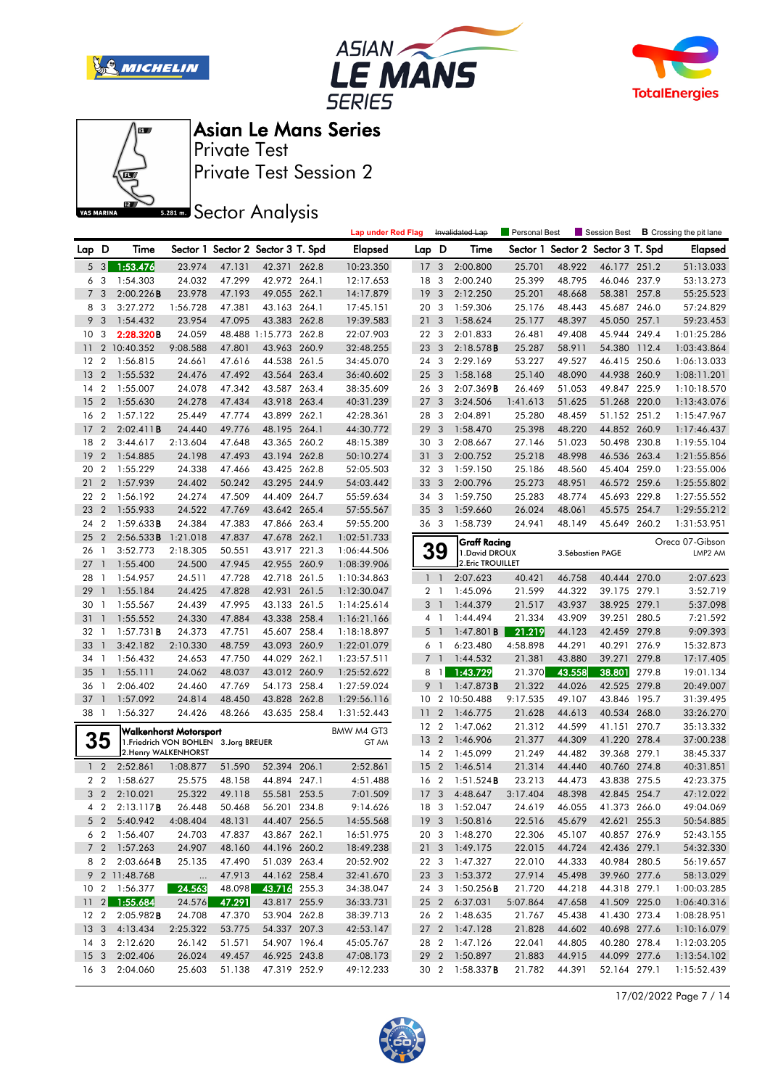







Private Test Session 2 Private Test

**SREAD** Sector Analysis

|                |                |                        |                                        |        |                                   |       | <b>Lap under Red Flag</b> |                 |                         | Invalidated Lap        | <b>Personal Best</b> |        | Session Best             |       | <b>B</b> Crossing the pit lane |
|----------------|----------------|------------------------|----------------------------------------|--------|-----------------------------------|-------|---------------------------|-----------------|-------------------------|------------------------|----------------------|--------|--------------------------|-------|--------------------------------|
| Lap D          |                | Time                   |                                        |        | Sector 1 Sector 2 Sector 3 T. Spd |       | <b>Elapsed</b>            | Lap D           |                         | Time                   | Sector 1             |        | Sector 2 Sector 3 T. Spd |       | <b>Elapsed</b>                 |
| 5              | 3              | 1:53.476               | 23.974                                 | 47.131 | 42.371 262.8                      |       | 10:23.350                 | 17              | 3                       | 2:00.800               | 25.701               | 48.922 | 46.177 251.2             |       | 51:13.033                      |
| 6              | -3             | 1:54.303               | 24.032                                 | 47.299 | 42.972 264.1                      |       | 12:17.653                 | 18              | 3                       | 2:00.240               | 25.399               | 48.795 | 46.046 237.9             |       | 53:13.273                      |
| 7              | 3              | 2:00.226B              | 23.978                                 | 47.193 | 49.055 262.1                      |       | 14:17.879                 | 19              | 3                       | 2:12.250               | 25.201               | 48.668 | 58.381 257.8             |       | 55:25.523                      |
| 8              | 3              | 3:27.272               | 1:56.728                               | 47.381 | 43.163 264.1                      |       | 17:45.151                 | 20 <sub>3</sub> |                         | 1:59.306               | 25.176               | 48.443 | 45.687 246.0             |       | 57:24.829                      |
| 9              | 3              | 1:54.432               | 23.954                                 | 47.095 | 43.383                            | 262.8 | 19:39.583                 | 21              | 3                       | 1:58.624               | 25.177               | 48.397 | 45.050                   | 257.1 | 59:23.453                      |
| 10             | 3              | 2:28.320B              | 24.059                                 |        | 48.488 1:15.773 262.8             |       | 22:07.903                 | 22 3            |                         | 2:01.833               | 26.481               | 49.408 | 45.944 249.4             |       | 1:01:25.286                    |
| 11             |                | 2 10:40.352            | 9:08.588                               | 47.801 | 43.963 260.9                      |       | 32:48.255                 | 23              | $\overline{\mathbf{3}}$ | 2:18.578B              | 25.287               | 58.911 | 54.380 112.4             |       | 1:03:43.864                    |
| 12             | $\overline{2}$ | 1:56.815               | 24.661                                 | 47.616 | 44.538 261.5                      |       | 34:45.070                 | 24 3            |                         | 2:29.169               | 53.227               | 49.527 | 46.415 250.6             |       | 1:06:13.033                    |
| 13             | $\overline{2}$ | 1:55.532               | 24.476                                 | 47.492 | 43.564 263.4                      |       | 36:40.602                 | 25 <sub>3</sub> |                         | 1:58.168               | 25.140               | 48.090 | 44.938 260.9             |       | 1:08:11.201                    |
| 14             | $\overline{2}$ | 1:55.007               | 24.078                                 | 47.342 | 43.587 263.4                      |       | 38:35.609                 | 26 3            |                         | 2:07.369B              | 26.469               | 51.053 | 49.847 225.9             |       | 1:10:18.570                    |
| 15             | $\overline{2}$ | 1:55.630               | 24.278                                 | 47.434 | 43.918 263.4                      |       | 40:31.239                 | 27              | 3                       | 3:24.506               | 1:41.613             | 51.625 | 51.268 220.0             |       | 1:13:43.076                    |
| 16             | $\overline{2}$ | 1:57.122               | 25.449                                 | 47.774 | 43.899 262.1                      |       | 42:28.361                 | 28 3            |                         | 2:04.891               | 25.280               | 48.459 | 51.152 251.2             |       | 1:15:47.967                    |
| 17             | $\overline{2}$ | 2:02.411B              | 24.440                                 | 49.776 | 48.195                            | 264.1 | 44:30.772                 | 29              | 3                       | 1:58.470               | 25.398               | 48.220 | 44.852 260.9             |       | 1:17:46.437                    |
| 18             | $\overline{2}$ | 3:44.617               | 2:13.604                               | 47.648 | 43.365 260.2                      |       | 48:15.389                 | 30              | -3                      | 2:08.667               | 27.146               | 51.023 | 50.498 230.8             |       | 1:19:55.104                    |
| 19             | $\overline{2}$ | 1:54.885               | 24.198                                 | 47.493 | 43.194 262.8                      |       | 50:10.274                 | 31 3            |                         | 2:00.752               | 25.218               | 48.998 | 46.536 263.4             |       | 1:21:55.856                    |
| 20             | $\overline{2}$ | 1:55.229               | 24.338                                 | 47.466 | 43.425 262.8                      |       | 52:05.503                 | 32 3            |                         | 1:59.150               | 25.186               | 48.560 | 45.404 259.0             |       | 1:23:55.006                    |
| 21             | $\overline{2}$ | 1:57.939               | 24.402                                 | 50.242 | 43.295 244.9                      |       | 54:03.442                 | 33              | $\mathbf{3}$            | 2:00.796               | 25.273               | 48.951 | 46.572 259.6             |       | 1:25:55.802                    |
| 22             | $\overline{2}$ | 1:56.192               | 24.274                                 | 47.509 | 44.409 264.7                      |       | 55:59.634                 | 343             |                         | 1:59.750               | 25.283               | 48.774 | 45.693 229.8             |       | 1:27:55.552                    |
| 23             | $\overline{2}$ | 1:55.933               | 24.522                                 | 47.769 | 43.642 265.4                      |       | 57:55.567                 | 35              | $\overline{\mathbf{3}}$ | 1:59.660               | 26.024               | 48.061 | 45.575 254.7             |       | 1:29:55.212                    |
| 24             | $\overline{2}$ | 1:59.633B              | 24.384                                 | 47.383 | 47.866 263.4                      |       | 59:55.200                 | 36 3            |                         | 1:58.739               | 24.941               | 48.149 | 45.649 260.2             |       | 1:31:53.951                    |
| 25             | $\overline{2}$ | 2:56.533B              | 1:21.018                               | 47.837 | 47.678 262.1                      |       | 1:02:51.733               |                 |                         | Graff Racing           |                      |        |                          |       | Oreca 07-Gibson                |
| 26             | $\overline{1}$ | 3:52.773               | 2:18.305                               | 50.551 | 43.917 221.3                      |       | 1:06:44.506               |                 | 39                      | 1. David DROUX         |                      |        | 3. Sébastien PAGE        |       | LMP2 AM                        |
| 27             | $\overline{1}$ | 1:55.400               | 24.500                                 | 47.945 | 42.955 260.9                      |       | 1:08:39.906               |                 |                         | 2. Eric TROUILLET      |                      |        |                          |       |                                |
| 28             | -1             | 1:54.957               | 24.511                                 | 47.728 | 42.718 261.5                      |       | 1:10:34.863               |                 | $1\quad$                | 2:07.623               | 40.421               | 46.758 | 40.444 270.0             |       | 2:07.623                       |
| 29             | $\mathbf{1}$   | 1:55.184               | 24.425                                 | 47.828 | 42.931 261.5                      |       | 1:12:30.047               |                 | 2 <sub>1</sub>          | 1:45.096               | 21.599               | 44.322 | 39.175 279.1             |       | 3:52.719                       |
| 30             | $\mathbf{1}$   | 1:55.567               | 24.439                                 | 47.995 | 43.133 261.5                      |       | 1:14:25.614               | 3               | $\overline{1}$          | 1:44.379               | 21.517               | 43.937 | 38.925 279.1             |       | 5:37.098                       |
| 31             | $\mathbf{1}$   | 1:55.552               | 24.330                                 | 47.884 | 43.338 258.4                      |       | 1:16:21.166               |                 | 4 1                     | 1:44.494               | 21.334               | 43.909 | 39.251 280.5             |       | 7:21.592                       |
| 32             | $\mathbf{1}$   | $1:57.731$ <b>B</b>    | 24.373                                 | 47.751 | 45.607 258.4                      |       | 1:18:18.897               | 5               | $\overline{1}$          | $1:47.801$ <b>B</b>    | 21.219               | 44.123 | 42.459                   | 279.8 | 9:09.393                       |
| 33             | 1              | 3:42.182               | 2:10.330                               | 48.759 | 43.093 260.9                      |       | 1:22:01.079               | 6               | -1                      | 6:23.480               | 4:58.898             | 44.291 | 40.291                   | 276.9 | 15:32.873                      |
| 34             | -1             | 1:56.432               | 24.653                                 | 47.750 | 44.029 262.1                      |       | 1:23:57.511               | 7 <sub>1</sub>  |                         | 1:44.532               | 21.381               | 43.880 | 39.271                   | 279.8 | 17:17.405                      |
| 35             | $\mathbf{1}$   | 1:55.111               | 24.062                                 | 48.037 | 43.012 260.9                      |       | 1:25:52.622               | 8               | $\overline{1}$          | 1:43.729               | 21.370               | 43.558 | 38.801                   | 279.8 | 19:01.134                      |
| 36             | $\mathbf{1}$   | 2:06.402               | 24.460                                 | 47.769 | 54.173 258.4                      |       | 1:27:59.024               | 9               | $\overline{1}$          | 1:47.873B              | 21.322               | 44.026 | 42.525 279.8             |       | 20:49.007                      |
| 37             | $\mathbf{1}$   | 1:57.092               | 24.814                                 | 48.450 | 43.828 262.8                      |       | 1:29:56.116               | 10              |                         | 2 10:50.488            | 9:17.535             | 49.107 | 43.846 195.7             |       | 31:39.495                      |
| 38 1           |                | 1:56.327               | 24.426                                 | 48.266 | 43.635 258.4                      |       | 1:31:52.443               | 11              | $\overline{2}$          | 1:46.775               | 21.628               | 44.613 | 40.534 268.0             |       | 33:26.270                      |
|                |                |                        | Walkenhorst Motorsport                 |        |                                   |       | BMW M4 GT3                | 12 2            |                         | 1:47.062               | 21.312               | 44.599 | 41.151                   | 270.7 | 35:13.332                      |
|                | 35             |                        | 1. Friedrich VON BOHLEN 3. Jorg BREUER |        |                                   |       | GT AM                     | 13              | $\overline{2}$          | 1:46.906               | 21.377               | 44.309 | 41.220 278.4             |       | 37:00.238                      |
|                |                |                        | 2. Henry WALKENHORST                   |        |                                   |       |                           | 14 2            |                         | 1:45.099               | 21.249               | 44.482 | 39.368 279.1             |       | 38:45.337                      |
| 1 <sub>2</sub> |                | 2:52.861               | 1:08.877                               | 51.590 | 52.394 206.1                      |       | 2:52.861                  | 15              | $\overline{2}$          | 1:46.514               | 21.314               | 44.440 | 40.760 274.8             |       | 40:31.851                      |
| 2 <sub>2</sub> |                | 1:58.627               | 25.575                                 | 48.158 | 44.894 247.1                      |       | 4:51.488                  | 16 2            |                         | 1:51.524B              | 23.213               | 44.473 | 43.838 275.5             |       | 42:23.375                      |
|                | 3 <sub>2</sub> | 2:10.021               | 25.322                                 | 49.118 | 55.581 253.5                      |       | 7:01.509                  | 17              | $\overline{\mathbf{3}}$ | 4:48.647               | 3:17.404             | 48.398 | 42.845 254.7             |       | 47:12.022                      |
|                | 4 2            | 2:13.117B              | 26.448                                 | 50.468 | 56.201 234.8                      |       | 9:14.626                  |                 |                         | 18 3 1:52.047          | 24.619               | 46.055 | 41.373 266.0             |       | 49:04.069                      |
|                |                | 5 2 5:40.942           | 4:08.404                               | 48.131 | 44.407 256.5                      |       | 14:55.568                 |                 |                         | 19 3 1:50.816          | 22.516               | 45.679 | 42.621 255.3             |       | 50:54.885                      |
|                |                | 6 2 1:56.407           | 24.703                                 | 47.837 | 43.867 262.1                      |       | 16:51.975                 |                 |                         | 20 3 1:48.270          | 22.306               | 45.107 | 40.857 276.9             |       | 52:43.155                      |
|                |                | 7 2 1:57.263           | 24.907                                 | 48.160 | 44.196 260.2                      |       | 18:49.238                 |                 |                         | 21 3 1:49.175          | 22.015               | 44.724 | 42.436 279.1             |       | 54:32.330                      |
|                |                | 8 2 2:03.664 <b>B</b>  | 25.135                                 | 47.490 | 51.039 263.4                      |       | 20:52.902                 |                 |                         | 22 3 1:47.327          | 22.010               | 44.333 | 40.984 280.5             |       | 56:19.657                      |
|                |                | 9 2 11:48.768          | $\dots$                                | 47.913 | 44.162 258.4                      |       | 32:41.670                 |                 |                         | 23 3 1:53.372          | 27.914               | 45.498 | 39.960 277.6             |       | 58:13.029                      |
|                |                | 10 2 1:56.377          | 24.563                                 | 48.098 | 43.716 255.3                      |       | 34:38.047                 |                 |                         | 24 3 1:50.256 <b>B</b> | 21.720               | 44.218 | 44.318 279.1             |       | 1:00:03.285                    |
|                |                | $11$ 2 1:55.684        | 24.576                                 | 47.291 | 43.817 255.9                      |       | 36:33.731                 |                 |                         | 25 2 6:37.031          | 5:07.864             | 47.658 | 41.509 225.0             |       | 1:06:40.316                    |
|                |                | 12 2 2:05.982 <b>B</b> | 24.708                                 | 47.370 | 53.904 262.8                      |       | 38:39.713                 |                 |                         | 26 2 1:48.635          | 21.767               | 45.438 | 41.430 273.4             |       | 1:08:28.951                    |
|                |                | 13 3 4:13.434          | 2:25.322                               | 53.775 | 54.337 207.3                      |       | 42:53.147                 |                 |                         | 27 2 1:47.128          | 21.828               | 44.602 | 40.698 277.6             |       | 1:10:16.079                    |
|                |                | 14 3 2:12.620          | 26.142                                 | 51.571 | 54.907 196.4                      |       | 45:05.767                 |                 |                         | 28 2 1:47.126          | 22.041               | 44.805 | 40.280 278.4             |       | 1:12:03.205                    |
|                |                | 15 3 2:02.406          | 26.024                                 | 49.457 | 46.925 243.8                      |       | 47:08.173                 |                 |                         | 29 2 1:50.897          | 21.883               | 44.915 | 44.099 277.6             |       | 1:13:54.102                    |
|                |                | 16 3 2:04.060          | 25.603                                 | 51.138 | 47.319 252.9                      |       | 49:12.233                 |                 |                         | 30 2 1:58.337 <b>B</b> | 21.782               | 44.391 | 52.164 279.1             |       | 1:15:52.439                    |

17/02/2022 Page 7 / 14

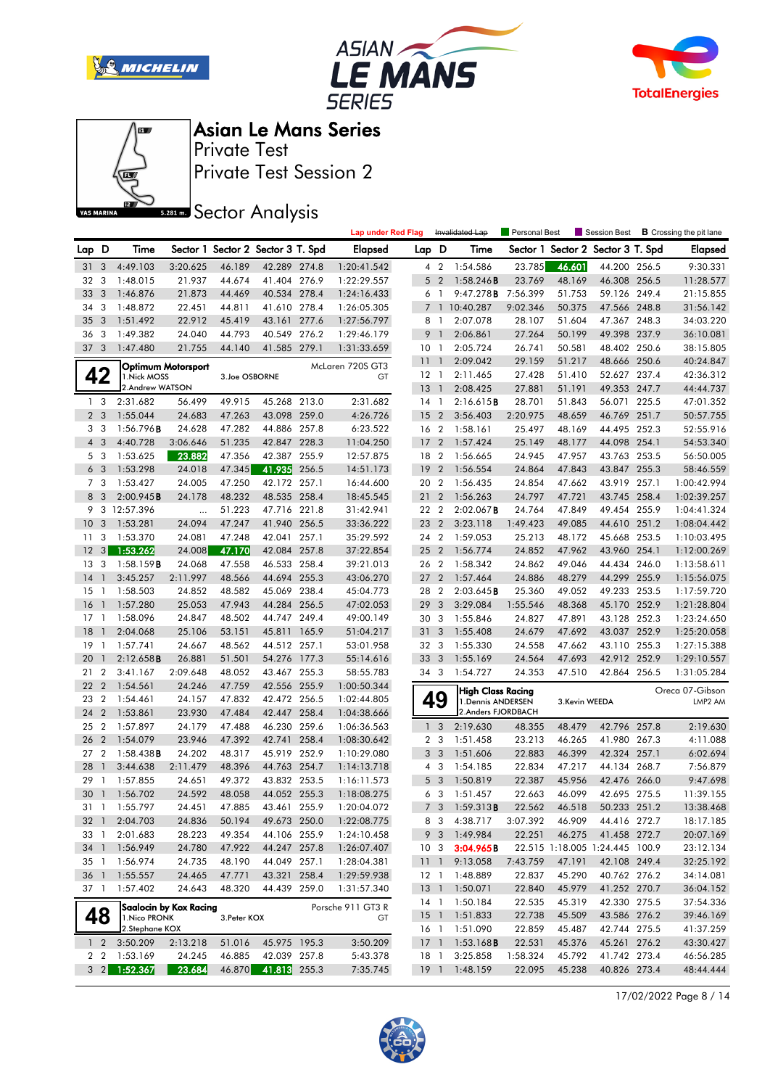







Private Test Session 2 Private Test

**SREAD** Sector Analysis

|                 |                |                     |                        |                                   |              |       | <b>Lap under Red Flag</b> |                 |                         | Invalidated Lap                         | Personal Best |               | Session Best                   |       | <b>B</b> Crossing the pit lane |
|-----------------|----------------|---------------------|------------------------|-----------------------------------|--------------|-------|---------------------------|-----------------|-------------------------|-----------------------------------------|---------------|---------------|--------------------------------|-------|--------------------------------|
| Lap D           |                | Time                |                        | Sector 1 Sector 2 Sector 3 T. Spd |              |       | <b>Elapsed</b>            | Lap D           |                         | Time                                    | Sector 1      |               | Sector 2 Sector 3 T. Spd       |       | <b>Elapsed</b>                 |
| 31              | 3              | 4:49.103            | 3:20.625               | 46.189                            | 42.289 274.8 |       | 1:20:41.542               |                 | 4 2                     | 1:54.586                                | 23.785        | 46.601        | 44.200 256.5                   |       | 9:30.331                       |
| 32              | 3              | 1:48.015            | 21.937                 | 44.674                            | 41.404 276.9 |       | 1:22:29.557               | 5               | $\overline{2}$          | 1:58.246B                               | 23.769        | 48.169        | 46.308 256.5                   |       | 11:28.577                      |
| 33              | 3              | 1:46.876            | 21.873                 | 44.469                            | 40.534 278.4 |       | 1:24:16.433               |                 | $6-1$                   | 9:47.278B                               | 7:56.399      | 51.753        | 59.126 249.4                   |       | 21:15.855                      |
| 34              | 3              | 1:48.872            | 22.451                 | 44.811                            | 41.610 278.4 |       | 1:26:05.305               | $\overline{7}$  | $\overline{1}$          | 10:40.287                               | 9:02.346      | 50.375        | 47.566 248.8                   |       | 31:56.142                      |
| 35              | 3              | 1:51.492            | 22.912                 | 45.419                            | 43.161       | 277.6 | 1:27:56.797               | 8               | -1                      | 2:07.078                                | 28.107        | 51.604        | 47.367                         | 248.3 | 34:03.220                      |
| 36              | 3              | 1:49.382            | 24.040                 | 44.793                            | 40.549       | 276.2 | 1:29:46.179               | 9               | $\mathbf{1}$            | 2:06.861                                | 27.264        | 50.199        | 49.398 237.9                   |       | 36:10.081                      |
| 37 <sub>3</sub> |                | 1:47.480            | 21.755                 | 44.140                            | 41.585 279.1 |       | 1:31:33.659               | 10 <sub>1</sub> |                         | 2:05.724                                | 26.741        | 50.581        | 48.402 250.6                   |       | 38:15.805                      |
|                 |                |                     |                        |                                   |              |       |                           | 111             |                         | 2:09.042                                | 29.159        | 51.217        | 48.666 250.6                   |       | 40:24.847                      |
|                 | 42             | 1. Nick MOSS        | Optimum Motorsport     | 3.Joe OSBORNE                     |              |       | McLaren 720S GT3<br>GT    | $12-1$          |                         | 2:11.465                                | 27.428        | 51.410        | 52.627 237.4                   |       | 42:36.312                      |
|                 |                | 2.Andrew WATSON     |                        |                                   |              |       |                           | 13              | $\overline{1}$          | 2:08.425                                | 27.881        | 51.191        | 49.353 247.7                   |       | 44:44.737                      |
|                 | 1 <sub>3</sub> | 2:31.682            | 56.499                 | 49.915                            | 45.268 213.0 |       | 2:31.682                  | 14 1            |                         | 2:16.615B                               | 28.701        | 51.843        | 56.071 225.5                   |       | 47:01.352                      |
|                 | 2 <sub>3</sub> | 1:55.044            | 24.683                 | 47.263                            | 43.098 259.0 |       | 4:26.726                  | 15              | $\overline{2}$          | 3:56.403                                | 2:20.975      | 48.659        | 46.769 251.7                   |       | 50:57.755                      |
| 3               | -3             | 1:56.796B           | 24.628                 | 47.282                            | 44.886 257.8 |       | 6:23.522                  | 16 2            |                         | 1:58.161                                | 25.497        | 48.169        | 44.495 252.3                   |       | 52:55.916                      |
| $\overline{4}$  | -3             | 4:40.728            | 3:06.646               | 51.235                            | 42.847 228.3 |       | 11:04.250                 | 17              | $\overline{2}$          | 1:57.424                                | 25.149        | 48.177        | 44.098 254.1                   |       | 54:53.340                      |
|                 | 5 3            | 1:53.625            | 23.882                 | 47.356                            | 42.387 255.9 |       | 12:57.875                 | 18              | $\overline{2}$          | 1:56.665                                | 24.945        | 47.957        | 43.763 253.5                   |       | 56:50.005                      |
|                 | 6 <sub>3</sub> | 1:53.298            | 24.018                 | 47.345                            | 41.935       | 256.5 | 14:51.173                 | 19              | $\overline{2}$          | 1:56.554                                | 24.864        | 47.843        | 43.847                         | 255.3 | 58:46.559                      |
|                 | 7 <sub>3</sub> | 1:53.427            | 24.005                 | 47.250                            | 42.172 257.1 |       | 16:44.600                 | 20 2            |                         | 1:56.435                                | 24.854        | 47.662        | 43.919                         | 257.1 | 1:00:42.994                    |
| 8               | 3              | 2:00.945B           | 24.178                 | 48.232                            | 48.535 258.4 |       | 18:45.545                 | 21              | $\overline{2}$          | 1:56.263                                | 24.797        | 47.721        | 43.745 258.4                   |       | 1:02:39.257                    |
| 9               |                | 3 12:57.396         | $\ldots$               | 51.223                            | 47.716 221.8 |       | 31:42.941                 | 22 2            |                         | $2:02.067$ B                            | 24.764        | 47.849        | 49.454 255.9                   |       | 1:04:41.324                    |
| 10              | 3              | 1:53.281            | 24.094                 | 47.247                            | 41.940 256.5 |       | 33:36.222                 | 23 2            |                         | 3:23.118                                | 1:49.423      | 49.085        | 44.610 251.2                   |       | 1:08:04.442                    |
| 11              | 3              | 1:53.370            | 24.081                 | 47.248                            | 42.041       | 257.1 | 35:29.592                 | 24 2            |                         | 1:59.053                                | 25.213        | 48.172        | 45.668 253.5                   |       | 1:10:03.495                    |
| 12              | 3 <sup>1</sup> | 1:53.262            | 24.008                 | 47.170                            | 42.084 257.8 |       | 37:22.854                 | 25 <sub>2</sub> | $\overline{2}$          | 1:56.774                                | 24.852        | 47.962        | 43.960 254.1                   |       | 1:12:00.269                    |
| 13              | 3              | 1:58.159B           | 24.068                 | 47.558                            | 46.533 258.4 |       | 39:21.013                 | 26 2            |                         | 1:58.342                                | 24.862        | 49.046        | 44.434 246.0                   |       | 1:13:58.611                    |
| 14              | $\mathbf{1}$   | 3:45.257            | 2:11.997               | 48.566                            | 44.694 255.3 |       | 43:06.270                 | 27              | $\overline{2}$          | 1:57.464                                | 24.886        | 48.279        | 44.299 255.9                   |       | 1:15:56.075                    |
| 15              | -1             | 1:58.503            | 24.852                 | 48.582                            | 45.069       | 238.4 | 45:04.773                 | 28 2            |                         | 2:03.645B                               | 25.360        | 49.052        | 49.233 253.5                   |       | 1:17:59.720                    |
| 16              | $\mathbf{1}$   | 1:57.280            | 25.053                 | 47.943                            | 44.284 256.5 |       | 47:02.053                 | 29              | 3                       | 3:29.084                                | 1:55.546      | 48.368        | 45.170 252.9                   |       | 1:21:28.804                    |
| 17              | -1             | 1:58.096            | 24.847                 | 48.502                            | 44.747 249.4 |       | 49:00.149                 | 30 3            |                         | 1:55.846                                | 24.827        | 47.891        | 43.128 252.3                   |       | 1:23:24.650                    |
| 18              | $\mathbf{1}$   | 2:04.068            | 25.106                 | 53.151                            | 45.811 165.9 |       | 51:04.217                 | 31              | 3                       | 1:55.408                                | 24.679        | 47.692        | 43.037                         | 252.9 | 1:25:20.058                    |
| 19              | -1             | 1:57.741            | 24.667                 | 48.562                            | 44.512 257.1 |       | 53:01.958                 | 32 3            |                         | 1:55.330                                | 24.558        | 47.662        | 43.110                         | 255.3 | 1:27:15.388                    |
| 20              | $\mathbf{1}$   | 2:12.658B           | 26.881                 | 51.501                            | 54.276 177.3 |       | 55:14.616                 | 33              | 3                       | 1:55.169                                | 24.564        | 47.693        | 42.912 252.9                   |       | 1:29:10.557                    |
| 21              | $\overline{2}$ | 3:41.167            | 2:09.648               | 48.052                            | 43.467 255.3 |       | 58:55.783                 | 34 3            |                         | 1:54.727                                | 24.353        | 47.510        | 42.864 256.5                   |       | 1:31:05.284                    |
| 22              | $\overline{2}$ | 1:54.561            | 24.246                 | 47.759                            | 42.556 255.9 |       | 1:00:50.344               |                 |                         |                                         |               |               |                                |       |                                |
| 23              | $\overline{2}$ | 1:54.461            | 24.157                 | 47.832                            | 42.472 256.5 |       | 1:02:44.805               |                 | 49                      | High Class Racing<br>1. Dennis ANDERSEN |               | 3.Kevin WEEDA |                                |       | Oreca 07-Gibson<br>LMP2 AM     |
| 24              | $\overline{2}$ | 1:53.861            | 23.930                 | 47.484                            | 42.447 258.4 |       | 1:04:38.666               |                 |                         | 2. Anders FJORDBACH                     |               |               |                                |       |                                |
| 25              | $\overline{2}$ | 1:57.897            | 24.179                 | 47.488                            | 46.230 259.6 |       | 1:06:36.563               | $\mathbf{1}$    | $\overline{3}$          | 2:19.630                                | 48.355        | 48.479        | 42.796 257.8                   |       | 2:19.630                       |
| 26              | $\overline{2}$ | 1:54.079            | 23.946                 | 47.392                            | 42.741       | 258.4 | 1:08:30.642               |                 | 2 <sub>3</sub>          | 1:51.458                                | 23.213        | 46.265        | 41.980 267.3                   |       | 4:11.088                       |
| 27              | $\overline{2}$ | $1:58.438$ <b>B</b> | 24.202                 | 48.317                            | 45.919 252.9 |       | 1:10:29.080               | 3               | $\overline{\mathbf{3}}$ | 1:51.606                                | 22.883        | 46.399        | 42.324 257.1                   |       | 6:02.694                       |
| 28              | $\mathbf{1}$   | 3:44.638            | 2:11.479               | 48.396                            | 44.763 254.7 |       | 1:14:13.718               |                 | $4 \quad 3$             | 1:54.185                                | 22.834        | 47.217        | 44.134 268.7                   |       | 7:56.879                       |
| 29              | -1             | 1:57.855            | 24.651                 | 49.372                            | 43.832 253.5 |       | 1:16:11.573               | 5               | $\overline{\mathbf{3}}$ | 1:50.819                                | 22.387        | 45.956        | 42.476 266.0                   |       | 9:47.698                       |
| 30 <sub>1</sub> |                | 1:56.702            | 24.592                 | 48.058                            | 44.052 255.3 |       | 1:18:08.275               |                 | 6 3                     | 1:51.457                                | 22.663        | 46.099        | 42.695 275.5                   |       | 11:39.155                      |
|                 |                | 31 1 1:55.797       | 24.451                 | 47.885                            | 43.461 255.9 |       | 1:20:04.072               |                 | 7 <sub>3</sub>          | 1:59.313 <b>B</b>                       | 22.562        | 46.518        | 50.233 251.2                   |       | 13:38.468                      |
| $32-1$          |                | 2:04.703            | 24.836                 | 50.194                            | 49.673 250.0 |       | 1:22:08.775               |                 |                         | 8 3 4:38.717                            | 3:07.392      | 46.909        | 44.416 272.7                   |       | 18:17.185                      |
| 33 1            |                | 2:01.683            | 28.223                 | 49.354                            | 44.106 255.9 |       | 1:24:10.458               |                 |                         | 9 3 1:49.984                            | 22.251        | 46.275        | 41.458 272.7                   |       | 20:07.169                      |
| 34 1            |                | 1:56.949            | 24.780                 | 47.922                            | 44.247 257.8 |       | 1:26:07.407               | 10 <sub>3</sub> |                         | 3:04.965B                               |               |               | 22.515 1:18.005 1:24.445 100.9 |       | 23:12.134                      |
| 35 1            |                | 1:56.974            | 24.735                 | 48.190                            | 44.049 257.1 |       | 1:28:04.381               | 111             |                         | 9:13.058                                | 7:43.759      | 47.191        | 42.108 249.4                   |       | 32:25.192                      |
| 36 1            |                | 1:55.557            | 24.465                 | 47.771                            | 43.321 258.4 |       | 1:29:59.938               |                 |                         | 12 1 1:48.889                           | 22.837        | 45.290        | 40.762 276.2                   |       | 34:14.081                      |
| 37 1            |                | 1:57.402            | 24.643                 | 48.320                            | 44.439 259.0 |       | 1:31:57.340               | 13 <sup>1</sup> |                         | 1:50.071                                | 22.840        | 45.979        | 41.252 270.7                   |       | 36:04.152                      |
|                 |                |                     |                        |                                   |              |       | Porsche 911 GT3 R         |                 |                         | 14 1 1:50.184                           | 22.535        | 45.319        | 42.330 275.5                   |       | 37:54.336                      |
|                 | 48             | 1. Nico PRONK       | Saalocin by Kox Racing | 3. Peter KOX                      |              |       | GT                        |                 |                         | 15 1 1:51.833                           | 22.738        | 45.509        | 43.586 276.2                   |       | 39:46.169                      |
|                 |                | 2.Stephane KOX      |                        |                                   |              |       |                           |                 |                         | 16 1 1:51.090                           | 22.859        | 45.487        | 42.744 275.5                   |       | 41:37.259                      |
|                 | $1\quad 2$     | 3:50.209            | 2:13.218               | 51.016                            | 45.975 195.3 |       | 3:50.209                  |                 |                         | 17 1 1:53.168 <b>B</b>                  | 22.531        | 45.376        | 45.261 276.2                   |       | 43:30.427                      |
|                 | 22             | 1:53.169            | 24.245                 | 46.885                            | 42.039 257.8 |       | 5:43.378                  | 18 1            |                         | 3:25.858                                | 1:58.324      | 45.792        | 41.742 273.4                   |       | 46:56.285                      |
|                 | $3 \quad 2$    | 1:52.367            | 23.684                 | 46.870                            | 41.813 255.3 |       | 7:35.745                  |                 |                         | 19 1 1:48.159                           | 22.095        | 45.238        | 40.826 273.4                   |       | 48:44.444                      |

17/02/2022 Page 8 / 14

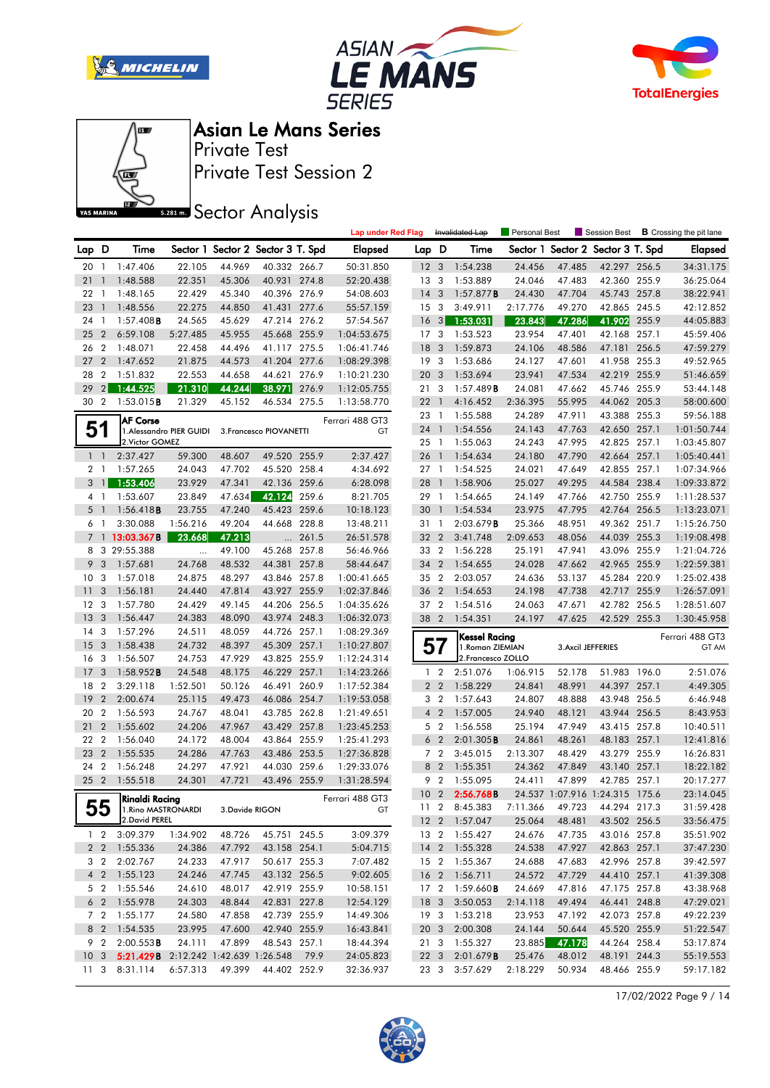







Private Test Session 2 Private Test

**SREAD** Sector Analysis

|          |                |                                                            |                          |        |                                   |       | <b>Lap under Red Flag</b> |                 |                         | Invalidated Lap                   | <b>Personal Best</b> |        | Session Best                      | <b>B</b> Crossing the pit lane |
|----------|----------------|------------------------------------------------------------|--------------------------|--------|-----------------------------------|-------|---------------------------|-----------------|-------------------------|-----------------------------------|----------------------|--------|-----------------------------------|--------------------------------|
| Lap D    |                | Time                                                       |                          |        | Sector 1 Sector 2 Sector 3 T. Spd |       | <b>Elapsed</b>            | Lap D           |                         | Time                              |                      |        | Sector 1 Sector 2 Sector 3 T. Spd | <b>Elapsed</b>                 |
| 20       | $\overline{1}$ | 1:47.406                                                   | 22.105                   | 44.969 | 40.332 266.7                      |       | 50:31.850                 | 12 <sub>3</sub> |                         | 1:54.238                          | 24.456               | 47.485 | 42.297 256.5                      | 34:31.175                      |
| 21       | $\mathbf{1}$   | 1:48.588                                                   | 22.351                   | 45.306 | 40.931 274.8                      |       | 52:20.438                 | 13              | -3                      | 1:53.889                          | 24.046               | 47.483 | 42.360 255.9                      | 36:25.064                      |
| 22       | $\overline{1}$ | 1:48.165                                                   | 22.429                   | 45.340 | 40.396 276.9                      |       | 54:08.603                 | 14              | $\overline{\mathbf{3}}$ | $1:57.877$ <b>B</b>               | 24.430               | 47.704 | 45.743 257.8                      | 38:22.941                      |
| 23       | $\mathbf{1}$   | 1:48.556                                                   | 22.275                   | 44.850 | 41.431 277.6                      |       | 55:57.159                 | 15              | 3                       | 3:49.911                          | 2:17.776             | 49.270 | 42.865 245.5                      | 42:12.852                      |
| 24       | $\overline{1}$ | $1:57.408$ B                                               | 24.565                   | 45.629 | 47.214 276.2                      |       | 57:54.567                 | <b>16</b>       | $\lceil 3 \rceil$       | 1:53.031                          | 23.843               | 47.286 | 41.902 255.9                      | 44:05.883                      |
| 25       | $\overline{2}$ | 6:59.108                                                   | 5:27.485                 | 45.955 | 45.668 255.9                      |       | 1:04:53.675               | 17              | -3                      | 1:53.523                          | 23.954               | 47.401 | 42.168 257.1                      | 45:59.406                      |
| 26       | $\overline{2}$ | 1:48.071                                                   | 22.458                   | 44.496 | 41.117 275.5                      |       | 1:06:41.746               | 18              | 3                       | 1:59.873                          | 24.106               | 48.586 | 47.181 256.5                      | 47:59.279                      |
| 27       | $\overline{2}$ | 1:47.652                                                   | 21.875                   | 44.573 | 41.204 277.6                      |       | 1:08:29.398               | 19              | $\overline{\mathbf{3}}$ | 1:53.686                          | 24.127               | 47.601 | 41.958 255.3                      | 49:52.965                      |
| 28       | $\overline{2}$ | 1:51.832                                                   | 22.553                   | 44.658 | 44.621                            | 276.9 | 1:10:21.230               | 20              | $\mathbf{3}$            | 1:53.694                          | 23.941               | 47.534 | 42.219 255.9                      | 51:46.659                      |
| 29       | 2              | 1:44.525                                                   | 21.310                   | 44.244 | 38.971                            | 276.9 | 1:12:05.755               | 21              | 3                       | 1:57.489B                         | 24.081               | 47.662 | 45.746 255.9                      | 53:44.148                      |
| 30 2     |                | 1:53.015B                                                  | 21.329                   | 45.152 | 46.534 275.5                      |       | 1:13:58.770               | 22              | $\overline{1}$          | 4:16.452                          | 2:36.395             | 55.995 | 44.062 205.3                      | 58:00.600                      |
|          |                |                                                            |                          |        |                                   |       |                           | 23              | $\overline{1}$          | 1:55.588                          | 24.289               | 47.911 | 43.388 255.3                      | 59:56.188                      |
| 51       |                | <b>AF Corse</b>                                            | 1. Alessandro PIER GUIDI |        | 3. Francesco PIOVANETTI           |       | Ferrari 488 GT3<br>GT     | 24 1            |                         | 1:54.556                          | 24.143               | 47.763 | 42.650 257.1                      | 1:01:50.744                    |
|          |                | 2. Victor GOMEZ                                            |                          |        |                                   |       |                           | 25 1            |                         | 1:55.063                          | 24.243               | 47.995 | 42.825 257.1                      | 1:03:45.807                    |
| $1\quad$ |                | 2:37.427                                                   | 59.300                   | 48.607 | 49.520 255.9                      |       | 2:37.427                  | 26 1            |                         | 1:54.634                          | 24.180               | 47.790 | 42.664 257.1                      | 1:05:40.441                    |
|          | 21             | 1:57.265                                                   | 24.043                   | 47.702 | 45.520 258.4                      |       | 4:34.692                  | 27 <sub>1</sub> |                         | 1:54.525                          | 24.021               | 47.649 | 42.855 257.1                      | 1:07:34.966                    |
| 3        | $\mathbf{1}$   | 1:53.406                                                   | 23.929                   | 47.341 | 42.136                            | 259.6 | 6:28.098                  | 28              | $\overline{1}$          | 1:58.906                          | 25.027               | 49.295 | 44.584 238.4                      | 1:09:33.872                    |
|          | 41             | 1:53.607                                                   | 23.849                   | 47.634 | 42.124                            | 259.6 | 8:21.705                  | 29              | $\overline{1}$          | 1:54.665                          | 24.149               | 47.766 | 42.750 255.9                      | 1:11:28.537                    |
| 5        | -1             | 1:56.418B                                                  | 23.755                   | 47.240 | 45.423 259.6                      |       | 10:18.123                 | 30              | $\overline{1}$          | 1:54.534                          | 23.975               | 47.795 | 42.764 256.5                      | 1:13:23.071                    |
|          | 61             | 3:30.088                                                   | 1:56.216                 | 49.204 | 44.668 228.8                      |       | 13:48.211                 | 31 1            |                         | 2:03.679B                         | 25.366               | 48.951 | 49.362 251.7                      | 1:15:26.750                    |
|          |                | 7 13:03.367B                                               | 23.668                   | 47.213 | $\cdots$                          | 261.5 | 26:51.578                 | 32 2            |                         | 3:41.748                          | 2:09.653             | 48.056 | 44.039 255.3                      | 1:19:08.498                    |
|          |                | 8 3 29:55.388                                              | $\cdots$                 | 49.100 | 45.268 257.8                      |       | 56:46.966                 | 33 2            |                         | 1:56.228                          | 25.191               | 47.941 | 43.096 255.9                      | 1:21:04.726                    |
| 9        | 3              | 1:57.681                                                   | 24.768                   | 48.532 | 44.381 257.8                      |       | 58:44.647                 | 34 2            |                         | 1:54.655                          | 24.028               | 47.662 | 42.965 255.9                      | 1:22:59.381                    |
| 10       | 3              | 1:57.018                                                   | 24.875                   | 48.297 | 43.846 257.8                      |       | 1:00:41.665               | 35 2            |                         | 2:03.057                          | 24.636               | 53.137 | 45.284 220.9                      | 1:25:02.438                    |
| 11       | 3              | 1:56.181                                                   | 24.440                   | 47.814 | 43.927 255.9                      |       | 1:02:37.846               | 36 <sub>2</sub> |                         | 1:54.653                          | 24.198               | 47.738 | 42.717 255.9                      | 1:26:57.091                    |
| 12       | -3             | 1:57.780                                                   | 24.429                   | 49.145 | 44.206 256.5                      |       | 1:04:35.626               | 37 2            |                         | 1:54.516                          | 24.063               | 47.671 | 42.782 256.5                      | 1:28:51.607                    |
| 13       | 3              | 1:56.447                                                   | 24.383                   | 48.090 | 43.974 248.3                      |       | 1:06:32.073               | 38 2            |                         | 1:54.351                          | 24.197               | 47.625 | 42.529 255.3                      | 1:30:45.958                    |
| 14       | 3              | 1:57.296                                                   | 24.511                   | 48.059 | 44.726 257.1                      |       | 1:08:29.369               |                 |                         |                                   |                      |        |                                   |                                |
| 15       | 3              | 1:58.438                                                   | 24.732                   | 48.397 | 45.309 257.1                      |       | 1:10:27.807               | 57              |                         | Kessel Racing<br>1. Roman ZIEMIAN |                      |        | 3. Axcil JEFFERIES                | Ferrari 488 GT3<br>GT AM       |
| 16       | -3             | 1:56.507                                                   | 24.753                   | 47.929 | 43.825 255.9                      |       | 1:12:24.314               |                 |                         | 2. Francesco ZOLLO                |                      |        |                                   |                                |
| 17       | 3              | $1:58.952$ <b>B</b>                                        | 24.548                   | 48.175 | 46.229 257.1                      |       | 1:14:23.266               |                 | $1\quad 2$              | 2:51.076                          | 1:06.915             | 52.178 | 51.983 196.0                      | 2:51.076                       |
| 18       | $\overline{2}$ | 3:29.118                                                   | 1:52.501                 | 50.126 | 46.491 260.9                      |       | 1:17:52.384               |                 | 2 <sub>2</sub>          | 1:58.229                          | 24.841               | 48.991 | 44.397 257.1                      | 4:49.305                       |
| 19       | $\overline{2}$ | 2:00.674                                                   | 25.115                   | 49.473 | 46.086 254.7                      |       | 1:19:53.058               |                 | 3 <sub>2</sub>          | 1:57.643                          | 24.807               | 48.888 | 43.948 256.5                      | 6:46.948                       |
| 20       | $\overline{2}$ | 1:56.593                                                   | 24.767                   | 48.041 | 43.785 262.8                      |       | 1:21:49.651               |                 | 4 <sup>2</sup>          | 1:57.005                          | 24.940               | 48.121 | 43.944 256.5                      | 8:43.953                       |
| 21       | $\overline{2}$ | 1:55.602                                                   | 24.206                   | 47.967 | 43.429 257.8                      |       | 1:23:45.253               |                 | 5 <sub>2</sub>          | 1:56.558                          | 25.194               | 47.949 | 43.415 257.8                      | 10:40.511                      |
| 22       | $\overline{2}$ | 1:56.040                                                   | 24.172                   | 48.004 | 43.864                            | 255.9 | 1:25:41.293               | 6               | $\overline{2}$          | 2:01.305B                         | 24.861               | 48.261 | 48.183 257.1                      | 12:41.816                      |
| 23       | $\overline{2}$ | 1:55.535                                                   | 24.286                   | 47.763 | 43.486 253.5                      |       | 1:27:36.828               |                 | 7 <sub>2</sub>          | 3:45.015                          | 2:13.307             | 48.429 | 43.279 255.9                      | 16:26.831                      |
| 24       | $\overline{2}$ | 1:56.248                                                   | 24.297                   | 47.921 | 44.030 259.6                      |       | 1:29:33.076               |                 | 8 2                     | 1:55.351                          | 24.362               | 47.849 | 43.140 257.1                      | 18:22.182                      |
| 25 2     |                | 1:55.518                                                   | 24.301                   | 47.721 | 43.496 255.9                      |       | 1:31:28.594               |                 | 9 2                     | 1:55.095                          | 24.411               | 47.899 | 42.785 257.1                      | 20:17.277                      |
|          |                |                                                            |                          |        |                                   |       |                           | 10 <sub>2</sub> |                         | 2:56.768B                         |                      |        | 24.537 1:07.916 1:24.315 175.6    | 23:14.045                      |
|          | ББ             | Rinaldi Racing<br>00   1. Rino MASTRONARDI 3. Davide RIGON |                          |        |                                   |       | Ferrari 488 GT3           |                 | 11 <sub>2</sub>         | 8:45.383                          | 7:11.366             | 49.723 | 44.294 217.3                      | 31:59.428                      |
|          |                | 2.David PEREL                                              |                          |        |                                   |       |                           |                 |                         | 12 2 1:57.047                     | 25.064               | 48.481 | 43.502 256.5                      | 33:56.475                      |
|          |                | 1 2 3:09.379                                               | 1:34.902                 | 48.726 | 45.751 245.5                      |       | 3:09.379                  |                 |                         | 13 2 1:55.427                     | 24.676               | 47.735 | 43.016 257.8                      | 35:51.902                      |
|          |                | 2 2 1:55.336                                               | 24.386                   | 47.792 | 43.158 254.1                      |       | 5:04.715                  |                 |                         | 14 2 1:55.328                     | 24.538               | 47.927 | 42.863 257.1                      | 37:47.230                      |
|          |                | 3 2 2:02.767                                               | 24.233                   | 47.917 | 50.617 255.3                      |       | 7:07.482                  |                 |                         | 15 2 1:55.367                     | 24.688               | 47.683 | 42.996 257.8                      | 39:42.597                      |
|          |                | 4 2 1:55.123                                               | 24.246                   | 47.745 | 43.132 256.5                      |       | 9:02.605                  |                 |                         | 16 2 1:56.711                     | 24.572               | 47.729 | 44.410 257.1                      | 41:39.308                      |
|          |                | 5 2 1:55.546                                               | 24.610                   | 48.017 | 42.919 255.9                      |       | 10:58.151                 |                 |                         | 17 2 1:59.660 <b>B</b>            | 24.669               | 47.816 | 47.175 257.8                      | 43:38.968                      |
|          |                | 6 2 1:55.978                                               | 24.303                   | 48.844 | 42.831 227.8                      |       | 12:54.129                 |                 |                         | 18 3 3:50.053                     | 2:14.118             | 49.494 | 46.441 248.8                      | 47:29.021                      |
|          |                | 7 2 1:55.177                                               | 24.580                   | 47.858 | 42.739 255.9                      |       | 14:49.306                 |                 |                         | 19 3 1:53.218                     | 23.953               | 47.192 | 42.073 257.8                      | 49:22.239                      |
|          |                | 8 2 1:54.535                                               | 23.995                   | 47.600 | 42.940 255.9                      |       | 16:43.841                 |                 |                         | 20 3 2:00.308                     | 24.144               | 50.644 | 45.520 255.9                      | 51:22.547                      |
|          |                | 9 2 2:00.553 <b>B</b>                                      | 24.111                   | 47.899 | 48.543 257.1                      |       | 18:44.394                 |                 |                         | 21 3 1:55.327                     | 23.885               | 47.178 | 44.264 258.4                      | 53:17.874                      |
|          |                | 10 3 5:21.429B 2:12.242 1:42.639 1:26.548 79.9             |                          |        |                                   |       | 24:05.823                 |                 |                         | 22 3 2:01.679B                    | 25.476               | 48.012 | 48.191 244.3                      | 55:19.553                      |
|          |                | 11 3 8:31.114                                              | 6:57.313                 | 49.399 | 44.402 252.9                      |       | 32:36.937                 |                 |                         | 23 3 3:57.629                     | 2:18.229             | 50.934 | 48.466 255.9                      | 59:17.182                      |

17/02/2022 Page 9 / 14

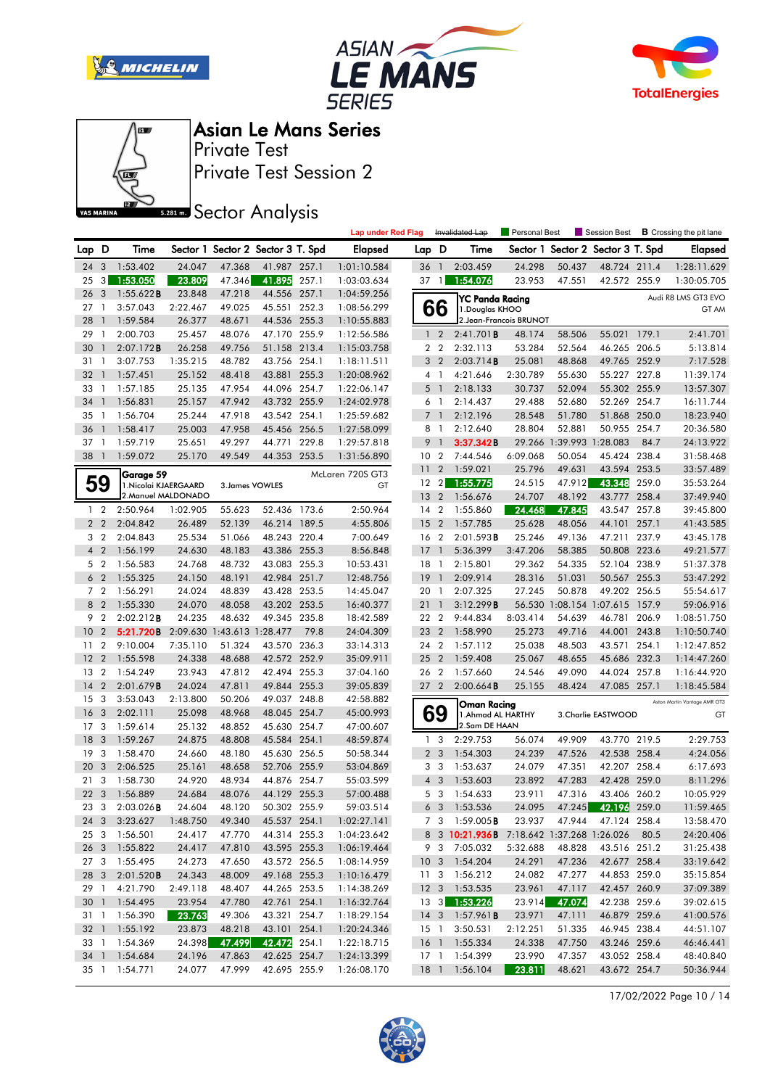







Private Test Asian Le Mans Series

Private Test Session 2

**SR281 mm** Sector Analysis

|       |                                  |                       |                     |                            |                                   |       | <b>Lap under Red Flag</b> |                 |                | Invalidated Lap                                | <b>Personal Best</b>    |                   | Session Best                 |       | <b>B</b> Crossing the pit lane |
|-------|----------------------------------|-----------------------|---------------------|----------------------------|-----------------------------------|-------|---------------------------|-----------------|----------------|------------------------------------------------|-------------------------|-------------------|------------------------------|-------|--------------------------------|
| Lap D |                                  | Time                  |                     |                            | Sector 1 Sector 2 Sector 3 T. Spd |       | <b>Elapsed</b>            | Lap D           |                | Time                                           | Sector 1                |                   | Sector 2 Sector 3 T. Spd     |       | <b>Elapsed</b>                 |
| 24    | 3                                | 1:53.402              | 24.047              | 47.368                     | 41.987 257.1                      |       | 1:01:10.584               | 36              | $\overline{1}$ | 2:03.459                                       | 24.298                  | 50.437            | 48.724 211.4                 |       | 1:28:11.629                    |
| 25    | 3 <sup>1</sup>                   | 1:53.050              | 23.809              | 47.346                     | 41.895                            | 257.1 | 1:03:03.634               | 37              | $\overline{1}$ | 1:54.076                                       | 23.953                  | 47.551            | 42.572 255.9                 |       | 1:30:05.705                    |
| 26    | 3                                | 1:55.622B             | 23.848              | 47.218                     | 44.556 257.1                      |       | 1:04:59.256               |                 |                | <b>YC Panda Racing</b>                         |                         |                   |                              |       | Audi R8 LMS GT3 EVO            |
| 27    | -1                               | 3:57.043              | 2:22.467            | 49.025                     | 45.551                            | 252.3 | 1:08:56.299               |                 | 66             | 1. Douglas KHOO                                |                         |                   |                              |       | GT AM                          |
| 28    | $\mathbf{1}$                     | 1:59.584              | 26.377              | 48.671                     | 44.536 255.3                      |       | 1:10:55.883               |                 |                |                                                | 2. Jean-Francois BRUNOT |                   |                              |       |                                |
| 29    | -1                               | 2:00.703              | 25.457              | 48.076                     | 47.170 255.9                      |       | 1:12:56.586               |                 | 1 <sub>2</sub> | 2:41.701B                                      | 48.174                  | 58.506            | 55.021 179.1                 |       | 2:41.701                       |
| 30    |                                  | 2:07.172B             | 26.258              | 49.756                     | 51.158 213.4                      |       | 1:15:03.758               |                 | 2 <sub>2</sub> | 2:32.113                                       | 53.284                  | 52.564            | 46.265 206.5                 |       | 5:13.814                       |
| 31    | -1                               | 3:07.753              | 1:35.215            | 48.782                     | 43.756 254.1                      |       | 1:18:11.511               |                 | 3 <sub>2</sub> | 2:03.714B                                      | 25.081                  | 48.868            | 49.765 252.9                 |       | 7:17.528                       |
| 32    | $\overline{1}$                   | 1:57.451              | 25.152              | 48.418                     | 43.881                            | 255.3 | 1:20:08.962               |                 | 4 <sup>1</sup> | 4:21.646                                       | 2:30.789                | 55.630            | 55.227 227.8                 |       | 11:39.174                      |
| 33    | 1                                | 1:57.185              | 25.135              | 47.954                     | 44.096 254.7                      |       | 1:22:06.147               | 5               | $\overline{1}$ | 2:18.133                                       | 30.737                  | 52.094            | 55.302 255.9                 |       | 13:57.307                      |
| 34    | $\mathbf{1}$                     | 1:56.831              | 25.157              | 47.942                     | 43.732 255.9                      |       | 1:24:02.978               |                 | 6 1            | 2:14.437                                       | 29.488                  | 52.680            | 52.269 254.7                 |       | 16:11.744                      |
| 35    | 1                                | 1:56.704              | 25.244              | 47.918                     | 43.542 254.1                      |       | 1:25:59.682               |                 | $7-1$          | 2:12.196                                       | 28.548                  | 51.780            | 51.868 250.0                 |       | 18:23.940                      |
| 36    | $\mathbf{1}$                     | 1:58.417              | 25.003              | 47.958                     | 45.456 256.5                      |       | 1:27:58.099               |                 | 8 1            | 2:12.640                                       | 28.804                  | 52.881            | 50.955 254.7                 |       | 20:36.580                      |
| 37    | $\mathbf{1}$                     | 1:59.719              | 25.651              | 49.297                     | 44.771                            | 229.8 | 1:29:57.818               | 9               | $\mathbf{1}$   | 3:37.342B                                      | 29.266                  | 1:39.993 1:28.083 |                              | 84.7  | 24:13.922                      |
| 38    | $\overline{1}$                   | 1:59.072              | 25.170              | 49.549                     | 44.353 253.5                      |       | 1:31:56.890               | 10 <sub>2</sub> |                | 7:44.546                                       | 6:09.068                | 50.054            | 45.424 238.4                 |       | 31:58.468                      |
|       |                                  | Garage 59             |                     |                            |                                   |       | McLaren 720S GT3          | 11              | $\overline{2}$ | 1:59.021<br>1:55.775                           | 25.796<br>24.515        | 49.631            | 43.594 253.5<br>43.348       |       | 33:57.489                      |
|       | 59                               | 1. Nicolai KJAERGAARD | 2. Manuel MALDONADO | 3. James VOWLES            |                                   |       | GT                        | 12              | $\overline{2}$ |                                                |                         | 47.912            | 43.777 258.4                 | 259.0 | 35:53.264                      |
|       | $1\quad 2$                       |                       |                     |                            | 52.436 173.6                      |       | 2:50.964                  | 13 <sub>2</sub> |                | 1:56.676                                       | 24.707                  | 48.192<br>47.845  |                              |       | 37:49.940                      |
|       | 2 <sub>2</sub>                   | 2:50.964<br>2:04.842  | 1:02.905            | 55.623                     |                                   |       |                           | 14              | $\overline{2}$ | 1:55.860                                       | 24.468                  |                   | 43.547 257.8                 |       | 39:45.800                      |
|       |                                  |                       | 26.489              | 52.139                     | 46.214 189.5<br>48.243 220.4      |       | 4:55.806                  | 15              | $\overline{2}$ | 1:57.785                                       | 25.628                  | 48.056            | 44.101                       | 257.1 | 41:43.585                      |
|       | 3 <sub>2</sub>                   | 2:04.843              | 25.534<br>24.630    | 51.066                     |                                   |       | 7:00.649                  | 16 <sub>2</sub> | $\mathbf{1}$   | 2:01.593B<br>5:36.399                          | 25.246<br>3:47.206      | 49.136            | 47.211<br>50.808 223.6       | 237.9 | 43:45.178                      |
|       | 4 <sup>2</sup>                   | 1:56.199<br>1:56.583  |                     | 48.183                     | 43.386 255.3                      |       | 8:56.848                  | 17              |                |                                                |                         | 58.385            |                              |       | 49:21.577<br>51:37.378         |
| 6     | 5 <sub>2</sub><br>$\overline{2}$ |                       | 24.768              | 48.732                     | 43.083 255.3<br>42.984 251.7      |       | 10:53.431                 | $18-1$          | $\overline{1}$ | 2:15.801                                       | 29.362                  | 54.335            | 52.104 238.9                 |       |                                |
|       | 7 <sub>2</sub>                   | 1:55.325              | 24.150<br>24.024    | 48.191                     |                                   |       | 12:48.756                 | 19<br>20 1      |                | 2:09.914<br>2:07.325                           | 28.316                  | 51.031<br>50.878  | 50.567 255.3<br>49.202 256.5 |       | 53:47.292<br>55:54.617         |
|       | 8 2                              | 1:56.291<br>1:55.330  | 24.070              | 48.839<br>48.058           | 43.428 253.5<br>43.202 253.5      |       | 14:45.047<br>16:40.377    | 21              | $\mathbf{1}$   | 3:12.299B                                      | 27.245<br>56.530        |                   | 1:08.154 1:07.615 157.9      |       | 59:06.916                      |
| 9     | $\overline{2}$                   | 2:02.212B             | 24.235              | 48.632                     | 49.345 235.8                      |       | 18:42.589                 | 22 2            |                | 9:44.834                                       | 8:03.414                | 54.639            | 46.781                       | 206.9 | 1:08:51.750                    |
| 10    | $\overline{2}$                   | 5:21.720B             |                     | 2:09.630 1:43.613 1:28.477 |                                   | 79.8  | 24:04.309                 | 23              | $\overline{2}$ | 1:58.990                                       | 25.273                  | 49.716            | 44.001                       | 243.8 | 1:10:50.740                    |
| 11    | $\overline{2}$                   | 9:10.004              | 7:35.110            | 51.324                     | 43.570 236.3                      |       | 33:14.313                 | 24 2            |                | 1:57.112                                       | 25.038                  | 48.503            | 43.571                       | 254.1 | 1:12:47.852                    |
| 12    | $\overline{2}$                   | 1:55.598              | 24.338              | 48.688                     | 42.572 252.9                      |       | 35:09.911                 | 25              | $\overline{2}$ | 1:59.408                                       | 25.067                  | 48.655            | 45.686 232.3                 |       | 1:14:47.260                    |
| 13    | $\overline{2}$                   | 1:54.249              | 23.943              | 47.812                     | 42.494 255.3                      |       | 37:04.160                 | 26 2            |                | 1:57.660                                       | 24.546                  | 49.090            | 44.024 257.8                 |       | 1:16:44.920                    |
| 14    | 2                                | 2:01.679B             | 24.024              | 47.811                     | 49.844 255.3                      |       | 39:05.839                 | 27 <sub>2</sub> |                | 2:00.664B                                      | 25.155                  | 48.424            | 47.085 257.1                 |       | 1:18:45.584                    |
| 15    | 3                                | 3:53.043              | 2:13.800            | 50.206                     | 49.037                            | 248.8 | 42:58.882                 |                 |                |                                                |                         |                   |                              |       | Aston Martin Vantage AMR GT3   |
| 16    | 3                                | 2:02.111              | 25.098              | 48.968                     | 48.045 254.7                      |       | 45:00.993                 |                 | 69             | Oman Racing<br>1. Ahmad AL HARTHY              |                         |                   | 3. Charlie EASTWOOD          |       | GT                             |
| 17    | 3                                | 1:59.614              | 25.132              | 48.852                     | 45.630 254.7                      |       | 47:00.607                 |                 |                | 2.Sam DE HAAN                                  |                         |                   |                              |       |                                |
| 18    | 3                                | 1:59.267              | 24.875              | 48.808                     | 45.584 254.1                      |       | 48:59.874                 | 1               | 3              | 2:29.753                                       | 56.074                  | 49.909            | 43.770 219.5                 |       | 2:29.753                       |
| 19    | 3                                | 1:58.470              | 24.660              | 48.180                     | 45.630 256.5                      |       | 50:58.344                 |                 | 2 <sub>3</sub> | 1:54.303                                       | 24.239                  | 47.526            | 42.538 258.4                 |       | 4:24.056                       |
| 20    | 3                                | 2:06.525              | 25.161              | 48.658                     | 52.706 255.9                      |       | 53:04.869                 |                 | 3 <sub>3</sub> | 1:53.637                                       | 24.079                  | 47.351            | 42.207 258.4                 |       | 6:17.693                       |
| 21    | 3                                | 1:58.730              | 24.920              | 48.934                     | 44.876 254.7                      |       | 55:03.599                 |                 | $4 \quad 3$    | 1:53.603                                       | 23.892                  | 47.283            | 42.428 259.0                 |       | 8:11.296                       |
| 22    | $\overline{3}$                   | 1:56.889              | 24.684              | 48.076                     | 44.129 255.3                      |       | 57:00.488                 |                 | 5 <sub>3</sub> | 1:54.633                                       | 23.911                  | 47.316            | 43.406 260.2                 |       | 10:05.929                      |
| 23    | $\mathbf{3}$                     | 2:03.026B             | 24.604              | 48.120                     | 50.302 255.9                      |       | 59:03.514                 |                 | 6 <sub>3</sub> | 1:53.536                                       | 24.095                  |                   | 47.245 42.196 259.0          |       | 11:59.465                      |
|       |                                  | 24 3 3:23.627         | 1:48.750            | 49.340                     | 45.537 254.1                      |       | 1:02:27.141               |                 |                | 7 3 1:59.005 <b>B</b>                          |                         |                   | 23.937 47.944 47.124 258.4   |       | 13:58.470                      |
|       |                                  | 25 3 1:56.501         | 24.417              | 47.770                     | 44.314 255.3                      |       | 1:04:23.642               |                 |                | 8 3 10:21.936B 7:18.642 1:37.268 1:26.026 80.5 |                         |                   |                              |       | 24:20.406                      |
|       |                                  | 26 3 1:55.822         | 24.417              | 47.810                     | 43.595 255.3                      |       | 1:06:19.464               |                 |                | 9 3 7:05.032                                   | 5:32.688                | 48.828            | 43.516 251.2                 |       | 31:25.438                      |
|       |                                  | 27 3 1:55.495         | 24.273              | 47.650                     | 43.572 256.5                      |       | 1:08:14.959               |                 |                | 10 3 1:54.204                                  | 24.291                  | 47.236            | 42.677 258.4                 |       | 33:19.642                      |
|       |                                  | 28 3 2:01.520B        | 24.343              | 48.009                     | 49.168 255.3                      |       | 1:10:16.479               |                 |                | 11 3 1:56.212                                  | 24.082                  | 47.277            | 44.853 259.0                 |       | 35:15.854                      |
| 29 1  |                                  | 4:21.790              | 2:49.118            | 48.407                     | 44.265 253.5                      |       | 1:14:38.269               |                 |                | 12 3 1:53.535                                  | 23.961                  | 47.117            | 42.457 260.9                 |       | 37:09.389                      |
|       |                                  | 30 1 1:54.495         | 23.954              | 47.780                     | 42.761 254.1                      |       | 1:16:32.764               |                 |                | 13 3 1:53.226                                  | 23.914                  | 47.074            | 42.238 259.6                 |       | 39:02.615                      |
|       |                                  | 31 1 1:56.390         | 23.763              | 49.306                     | 43.321 254.7                      |       | 1:18:29.154               |                 |                | 14 3 1:57.961 <b>B</b>                         | 23.971                  | 47.111            | 46.879 259.6                 |       | 41:00.576                      |
|       |                                  | 32 1 1:55.192         | 23.873              | 48.218                     | 43.101 254.1                      |       | 1:20:24.346               |                 |                | 15 1 3:50.531                                  | 2:12.251                | 51.335            | 46.945 238.4                 |       | 44:51.107                      |
|       |                                  | 33 1 1:54.369         | 24.398              | 47.499                     | 42.472 254.1                      |       | 1:22:18.715               |                 |                | 16 1 1:55.334                                  | 24.338                  | 47.750            | 43.246 259.6                 |       | 46:46.441                      |
|       |                                  | 34 1 1:54.684         | 24.196              | 47.863                     | 42.625 254.7                      |       | 1:24:13.399               |                 |                | 17 1 1:54.399                                  | 23.990                  | 47.357            | 43.052 258.4                 |       | 48:40.840                      |
|       |                                  | 35 1 1:54.771         | 24.077              | 47.999                     | 42.695 255.9                      |       | 1:26:08.170               |                 |                | 18 1 1:56.104                                  | 23.811                  | 48.621            | 43.672 254.7                 |       | 50:36.944                      |

17/02/2022 Page 10 / 14

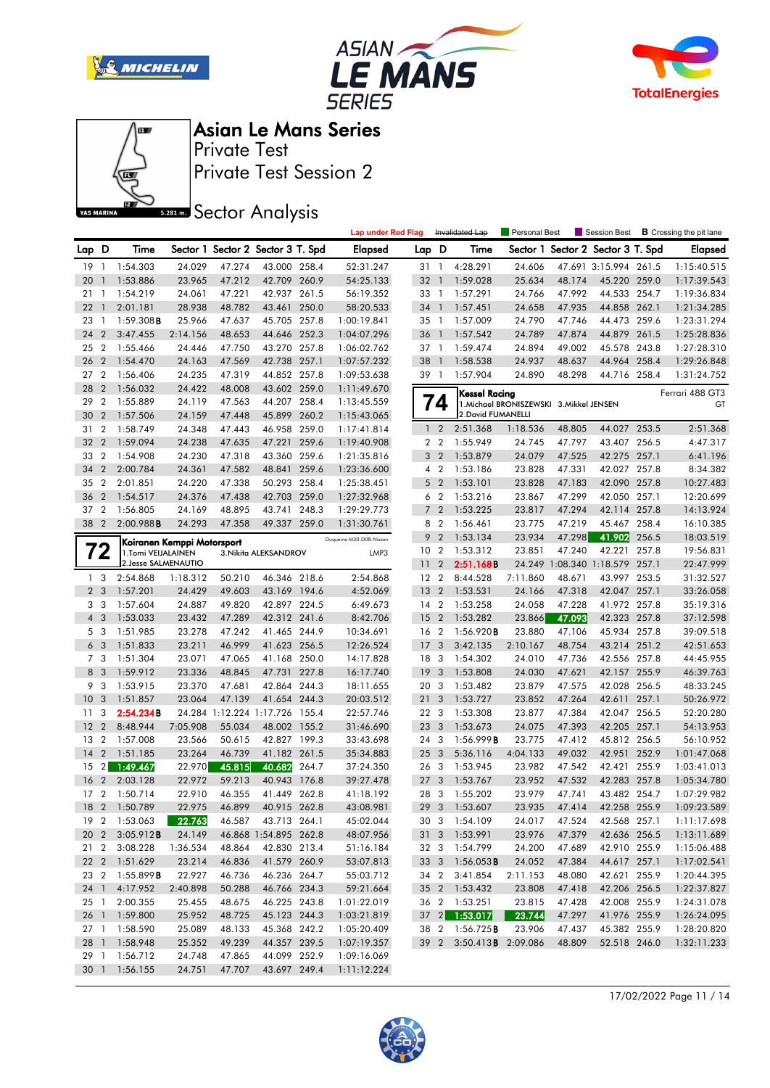







Private Test Session 2 Private Test

**SREAD** Sector Analysis

|                 |                |                        |                            |        |                                   |       | <b>Lap under Red Flag</b> |                 |                         | Invalidated Lap                 | <b>Personal Best</b>                     |        | Session Best                   |       | <b>B</b> Crossing the pit lane |
|-----------------|----------------|------------------------|----------------------------|--------|-----------------------------------|-------|---------------------------|-----------------|-------------------------|---------------------------------|------------------------------------------|--------|--------------------------------|-------|--------------------------------|
| Lap D           |                | Time                   |                            |        | Sector 1 Sector 2 Sector 3 T. Spd |       | <b>Elapsed</b>            | Lap D           |                         | Time                            | Sector 1                                 |        | Sector 2 Sector 3 T. Spd       |       | <b>Elapsed</b>                 |
| 19              | $\overline{1}$ | 1:54.303               | 24.029                     | 47.274 | 43.000 258.4                      |       | 52:31.247                 | 31              | $\overline{1}$          | 4:28.291                        | 24.606                                   |        | 47.691 3:15.994 261.5          |       | 1:15:40.515                    |
| 20              | $\overline{1}$ | 1:53.886               | 23.965                     | 47.212 | 42.709 260.9                      |       | 54:25.133                 | 32              | $\overline{1}$          | 1:59.028                        | 25.634                                   | 48.174 | 45.220 259.0                   |       | 1:17:39.543                    |
| 21              | - 1            | 1:54.219               | 24.061                     | 47.221 | 42.937 261.5                      |       | 56:19.352                 | 33 1            |                         | 1:57.291                        | 24.766                                   | 47.992 | 44.533 254.7                   |       | 1:19:36.834                    |
| 22              | $\overline{1}$ | 2:01.181               | 28.938                     | 48.782 | 43.461                            | 250.0 | 58:20.533                 | 34 1            |                         | 1:57.451                        | 24.658                                   | 47.935 | 44.858 262.1                   |       | 1:21:34.285                    |
| 23              | $\overline{1}$ | 1:59.308B              | 25.966                     | 47.637 | 45.705 257.8                      |       | 1:00:19.841               | 35 1            |                         | 1:57.009                        | 24.790                                   | 47.746 | 44.473                         | 259.6 | 1:23:31.294                    |
| 24              | $\overline{2}$ | 3:47.455               | 2:14.156                   | 48.653 | 44.646 252.3                      |       | 1:04:07.296               | 36              | - 1                     | 1:57.542                        | 24.789                                   | 47.874 | 44.879 261.5                   |       | 1:25:28.836                    |
| 25              | $\overline{2}$ | 1:55.466               | 24.446                     | 47.750 | 43.270 257.8                      |       | 1:06:02.762               | 37 1            |                         | 1:59.474                        | 24.894                                   | 49.002 | 45.578 243.8                   |       | 1:27:28.310                    |
| 26              | $\overline{2}$ | 1:54.470               | 24.163                     | 47.569 | 42.738 257.1                      |       | 1:07:57.232               | 38              | $\overline{1}$          | 1:58.538                        | 24.937                                   | 48.637 | 44.964                         | 258.4 | 1:29:26.848                    |
| 27              | $\overline{2}$ | 1:56.406               | 24.235                     | 47.319 | 44.852 257.8                      |       | 1:09:53.638               | 39 1            |                         | 1:57.904                        | 24.890                                   | 48.298 | 44.716 258.4                   |       | 1:31:24.752                    |
| 28              | $\overline{2}$ | 1:56.032               | 24.422                     | 48.008 | 43.602 259.0                      |       | 1:11:49.670               |                 |                         | Kessel Racina                   |                                          |        |                                |       | Ferrari 488 GT3                |
| 29              | $\overline{2}$ | 1:55.889               | 24.119                     | 47.563 | 44.207 258.4                      |       | 1:13:45.559               |                 | 74                      |                                 | 1. Michael BRONISZEWSKI 3. Mikkel JENSEN |        |                                |       | GT                             |
| 30              | $\overline{2}$ | 1:57.506               | 24.159                     | 47.448 | 45.899 260.2                      |       | 1:15:43.065               |                 |                         | 2. David FUMANELLI              |                                          |        |                                |       |                                |
| 31              | $\overline{2}$ | 1:58.749               | 24.348                     | 47.443 | 46.958 259.0                      |       | 1:17:41.814               |                 | $1\quad2$               | 2:51.368                        | 1:18.536                                 | 48.805 | 44.027 253.5                   |       | 2:51.368                       |
| 32              | $\overline{2}$ | 1:59.094               | 24.238                     | 47.635 | 47.221                            | 259.6 | 1:19:40.908               |                 | 2 <sub>2</sub>          | 1:55.949                        | 24.745                                   | 47.797 | 43.407 256.5                   |       | 4:47.317                       |
| 33              | $\overline{2}$ | 1:54.908               | 24.230                     | 47.318 | 43.360 259.6                      |       | 1:21:35.816               |                 | 3 <sub>2</sub>          | 1:53.879                        | 24.079                                   | 47.525 | 42.275 257.1                   |       | 6:41.196                       |
| 34              | $\overline{2}$ | 2:00.784               | 24.361                     | 47.582 | 48.841                            | 259.6 | 1:23:36.600               |                 | 4 2                     | 1:53.186                        | 23.828                                   | 47.331 | 42.027 257.8                   |       | 8:34.382                       |
| 35              | $\overline{2}$ | 2:01.851               | 24.220                     | 47.338 | 50.293 258.4                      |       | 1:25:38.451               | 5               | $\overline{2}$          | 1:53.101                        | 23.828                                   | 47.183 | 42.090 257.8                   |       | 10:27.483                      |
| 36              | $\overline{2}$ | 1:54.517               | 24.376                     | 47.438 | 42.703 259.0                      |       | 1:27:32.968               |                 | 6 <sub>2</sub>          | 1:53.216                        | 23.867                                   | 47.299 | 42.050 257.1                   |       | 12:20.699                      |
| 37 2            |                | 1:56.805               | 24.169                     | 48.895 | 43.741                            | 248.3 | 1:29:29.773               | $\overline{7}$  | $\overline{2}$          | 1:53.225                        | 23.817                                   | 47.294 | 42.114 257.8                   |       | 14:13.924                      |
| 38 2            |                | 2:00.988B              | 24.293                     | 47.358 | 49.337 259.0                      |       | 1:31:30.761               | 8               | $\overline{2}$          | 1:56.461                        | 23.775                                   | 47.219 | 45.467 258.4                   |       | 16:10.385                      |
|                 |                |                        | Koiranen Kemppi Motorsport |        |                                   |       | Duqueine M30-D08-Nissan   | 9               | $\overline{2}$          | 1:53.134                        | 23.934                                   | 47.298 | 41.902                         | 256.5 | 18:03.519                      |
|                 | $\mathbf{Z}$   | 1.Tomi VEIJALAINEN     |                            |        | 3. Nikita ALEKSANDROV             |       | LMP3                      | 10 <sub>2</sub> |                         | 1:53.312                        | 23.851                                   | 47.240 | 42.221 257.8                   |       | 19:56.831                      |
|                 |                | 2. Jesse SALMENAUTIO   |                            |        |                                   |       |                           | 11              | $\overline{2}$          | 2:51.168B                       |                                          |        | 24.249 1:08.340 1:18.579 257.1 |       | 22:47.999                      |
| 1 <sub>3</sub>  |                | 2:54.868               | 1:18.312                   | 50.210 | 46.346 218.6                      |       | 2:54.868                  | 12 <sub>2</sub> |                         | 8:44.528                        | 7:11.860                                 | 48.671 | 43.997 253.5                   |       | 31:32.527                      |
| 2 <sub>3</sub>  |                | 1:57.201               | 24.429                     | 49.603 | 43.169 194.6                      |       | 4:52.069                  | 13              | $\overline{2}$          | 1:53.531                        | 24.166                                   | 47.318 | 42.047 257.1                   |       | 33:26.058                      |
| 3 <sub>3</sub>  |                | 1:57.604               | 24.887                     | 49.820 | 42.897 224.5                      |       | 6:49.673                  | 14 2            |                         | 1:53.258                        | 24.058                                   | 47.228 | 41.972 257.8                   |       | 35:19.316                      |
| $\overline{4}$  | 3              | 1:53.033               | 23.432                     | 47.289 | 42.312 241.6                      |       | 8:42.706                  | 15              | $\overline{2}$          | 1:53.282                        | 23.866                                   | 47.093 | 42.323 257.8                   |       | 37:12.598                      |
| 5 <sub>3</sub>  |                | 1:51.985               | 23.278                     | 47.242 | 41.465 244.9                      |       | 10:34.691                 | 16 2            |                         | 1:56.920B                       | 23.880                                   | 47.106 | 45.934 257.8                   |       | 39:09.518                      |
| 6 <sub>3</sub>  |                | 1:51.833               | 23.211                     | 46.999 | 41.623 256.5                      |       | 12:26.524                 | 17 <sub>3</sub> |                         | 3:42.135                        | 2:10.167                                 | 48.754 | 43.214 251.2                   |       | 42:51.653                      |
| 7 <sub>3</sub>  |                | 1:51.304               | 23.071                     | 47.065 | 41.168 250.0                      |       | 14:17.828                 | 18 3            |                         | 1:54.302                        | 24.010                                   | 47.736 | 42.556 257.8                   |       | 44:45.955                      |
| 8               | $\overline{3}$ | 1:59.912               | 23.336                     | 48.845 | 47.731                            | 227.8 | 16:17.740                 | 19              | $\overline{\mathbf{3}}$ | 1:53.808                        | 24.030                                   | 47.621 | 42.157 255.9                   |       | 46:39.763                      |
| 9               | 3              | 1:53.915               | 23.370                     | 47.681 | 42.864 244.3                      |       | 18:11.655                 | 20 3            |                         | 1:53.482                        | 23.879                                   | 47.575 | 42.028 256.5                   |       | 48:33.245                      |
| 10              | 3              | 1:51.857               | 23.064                     | 47.139 | 41.654 244.3                      |       | 20:03.512                 | 21              | $\overline{\mathbf{3}}$ | 1:53.727                        | 23.852                                   | 47.264 | 42.611                         | 257.1 | 50:26.972                      |
| 11              | -3             | 2:54.234B              |                            |        | 24.284 1:12.224 1:17.726 155.4    |       | 22:57.746                 | 22 3            |                         | 1:53.308                        | 23.877                                   | 47.384 | 42.047 256.5                   |       | 52:20.280                      |
| 12              | $\overline{2}$ | 8:48.944               | 7:05.908                   | 55.034 | 48.002 155.2                      |       | 31:46.690                 | 23 3            |                         | 1:53.673                        | 24.075                                   | 47.393 | 42.205 257.1                   |       | 54:13.953                      |
| 13              | $\overline{2}$ | 1:57.008               | 23.566                     | 50.615 | 42.827 199.3                      |       | 33:43.698                 | 24 3            |                         | 1:56.999B                       | 23.775                                   | 47.412 | 45.812 256.5                   |       | 56:10.952                      |
| 14              | $\overline{2}$ | 1:51.185               | 23.264                     | 46.739 | 41.182 261.5                      |       | 35:34.883                 | 25              | $\overline{\mathbf{3}}$ | 5:36.116                        | 4:04.133                                 | 49.032 | 42.951 252.9                   |       | 1:01:47.068                    |
| 15              | $\overline{2}$ | 1:49.467               | 22.970                     | 45.815 | 40.682                            | 264.7 | 37:24.350                 | 26 3            |                         | 1:53.945                        | 23.982                                   | 47.542 | 42.421 255.9                   |       | 1:03:41.013                    |
| 16              | $\overline{2}$ | 2:03.128               | 22.972                     | 59.213 | 40.943                            | 176.8 | 39:27.478                 | 27 <sub>3</sub> |                         | 1:53.767                        | 23.952                                   | 47.532 | 42.283 257.8                   |       | 1:05:34.780                    |
| 17 <sub>2</sub> |                | 1:50.714               | 22.910                     | 46.355 | 41.449 262.8                      |       | 41:18.192                 | 28 3            |                         | 1:55.202                        | 23.979                                   | 47.741 | 43.482 254.7                   |       | 1:07:29.982                    |
|                 |                | 18 2 1:50.789          | 22.975                     | 46.899 | 40.915 262.8                      |       | 43:08.981                 |                 |                         | 29 3 1:53.607                   | 23.935                                   | 47.414 | 42.258 255.9                   |       | 1:09:23.589                    |
|                 |                | 19 2 1:53.063          | 22.763                     |        | 46.587 43.713 264.1               |       | 45:02.044                 |                 |                         | 30 3 1:54.109                   | 24.017                                   | 47.524 | 42.568 257.1                   |       | 1:11:17.698                    |
|                 |                | 20 2 3:05.912 <b>B</b> | 24.149                     |        | 46.868 1:54.895 262.8             |       | 48:07.956                 |                 |                         | 31 3 1:53.991                   | 23.976                                   | 47.379 | 42.636 256.5                   |       | 1:13:11.689                    |
|                 |                | 21 2 3:08.228          | 1:36.534                   | 48.864 | 42.830 213.4                      |       | 51:16.184                 |                 |                         | 32 3 1:54.799                   | 24.200                                   | 47.689 | 42.910 255.9                   |       | 1:15:06.488                    |
|                 |                | 22 2 1:51.629          | 23.214                     | 46.836 | 41.579 260.9                      |       | 53:07.813                 |                 |                         | 33 3 1:56.053 <b>B</b>          | 24.052                                   | 47.384 | 44.617 257.1                   |       | 1:17:02.541                    |
|                 |                | 23 2 1:55.899B         | 22.927                     | 46.736 | 46.236 264.7                      |       | 55:03.712                 |                 |                         | 34 2 3:41.854                   | 2:11.153                                 | 48.080 | 42.621 255.9                   |       | 1:20:44.395                    |
| 24 1            |                | 4:17.952               | 2:40.898                   | 50.288 | 46.766 234.3                      |       | 59:21.664                 |                 |                         | 35 2 1:53.432                   | 23.808                                   | 47.418 | 42.206 256.5                   |       | 1:22:37.827                    |
| 25 1            |                | 2:00.355               | 25.455                     | 48.675 | 46.225 243.8                      |       | 1:01:22.019               |                 |                         | 36 2 1:53.251                   | 23.815                                   | 47.428 | 42.008 255.9                   |       | 1:24:31.078                    |
| 26 1            |                | 1:59.800               | 25.952                     | 48.725 | 45.123 244.3                      |       | 1:03:21.819               |                 |                         | 37 2 1:53.017                   | 23.744                                   | 47.297 | 41.976 255.9                   |       | 1:26:24.095                    |
| 27 <sub>1</sub> |                | 1:58.590               | 25.089                     | 48.133 | 45.368 242.2                      |       | 1:05:20.409               |                 |                         | 38 2 1:56.725 <b>B</b>          | 23.906                                   | 47.437 | 45.382 255.9                   |       | 1:28:20.820                    |
|                 |                | 28 1 1:58.948          | 25.352                     | 49.239 | 44.357 239.5                      |       | 1:07:19.357               |                 |                         | 39 2 3:50.413 <b>B</b> 2:09.086 |                                          | 48.809 | 52.518 246.0                   |       | 1:32:11.233                    |
| 29 1            |                | 1:56.712               | 24.748                     | 47.865 | 44.099 252.9                      |       | 1:09:16.069               |                 |                         |                                 |                                          |        |                                |       |                                |
| 30 1            |                | 1:56.155               | 24.751                     | 47.707 | 43.697 249.4                      |       | 1:11:12.224               |                 |                         |                                 |                                          |        |                                |       |                                |

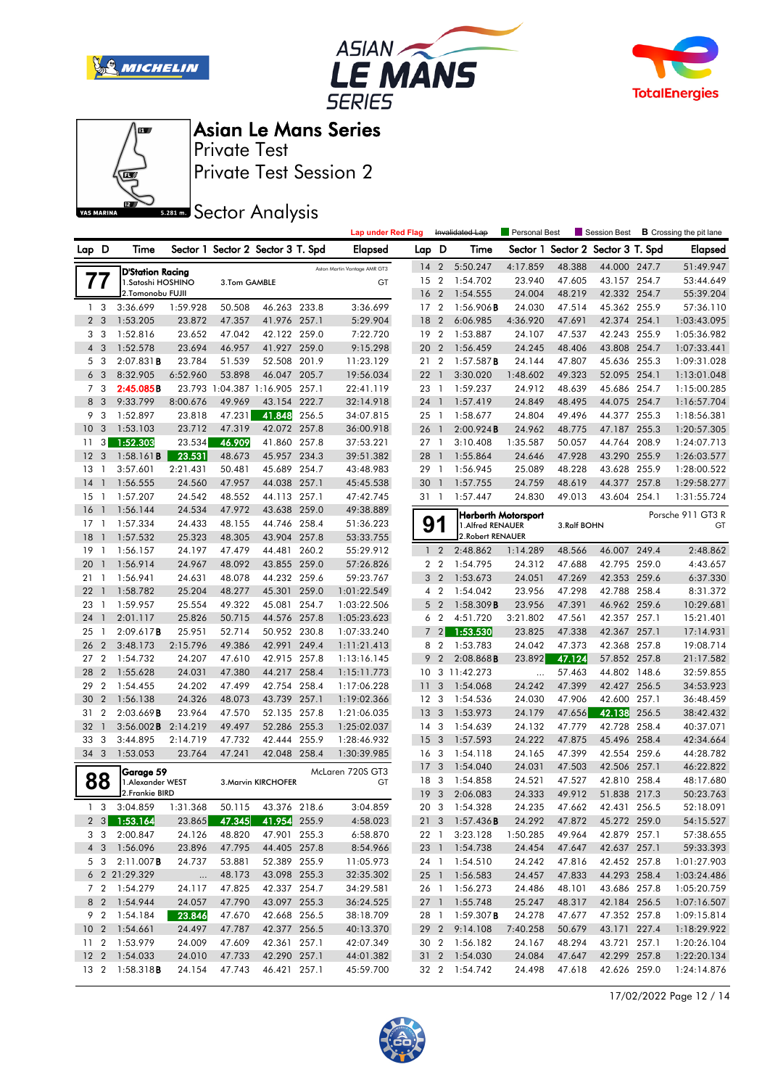







Private Test Session 2 Private Test

**SREAD** Sector Analysis

|       |                |                                              |          |                          |                                   |       | <b>Lap under Red Flag</b>    |                 |                         | Invalidated Lap        | Personal Best              |             | Session Best             |       | <b>B</b> Crossing the pit lane |
|-------|----------------|----------------------------------------------|----------|--------------------------|-----------------------------------|-------|------------------------------|-----------------|-------------------------|------------------------|----------------------------|-------------|--------------------------|-------|--------------------------------|
| Lap D |                | Time                                         |          |                          | Sector 1 Sector 2 Sector 3 T. Spd |       | Elapsed                      | Lap.            | D                       | Time                   | Sector 1                   |             | Sector 2 Sector 3 T. Spd |       | <b>Elapsed</b>                 |
|       |                |                                              |          |                          |                                   |       | Aston Martin Vantage AMR GT3 | 14              | $\overline{2}$          | 5:50.247               | 4:17.859                   | 48.388      | 44.000 247.7             |       | 51:49.947                      |
|       | 77             | <b>D'Station Racing</b><br>1.Satoshi HOSHINO |          | 3.Tom GAMBLE             |                                   |       | GT                           | 15 2            |                         | 1:54.702               | 23.940                     | 47.605      | 43.157 254.7             |       | 53:44.649                      |
|       |                | 2.Tomonobu FUJII                             |          |                          |                                   |       |                              | 16              | $\overline{2}$          | 1:54.555               | 24.004                     | 48.219      | 42.332 254.7             |       | 55:39.204                      |
|       | 1 <sup>3</sup> | 3:36.699                                     | 1:59.928 | 50.508                   | 46.263 233.8                      |       | 3:36.699                     | 17              | $\overline{2}$          | 1:56.906B              | 24.030                     | 47.514      | 45.362 255.9             |       | 57:36.110                      |
|       | 2 <sub>3</sub> | 1:53.205                                     | 23.872   | 47.357                   | 41.976 257.1                      |       | 5:29.904                     | 18              | $\overline{2}$          | 6:06.985               | 4:36.920                   | 47.691      | 42.374 254.1             |       | 1:03:43.095                    |
|       | 3 <sub>3</sub> | 1:52.816                                     | 23.652   | 47.042                   | 42.122 259.0                      |       | 7:22.720                     | 19              | $\overline{2}$          | 1:53.887               | 24.107                     | 47.537      | 42.243 255.9             |       | 1:05:36.982                    |
|       | $4\quad$       | 1:52.578                                     | 23.694   | 46.957                   | 41.927 259.0                      |       | 9:15.298                     | 20              | $\overline{2}$          | 1:56.459               | 24.245                     | 48.406      | 43.808 254.7             |       | 1:07:33.441                    |
| 5     | 3              | $2:07.831$ B                                 | 23.784   | 51.539                   | 52.508 201.9                      |       | 11:23.129                    | 21              | $\overline{2}$          | 1:57.587B              | 24.144                     | 47.807      | 45.636 255.3             |       | 1:09:31.028                    |
| 6     | 3              | 8:32.905                                     | 6:52.960 | 53.898                   | 46.047                            | 205.7 | 19:56.034                    | 22              | $\overline{1}$          | 3:30.020               | 1:48.602                   | 49.323      | 52.095                   | 254.1 | 1:13:01.048                    |
|       | 7 <sub>3</sub> | 2:45.085B                                    |          | 23.793 1:04.387 1:16.905 |                                   | 257.1 | 22:41.119                    | 23 1            |                         | 1:59.237               | 24.912                     | 48.639      | 45.686 254.7             |       | 1:15:00.285                    |
| 8     | 3              | 9:33.799                                     | 8:00.676 | 49.969                   | 43.154                            | 222.7 | 32:14.918                    | 24              | $\overline{1}$          | 1:57.419               | 24.849                     | 48.495      | 44.075 254.7             |       | 1:16:57.704                    |
| 9     | 3              | 1:52.897                                     | 23.818   | 47.231                   | 41.848                            | 256.5 | 34:07.815                    | $25-1$          |                         | 1:58.677               | 24.804                     | 49.496      | 44.377 255.3             |       | 1:18:56.381                    |
| 10    | 3              | 1:53.103                                     | 23.712   | 47.319                   | 42.072 257.8                      |       | 36:00.918                    | 26 1            |                         | 2:00.924B              | 24.962                     | 48.775      | 47.187                   | 255.3 | 1:20:57.305                    |
| 11    | 3              | 1:52.303                                     | 23.534   | 46.909                   | 41.860 257.8                      |       | 37:53.221                    | 27 1            |                         | 3:10.408               | 1:35.587                   | 50.057      | 44.764                   | 208.9 | 1:24:07.713                    |
| 12    | 3              | 1:58.161B                                    | 23.531   | 48.673                   | 45.957 234.3                      |       | 39:51.382                    | 28              | $\overline{1}$          | 1:55.864               | 24.646                     | 47.928      | 43.290                   | 255.9 | 1:26:03.577                    |
| 13    | -1             | 3:57.601                                     | 2:21.431 | 50.481                   | 45.689 254.7                      |       | 43:48.983                    | 29 1            |                         | 1:56.945               | 25.089                     | 48.228      | 43.628 255.9             |       | 1:28:00.522                    |
| 14    | $\mathbf{1}$   | 1:56.555                                     | 24.560   | 47.957                   | 44.038 257.1                      |       | 45:45.538                    | 30              | $\overline{1}$          | 1:57.755               | 24.759                     | 48.619      | 44.377                   | 257.8 | 1:29:58.277                    |
| 15    | 1              | 1:57.207                                     | 24.542   | 48.552                   | 44.113 257.1                      |       | 47:42.745                    | 31 1            |                         | 1:57.447               | 24.830                     | 49.013      | 43.604                   | 254.1 | 1:31:55.724                    |
| 16    | $\mathbf{1}$   | 1:56.144                                     | 24.534   | 47.972                   | 43.638 259.0                      |       | 49:38.889                    |                 |                         |                        | <b>Herberth Motorsport</b> |             |                          |       | Porsche 911 GT3 R              |
| 17    | $\mathbf{1}$   | 1:57.334                                     | 24.433   | 48.155                   | 44.746 258.4                      |       | 51:36.223                    | 91              |                         | 1.Alfred RENAUER       |                            | 3.Ralf BOHN |                          |       | GT                             |
| 18    | $\mathbf{1}$   | 1:57.532                                     | 25.323   | 48.305                   | 43.904 257.8                      |       | 53:33.755                    |                 |                         | 2. Robert RENAUER      |                            |             |                          |       |                                |
| 19    | $\overline{1}$ | 1:56.157                                     | 24.197   | 47.479                   | 44.481 260.2                      |       | 55:29.912                    |                 | 1 <sub>2</sub>          | 2:48.862               | 1:14.289                   | 48.566      | 46.007 249.4             |       | 2:48.862                       |
| 20    | $\mathbf{1}$   | 1:56.914                                     | 24.967   | 48.092                   | 43.855 259.0                      |       | 57:26.826                    |                 | 2 <sub>2</sub>          | 1:54.795               | 24.312                     | 47.688      | 42.795 259.0             |       | 4:43.657                       |
| 21    | $\mathbf{1}$   | 1:56.941                                     | 24.631   | 48.078                   | 44.232 259.6                      |       | 59:23.767                    |                 | 3 <sub>2</sub>          | 1:53.673               | 24.051                     | 47.269      | 42.353 259.6             |       | 6:37.330                       |
| 22    | $\mathbf{1}$   | 1:58.782                                     | 25.204   | 48.277                   | 45.301                            | 259.0 | 1:01:22.549                  |                 | 4 <sup>2</sup>          | 1:54.042               | 23.956                     | 47.298      | 42.788                   | 258.4 | 8:31.372                       |
| 23    | -1             | 1:59.957                                     | 25.554   | 49.322                   | 45.081 254.7                      |       | 1:03:22.506                  |                 | 5 <sub>2</sub>          | $1:58.309$ <b>B</b>    | 23.956                     | 47.391      | 46.962 259.6             |       | 10:29.681                      |
| 24    | $\mathbf{1}$   | 2:01.117                                     | 25.826   | 50.715                   | 44.576 257.8                      |       | 1:05:23.623                  |                 | 6 <sub>2</sub>          | 4:51.720               | 3:21.802                   | 47.561      | 42.357 257.1             |       | 15:21.401                      |
| 25    | $\mathbf{1}$   | 2:09.617B                                    | 25.951   | 52.714                   | 50.952 230.8                      |       | 1:07:33.240                  | $\overline{7}$  | $\overline{2}$          | 1:53.530               | 23.825                     | 47.338      | 42.367                   | 257.1 | 17:14.931                      |
| 26    | $\overline{2}$ | 3:48.173                                     | 2:15.796 | 49.386                   | 42.991                            | 249.4 | 1:11:21.413                  | 8               | $\overline{2}$          | 1:53.783               | 24.042                     | 47.373      | 42.368                   | 257.8 | 19:08.714                      |
| 27    | $\overline{2}$ | 1:54.732                                     | 24.207   | 47.610                   | 42.915 257.8                      |       | 1:13:16.145                  | 9               | $\overline{2}$          | $2:08.868$ <b>B</b>    | 23.892                     | 47.124      | 57.852 257.8             |       | 21:17.582                      |
| 28    | $\overline{2}$ | 1:55.628                                     | 24.031   | 47.380                   | 44.217 258.4                      |       | 1:15:11.773                  |                 |                         | 10 3 11:42.273         | $\ddotsc$                  | 57.463      | 44.802 148.6             |       | 32:59.855                      |
| 29    | $\overline{2}$ | 1:54.455                                     | 24.202   | 47.499                   | 42.754 258.4                      |       | 1:17:06.228                  | 11              | 3                       | 1:54.068               | 24.242                     | 47.399      | 42.427 256.5             |       | 34:53.923                      |
| 30    | $\overline{2}$ | 1:56.138                                     | 24.326   | 48.073                   | 43.739                            | 257.1 | 1:19:02.366                  | 12 <sup>3</sup> |                         | 1:54.536               | 24.030                     | 47.906      | 42.600                   | 257.1 | 36:48.459                      |
| 31    | $\overline{2}$ | 2:03.669B                                    | 23.964   | 47.570                   | 52.135 257.8                      |       | 1:21:06.035                  | 13              | 3                       | 1:53.973               | 24.179                     | 47.656      | 42.138                   | 256.5 | 38:42.432                      |
| 32    | $\mathbf{1}$   | 3:56.002B                                    | 2:14.219 | 49.497                   | 52.286 255.3                      |       | 1:25:02.037                  | 14 <sup>3</sup> |                         | 1:54.639               | 24.132                     | 47.779      | 42.728                   | 258.4 | 40:37.071                      |
| 33    | 3              | 3:44.895                                     | 2:14.719 | 47.732                   | 42.444                            | 255.9 | 1:28:46.932                  | 15              | 3                       | 1:57.593               | 24.222                     | 47.875      | 45.496 258.4             |       | 42:34.664                      |
| 34 3  |                | 1:53.053                                     | 23.764   | 47.241                   | 42.048 258.4                      |       | 1:30:39.985                  | 16 <sub>3</sub> |                         | 1:54.118               | 24.165                     | 47.399      | 42.554 259.6             |       | 44:28.782                      |
|       |                | Garage 59                                    |          |                          |                                   |       | McLaren 720S GT3             | 17              | 3                       | 1:54.040               | 24.031                     | 47.503      | 42.506 257.1             |       | 46:22.822                      |
|       | 88             | 1. Alexander WEST                            |          |                          | 3. Marvin KIRCHOFER               |       | GT                           | 18              | -3                      | 1:54.858               | 24.521                     | 47.527      | 42.810 258.4             |       | 48:17.680                      |
|       |                | 2. Frankie BIRD                              |          |                          |                                   |       |                              | 19              | $\overline{\mathbf{3}}$ | 2:06.083               | 24.333                     | 49.912      | 51.838 217.3             |       | 50:23.763                      |
|       | 1 <sup>3</sup> | 3:04.859                                     | 1:31.368 | 50.115                   | 43.376 218.6                      |       | 3:04.859                     |                 |                         | 20 3 1:54.328          | 24.235                     | 47.662      | 42.431 256.5             |       | 52:18.091                      |
|       |                | 2 3 1:53.164                                 | 23.865   | 47.345                   | 41.954 255.9                      |       | 4:58.023                     |                 |                         | 21 3 1:57.436 <b>B</b> | 24.292                     | 47.872      | 45.272 259.0             |       | 54:15.527                      |
|       |                | 3 3 2:00.847                                 | 24.126   | 48.820                   | 47.901 255.3                      |       | 6:58.870                     |                 | 22 1                    | 3:23.128               | 1:50.285                   | 49.964      | 42.879 257.1             |       | 57:38.655                      |
|       |                | 4 3 1:56.096                                 | 23.896   | 47.795                   | 44.405 257.8                      |       | 8:54.966                     |                 |                         | 23 1 1:54.738          | 24.454                     | 47.647      | 42.637 257.1             |       | 59:33.393                      |
|       |                | 5 3 2:11.007 <b>B</b>                        | 24.737   | 53.881                   | 52.389 255.9                      |       | 11:05.973                    |                 |                         | 24 1 1:54.510          | 24.242                     | 47.816      | 42.452 257.8             |       | 1:01:27.903                    |
|       |                | 6 2 21:29.329                                | $\ldots$ | 48.173                   | 43.098 255.3                      |       | 32:35.302                    |                 |                         | 25 1 1:56.583          | 24.457                     | 47.833      | 44.293 258.4             |       | 1:03:24.486                    |
|       |                | 7 2 1:54.279                                 | 24.117   | 47.825                   | 42.337 254.7                      |       | 34:29.581                    |                 |                         | 26 1 1:56.273          | 24.486                     | 48.101      | 43.686 257.8             |       | 1:05:20.759                    |
|       |                | 8 2 1:54.944                                 | 24.057   | 47.790                   | 43.097 255.3                      |       | 36:24.525                    |                 |                         | 27 1 1:55.748          | 25.247                     | 48.317      | 42.184 256.5             |       | 1:07:16.507                    |
|       |                | 9 2 1:54.184                                 | 23.846   | 47.670                   | 42.668 256.5                      |       | 38:18.709                    |                 |                         | 28 1 1:59.307 <b>B</b> | 24.278                     | 47.677      | 47.352 257.8             |       | 1:09:15.814                    |
|       |                | 10 2 1:54.661                                | 24.497   | 47.787                   | 42.377 256.5                      |       | 40:13.370                    |                 |                         | 29 2 9:14.108          | 7:40.258                   | 50.679      | 43.171 227.4             |       | 1:18:29.922                    |
|       |                | 11 2 1:53.979                                | 24.009   | 47.609                   | 42.361 257.1                      |       | 42:07.349                    |                 |                         | 30 2 1:56.182          | 24.167                     | 48.294      | 43.721 257.1             |       | 1:20:26.104                    |
|       |                | 12 2 1:54.033                                | 24.010   | 47.733                   | 42.290 257.1                      |       | 44:01.382                    |                 |                         | 31 2 1:54.030          | 24.084                     | 47.647      | 42.299 257.8             |       | 1:22:20.134                    |
|       |                | 13 2 1:58.318 <b>B</b>                       | 24.154   | 47.743                   | 46.421 257.1                      |       | 45:59.700                    |                 |                         | 32 2 1:54.742          | 24.498                     | 47.618      | 42.626 259.0             |       | 1:24:14.876                    |

17/02/2022 Page 12 / 14

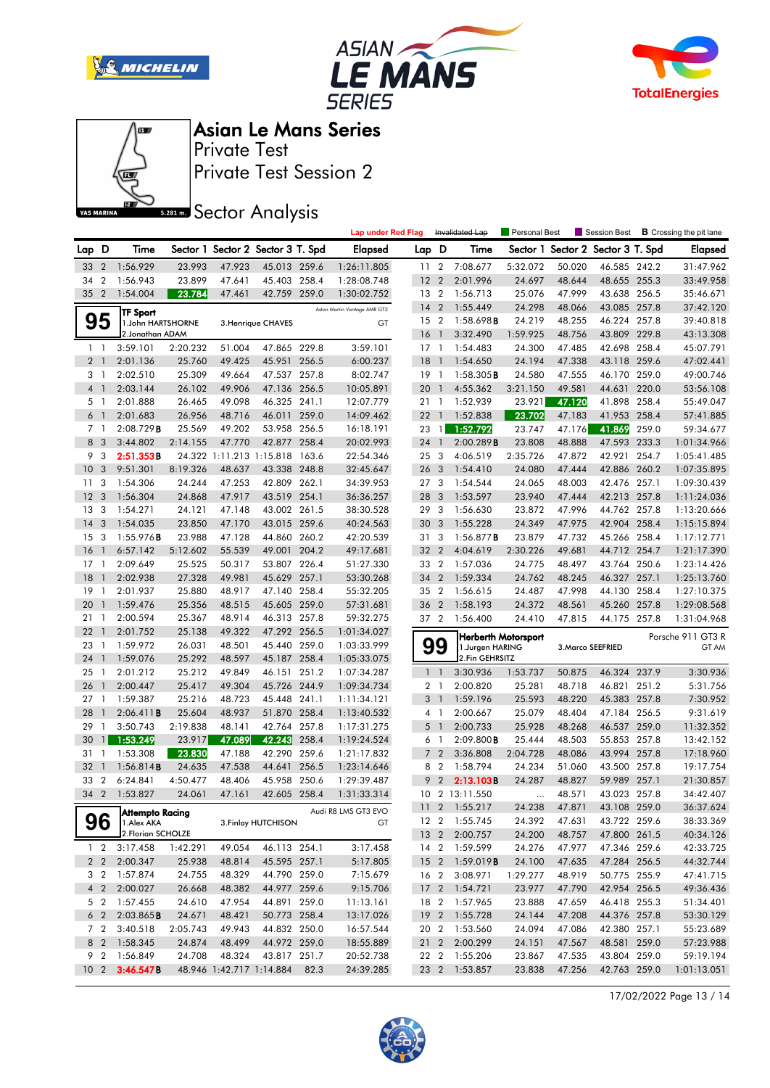







Private Test Session 2 Private Test

**SREAD** Sector Analysis

|                |                                  |                                 |                  |                  |                                   |       | <b>Lap under Red Flag</b>    |                         | Invalidated Lap          |                           | Personal Best              |                  | Session Best                      |       | <b>B</b> Crossing the pit lane |
|----------------|----------------------------------|---------------------------------|------------------|------------------|-----------------------------------|-------|------------------------------|-------------------------|--------------------------|---------------------------|----------------------------|------------------|-----------------------------------|-------|--------------------------------|
| Lap D          |                                  | Time                            |                  |                  | Sector 1 Sector 2 Sector 3 T. Spd |       | <b>Elapsed</b>               | Lap D                   |                          | Time                      |                            |                  | Sector 1 Sector 2 Sector 3 T. Spd |       | <b>Elapsed</b>                 |
| 33             | $\overline{2}$                   | 1:56.929                        | 23.993           | 47.923           | 45.013 259.6                      |       | 1:26:11.805                  | 11 <sub>2</sub>         |                          | 7:08.677                  | 5:32.072                   | 50.020           | 46.585 242.2                      |       | 31:47.962                      |
| 34             | $\overline{2}$                   | 1:56.943                        | 23.899           | 47.641           | 45.403 258.4                      |       | 1:28:08.748                  | 12                      | $\overline{2}$           | 2:01.996                  | 24.697                     | 48.644           | 48.655 255.3                      |       | 33:49.958                      |
| 35             | $\overline{2}$                   | 1:54.004                        | 23.784           | 47.461           | 42.759 259.0                      |       | 1:30:02.752                  | 13 2                    |                          | 1:56.713                  | 25.076                     | 47.999           | 43.638 256.5                      |       | 35:46.671                      |
|                |                                  | TF Sport                        |                  |                  |                                   |       | Aston Martin Vantage AMR GT3 | 14                      | $\overline{2}$           | 1:55.449                  | 24.298                     | 48.066           | 43.085 257.8                      |       | 37:42.120                      |
|                | 95                               | 1.John HARTSHORNE               |                  |                  | 3. Henrique CHAVES                |       | GT                           | 15 2                    |                          | 1:58.698B                 | 24.219                     | 48.255           | 46.224 257.8                      |       | 39:40.818                      |
|                |                                  | 2. Jonathan ADAM                |                  |                  |                                   |       |                              | 16                      | $\mathbf{1}$             | 3:32.490                  | 1:59.925                   | 48.756           | 43.809 229.8                      |       | 43:13.308                      |
|                | $1\quad$                         | 3:59.101                        | 2:20.232         | 51.004           | 47.865 229.8                      |       | 3:59.101                     | $17-1$                  |                          | 1:54.483                  | 24.300                     | 47.485           | 42.698 258.4                      |       | 45:07.791                      |
|                | 2 <sub>1</sub>                   | 2:01.136                        | 25.760           | 49.425           | 45.951 256.5                      |       | 6:00.237                     | 18                      | $\overline{1}$           | 1:54.650                  | 24.194                     | 47.338           | 43.118 259.6                      |       | 47:02.441                      |
|                | 3 1                              | 2:02.510                        | 25.309           | 49.664           | 47.537 257.8                      |       | 8:02.747                     | 19                      | $\overline{1}$           | $1:58.305$ <b>B</b>       | 24.580                     | 47.555           | 46.170 259.0                      |       | 49:00.746                      |
| $\overline{4}$ | $\mathbf{1}$                     | 2:03.144                        | 26.102           | 49.906           | 47.136 256.5                      |       | 10:05.891                    | 20                      | $\mathbf{1}$             | 4:55.362                  | 3:21.150                   | 49.581           | 44.631 220.0                      |       | 53:56.108                      |
|                | 5 <sub>1</sub>                   | 2:01.888                        | 26.465           | 49.098           | 46.325 241.1                      |       | 12:07.779                    | 21 1                    |                          | 1:52.939                  | 23.921                     | 47.120           | 41.898 258.4                      |       | 55:49.047                      |
|                | 6 <sup>1</sup>                   | 2:01.683                        | 26.956           | 48.716           | 46.011                            | 259.0 | 14:09.462                    | 221                     |                          | 1:52.838                  | 23.702                     | 47.183           | 41.953 258.4                      |       | 57:41.885                      |
|                | 7 <sub>1</sub>                   | 2:08.729B                       | 25.569           | 49.202           | 53.958                            | 256.5 | 16:18.191                    | 23                      | $\mathbf{1}$             | 1:52.792                  | 23.747                     | 47.176           | 41.869                            | 259.0 | 59:34.677                      |
| 8              | - 3                              | 3:44.802                        | 2:14.155         | 47.770           | 42.877 258.4                      |       | 20:02.993                    | 24                      | $\mathbf{1}$             | 2:00.289B                 | 23.808                     | 48.888           | 47.593 233.3                      |       | 1:01:34.966                    |
| 9              | 3                                | 2:51.353B                       |                  |                  | 24.322 1:11.213 1:15.818 163.6    |       | 22:54.346                    | 25 3                    |                          | 4:06.519                  | 2:35.726                   | 47.872           | 42.921 254.7                      |       | 1:05:41.485                    |
| 10             | 3                                | 9:51.301                        | 8:19.326         | 48.637           | 43.338 248.8                      |       | 32:45.647                    | 26 <sub>3</sub>         |                          | 1:54.410                  | 24.080                     | 47.444           | 42.886 260.2                      |       | 1:07:35.895                    |
| 11             | 3                                | 1:54.306                        | 24.244           | 47.253           | 42.809                            | 262.1 | 34:39.953                    | 273                     |                          | 1:54.544                  | 24.065                     | 48.003           | 42.476 257.1                      |       | 1:09:30.439                    |
| 12             | 3                                | 1:56.304                        | 24.868           | 47.917           | 43.519 254.1                      |       | 36:36.257                    | 28                      | $\mathbf{3}$             | 1:53.597                  | 23.940                     | 47.444           | 42.213 257.8                      |       | 1:11:24.036                    |
| 13             | 3                                | 1:54.271                        | 24.121           | 47.148           | 43.002 261.5                      |       | 38:30.528                    | 29 3                    |                          | 1:56.630                  | 23.872                     | 47.996           | 44.762 257.8                      |       | 1:13:20.666                    |
| 14             | 3                                | 1:54.035                        | 23.850           | 47.170           | 43.015 259.6                      |       | 40:24.563                    | 30                      | $\overline{\mathbf{3}}$  | 1:55.228                  | 24.349                     | 47.975           | 42.904                            | 258.4 | 1:15:15.894                    |
| 15             | 3                                | $1:55.976$ B                    | 23.988           | 47.128           | 44.860                            | 260.2 | 42:20.539                    | 31 3                    |                          | 1:56.877B                 | 23.879                     | 47.732           | 45.266 258.4                      |       | 1:17:12.771                    |
| 16             | $\mathbf{1}$                     | 6:57.142                        | 5:12.602         | 55.539           | 49.001                            | 204.2 | 49:17.681                    | 32                      | $\overline{2}$           | 4:04.619                  | 2:30.226                   | 49.681           | 44.712 254.7                      |       | 1:21:17.390                    |
| 17             | -1                               | 2:09.649                        | 25.525           | 50.317           | 53.807 226.4                      |       | 51:27.330                    | 33 2                    |                          | 1:57.036                  | 24.775                     | 48.497           | 43.764 250.6                      |       | 1:23:14.426                    |
| 18             | $\mathbf{1}$                     | 2:02.938                        | 27.328           | 49.981           | 45.629 257.1                      |       | 53:30.268                    | 34                      | $\overline{2}$           | 1:59.334                  | 24.762                     | 48.245           | 46.327                            | 257.1 | 1:25:13.760                    |
| 19             | $\mathbf{1}$                     | 2:01.937                        | 25.880           | 48.917           | 47.140 258.4                      |       | 55:32.205                    | 35 2                    |                          | 1:56.615                  | 24.487                     | 47.998           | 44.130 258.4                      |       | 1:27:10.375                    |
| 20             | $\mathbf{1}$                     | 1:59.476                        | 25.356           | 48.515           | 45.605 259.0                      |       | 57:31.681                    | 36                      | $\overline{2}$           | 1:58.193                  | 24.372                     | 48.561           | 45.260 257.8                      |       | 1:29:08.568                    |
| 21             | -1                               | 2:00.594                        | 25.367           | 48.914           | 46.313 257.8                      |       | 59:32.275                    | 37 2                    |                          | 1:56.400                  | 24.410                     | 47.815           | 44.175 257.8                      |       | 1:31:04.968                    |
| 22             | $\mathbf{1}$                     | 2:01.752                        | 25.138           | 49.322           | 47.292 256.5                      |       | 1:01:34.027                  |                         |                          |                           | <b>Herberth Motorsport</b> |                  |                                   |       | Porsche 911 GT3 R              |
| 23             | $\mathbf{1}$                     | 1:59.972                        | 26.031           | 48.501           | 45.440 259.0                      |       | 1:03:33.999                  |                         | 99                       | 1.Jurgen HARING           |                            |                  | 3. Marco SEEFRIED                 |       | GT AM                          |
| 24             | $\mathbf{1}$                     | 1:59.076                        | 25.292           | 48.597           | 45.187 258.4                      |       | 1:05:33.075                  |                         |                          | 2.Fin GEHRSITZ            |                            |                  |                                   |       |                                |
| 25             | $\mathbf{1}$                     | 2:01.212                        | 25.212           | 49.849           | 46.151 251.2                      |       | 1:07:34.287                  |                         | $1\quad$                 | 3:30.936                  | 1:53.737                   | 50.875           | 46.324 237.9                      |       | 3:30.936                       |
| 26             | $\mathbf{1}$                     | 2:00.447                        | 25.417           | 49.304           | 45.726                            | 244.9 | 1:09:34.734                  |                         | 2 <sub>1</sub>           | 2:00.820                  | 25.281                     | 48.718           | 46.821 251.2                      |       | 5:31.756                       |
| 27             | $\mathbf{1}$                     | 1:59.387                        | 25.216           | 48.723           | 45.448                            | 241.1 | 1:11:34.121                  | 3                       | $\overline{1}$           | 1:59.196                  | 25.593                     | 48.220           | 45.383 257.8                      |       | 7:30.952                       |
| 28             | $\mathbf{1}$                     | 2:06.411B                       | 25.604           | 48.937           | 51.870 258.4                      |       | 1:13:40.532                  |                         | 4 1                      | 2:00.667                  | 25.079                     | 48.404           | 47.184 256.5                      |       | 9:31.619                       |
| 29             | $\mathbf{1}$                     | 3:50.743                        | 2:19.838         | 48.141           | 42.764 257.8                      |       | 1:17:31.275                  | 5                       | $\overline{1}$           | 2:00.733                  | 25.928                     | 48.268           | 46.537 259.0                      |       | 11:32.352                      |
| 30             | $\mathbf{1}$                     | 1:53.249                        | 23.917           | 47.089           | 42.243                            | 258.4 | 1:19:24.524                  | 6                       | $\overline{\phantom{a}}$ | $2:09.800$ B              | 25.444                     | 48.503           | 55.853 257.8                      |       | 13:42.152                      |
| 31             | $\mathbf{1}$                     | 1:53.308                        | 23.830           | 47.188           | 42.290                            | 259.6 | 1:21:17.832                  |                         | 7 <sup>2</sup>           | 3:36.808                  | 2:04.728                   | 48.086           | 43.994 257.8                      |       | 17:18.960                      |
| 32             | $\mathbf{1}$                     | 1:56.814B                       | 24.635           | 47.538           | 44.641                            | 256.5 | 1:23:14.646                  |                         | 8 2                      | 1:58.794                  | 24.234                     | 51.060           | 43.500 257.8                      |       | 19:17.754                      |
| 33             | $\overline{2}$                   | 6:24.841                        | 4:50.477         | 48.406           | 45.958 250.6                      |       | 1:29:39.487                  |                         | 9 <sub>2</sub>           | 2:13.103B                 | 24.287                     | 48.827           | 59.989 257.1                      |       | 21:30.857                      |
| 34             | $\overline{2}$                   | 1:53.827                        | 24.061           | 47.161           | 42.605 258.4                      |       | 1:31:33.314                  |                         |                          | 10 2 13:11.550            | $\cdots$                   | 48.571           | 43.023 257.8                      |       | 34:42.407                      |
|                |                                  | Attempto Racing                 |                  |                  |                                   |       | Audi R8 LMS GT3 EVO          |                         |                          | 11 2 1:55.217             | 24.238                     | 47.871           | 43.108 259.0                      |       | 36:37.624                      |
|                | 96                               | 1.Alex AKA<br>2.Florian SCHOLZE |                  |                  | 3. Finlay HUTCHISON               |       | GT                           |                         |                          | 12 2 1:55.745             | 24.392                     | 47.631           | 43.722 259.6                      |       | 38:33.369                      |
|                |                                  |                                 |                  |                  |                                   |       |                              |                         |                          | 13 2 2:00.757             | 24.200                     | 48.757           | 47.800 261.5                      |       | 40:34.126                      |
|                | $1\quad 2$                       | 3:17.458                        | 1:42.291         | 49.054           | 46.113 254.1                      |       | 3:17.458                     |                         |                          | 14 2 1:59.599             | 24.276                     | 47.977           | 47.346 259.6                      |       | 42:33.725                      |
|                | $2\quad 2$                       | 2:00.347                        | 25.938           | 48.814           | 45.595 257.1                      |       | 5:17.805                     |                         |                          | 15 2 1:59.019 <b>B</b>    | 24.100                     | 47.635<br>48.919 | 47.284 256.5                      |       | 44:32.744                      |
|                |                                  | 3 2 1:57.874                    | 24.755           | 48.329           | 44.790 259.0                      |       | 7:15.679                     |                         | 16 2                     | 3:08.971                  | 1:29.277                   |                  | 50.775 255.9                      |       | 47:41.715                      |
|                | 4 <sup>2</sup><br>5 <sub>2</sub> | 2:00.027<br>1:57.455            | 26.668<br>24.610 | 48.382<br>47.954 | 44.977 259.6<br>44.891 259.0      |       | 9:15.706                     |                         |                          | 17 2 1:54.721<br>1:57.965 | 23.977<br>23.888           | 47.790<br>47.659 | 42.954 256.5<br>46.418 255.3      |       | 49:36.436                      |
|                | 6 <sub>2</sub>                   | 2:03.865B                       | 24.671           | 48.421           | 50.773 258.4                      |       | 11:13.161<br>13:17.026       | 18 2<br>19 <sub>2</sub> |                          | 1:55.728                  | 24.144                     | 47.208           | 44.376 257.8                      |       | 51:34.401<br>53:30.129         |
|                | 7 2                              | 3:40.518                        | 2:05.743         | 49.943           | 44.832 250.0                      |       | 16:57.544                    |                         |                          | 20 2 1:53.560             | 24.094                     | 47.086           | 42.380 257.1                      |       | 55:23.689                      |
|                |                                  | 8 2 1:58.345                    | 24.874           | 48.499           | 44.972 259.0                      |       | 18:55.889                    |                         |                          | 21 2 2:00.299             | 24.151                     | 47.567           | 48.581 259.0                      |       | 57:23.988                      |
|                | 9 2                              | 1:56.849                        | 24.708           | 48.324           | 43.817 251.7                      |       | 20:52.738                    |                         |                          | 22 2 1:55.206             | 23.867                     | 47.535           | 43.804 259.0                      |       | 59:19.194                      |
|                | 10 <sub>2</sub>                  | 3:46.547B                       |                  |                  | 48.946 1:42.717 1:14.884          | 82.3  | 24:39.285                    |                         |                          | 23 2 1:53.857             | 23.838                     | 47.256           | 42.763 259.0                      |       | 1:01:13.051                    |
|                |                                  |                                 |                  |                  |                                   |       |                              |                         |                          |                           |                            |                  |                                   |       |                                |

17/02/2022 Page 13 / 14